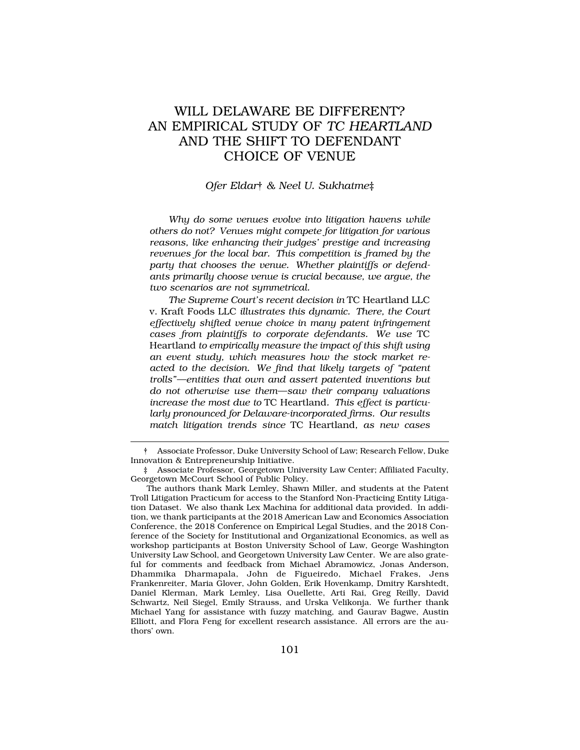# WILL DELAWARE BE DIFFERENT? AN EMPIRICAL STUDY OF *TC HEARTLAND*  AND THE SHIFT TO DEFENDANT CHOICE OF VENUE

## *Ofer Eldar*† *& Neel U. Sukhatme*‡

*Why do some venues evolve into litigation havens while others do not? Venues might compete for litigation for various reasons, like enhancing their judges' prestige and increasing revenues for the local bar. This competition is framed by the party that chooses the venue. Whether plaintiffs or defendants primarily choose venue is crucial because, we argue, the two scenarios are not symmetrical.* 

*The Supreme Court's recent decision in* TC Heartland LLC v. Kraft Foods LLC *illustrates this dynamic. There, the Court effectively shifted venue choice in many patent infringement cases from plaintiffs to corporate defendants. We use* TC Heartland *to empirically measure the impact of this shift using an event study, which measures how the stock market reacted to the decision. We find that likely targets of "patent trolls"—entities that own and assert patented inventions but do not otherwise use them—saw their company valuations increase the most due to* TC Heartland*. This effect is particularly pronounced for Delaware-incorporated firms. Our results match litigation trends since* TC Heartland*, as new cases* 

<sup>†</sup> Associate Professor, Duke University School of Law; Research Fellow, Duke Innovation & Entrepreneurship Initiative.

<sup>‡</sup> Associate Professor, Georgetown University Law Center; Affiliated Faculty, Georgetown McCourt School of Public Policy.

The authors thank Mark Lemley, Shawn Miller, and students at the Patent Troll Litigation Practicum for access to the Stanford Non-Practicing Entity Litigation Dataset. We also thank Lex Machina for additional data provided. In addition, we thank participants at the 2018 American Law and Economics Association Conference, the 2018 Conference on Empirical Legal Studies, and the 2018 Conference of the Society for Institutional and Organizational Economics, as well as workshop participants at Boston University School of Law, George Washington University Law School, and Georgetown University Law Center. We are also grateful for comments and feedback from Michael Abramowicz, Jonas Anderson, Dhammika Dharmapala, John de Figueiredo, Michael Frakes, Jens Frankenreiter, Maria Glover, John Golden, Erik Hovenkamp, Dmitry Karshtedt, Daniel Klerman, Mark Lemley, Lisa Ouellette, Arti Rai, Greg Reilly, David Schwartz, Neil Siegel, Emily Strauss, and Urska Velikonja. We further thank Michael Yang for assistance with fuzzy matching, and Gaurav Bagwe, Austin Elliott, and Flora Feng for excellent research assistance. All errors are the authors' own.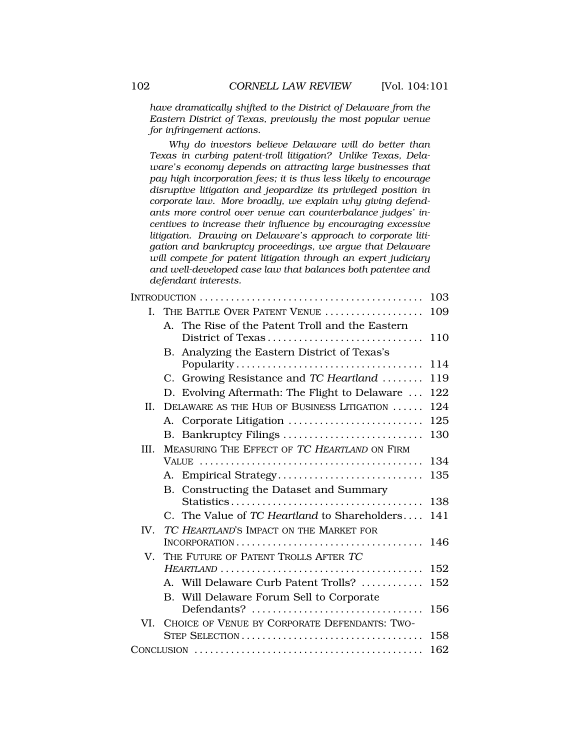*have dramatically shifted to the District of Delaware from the Eastern District of Texas, previously the most popular venue for infringement actions.* 

*Why do investors believe Delaware will do better than Texas in curbing patent-troll litigation? Unlike Texas, Delaware's economy depends on attracting large businesses that pay high incorporation fees; it is thus less likely to encourage disruptive litigation and jeopardize its privileged position in corporate law. More broadly, we explain why giving defendants more control over venue can counterbalance judges' incentives to increase their influence by encouraging excessive litigation. Drawing on Delaware's approach to corporate litigation and bankruptcy proceedings, we argue that Delaware will compete for patent litigation through an expert judiciary and well-developed case law that balances both patentee and defendant interests.* 

|      |                                                   | 103 |
|------|---------------------------------------------------|-----|
|      | I. THE BATTLE OVER PATENT VENUE                   | 109 |
|      | A. The Rise of the Patent Troll and the Eastern   |     |
|      |                                                   | 110 |
|      | B. Analyzing the Eastern District of Texas's      |     |
|      |                                                   | 114 |
|      | C. Growing Resistance and TC Heartland            | 119 |
|      | D. Evolving Aftermath: The Flight to Delaware     | 122 |
| II.  | DELAWARE AS THE HUB OF BUSINESS LITIGATION        | 124 |
|      | A. Corporate Litigation                           | 125 |
|      | B. Bankruptcy Filings                             | 130 |
| III. | MEASURING THE EFFECT OF TC HEARTLAND ON FIRM      |     |
|      |                                                   | 134 |
|      | A. Empirical Strategy                             | 135 |
|      | B. Constructing the Dataset and Summary           |     |
|      |                                                   | 138 |
|      | C. The Value of TC Heartland to Shareholders      | 141 |
| IV.  | TC HEARTLAND'S IMPACT ON THE MARKET FOR           |     |
|      |                                                   | 146 |
|      | V. THE FUTURE OF PATENT TROLLS AFTER TC           |     |
|      |                                                   | 152 |
|      | A. Will Delaware Curb Patent Trolls?              | 152 |
|      | B. Will Delaware Forum Sell to Corporate          |     |
|      | $Defendants?$                                     | 156 |
|      | VI. CHOICE OF VENUE BY CORPORATE DEFENDANTS: TWO- |     |
|      |                                                   | 158 |
|      |                                                   | 162 |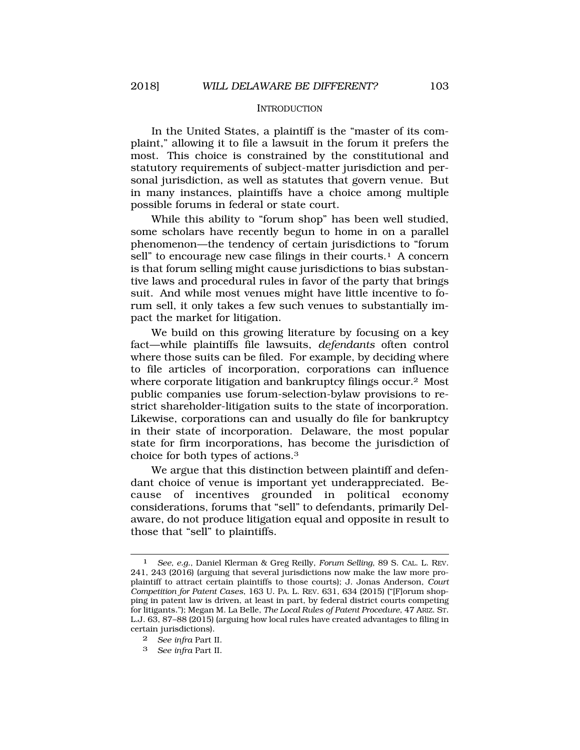### **INTRODUCTION**

<span id="page-2-0"></span>In the United States, a plaintiff is the "master of its complaint," allowing it to file a lawsuit in the forum it prefers the most. This choice is constrained by the constitutional and statutory requirements of subject-matter jurisdiction and personal jurisdiction, as well as statutes that govern venue. But in many instances, plaintiffs have a choice among multiple possible forums in federal or state court.

While this ability to "forum shop" has been well studied, some scholars have recently begun to home in on a parallel phenomenon—the tendency of certain jurisdictions to "forum sell" to encourage new case filings in their courts.<sup>1</sup> A concern is that forum selling might cause jurisdictions to bias substantive laws and procedural rules in favor of the party that brings suit. And while most venues might have little incentive to forum sell, it only takes a few such venues to substantially impact the market for litigation.

We build on this growing literature by focusing on a key fact—while plaintiffs file lawsuits, *defendants* often control where those suits can be filed. For example, by deciding where to file articles of incorporation, corporations can influence where corporate litigation and bankruptcy filings occur.2 Most public companies use forum-selection-bylaw provisions to restrict shareholder-litigation suits to the state of incorporation. Likewise, corporations can and usually do file for bankruptcy in their state of incorporation. Delaware, the most popular state for firm incorporations, has become the jurisdiction of choice for both types of actions.3

We argue that this distinction between plaintiff and defendant choice of venue is important yet underappreciated. Because of incentives grounded in political economy considerations, forums that "sell" to defendants, primarily Delaware, do not produce litigation equal and opposite in result to those that "sell" to plaintiffs.

3 *See infra* Part II.

<sup>1</sup> *See, e.g.*, Daniel Klerman & Greg Reilly, *Forum Selling*, 89 S. CAL. L. REV. 241, 243 (2016) (arguing that several jurisdictions now make the law more proplaintiff to attract certain plaintiffs to those courts); J. Jonas Anderson, *Court Competition for Patent Cases*, 163 U. PA. L. REV. 631, 634 (2015) ("[F]orum shopping in patent law is driven, at least in part, by federal district courts competing for litigants."); Megan M. La Belle, *The Local Rules of Patent Procedure*, 47 ARIZ. ST. L.J. 63, 87–88 (2015) (arguing how local rules have created advantages to filing in certain jurisdictions).

<sup>2</sup> *See infra* Part II.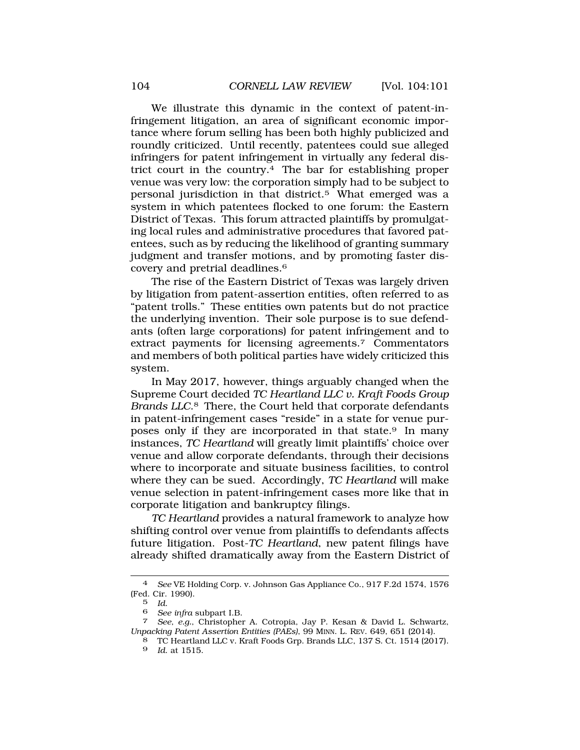We illustrate this dynamic in the context of patent-infringement litigation, an area of significant economic importance where forum selling has been both highly publicized and roundly criticized. Until recently, patentees could sue alleged infringers for patent infringement in virtually any federal district court in the country.4 The bar for establishing proper venue was very low: the corporation simply had to be subject to personal jurisdiction in that district.5 What emerged was a system in which patentees flocked to one forum: the Eastern District of Texas. This forum attracted plaintiffs by promulgating local rules and administrative procedures that favored patentees, such as by reducing the likelihood of granting summary judgment and transfer motions, and by promoting faster discovery and pretrial deadlines.6

The rise of the Eastern District of Texas was largely driven by litigation from patent-assertion entities, often referred to as "patent trolls." These entities own patents but do not practice the underlying invention. Their sole purpose is to sue defendants (often large corporations) for patent infringement and to extract payments for licensing agreements.7 Commentators and members of both political parties have widely criticized this system.

In May 2017, however, things arguably changed when the Supreme Court decided *TC Heartland LLC v. Kraft Foods Group Brands LLC*.8 There, the Court held that corporate defendants in patent-infringement cases "reside" in a state for venue purposes only if they are incorporated in that state.9 In many instances, *TC Heartland* will greatly limit plaintiffs' choice over venue and allow corporate defendants, through their decisions where to incorporate and situate business facilities, to control where they can be sued. Accordingly, *TC Heartland* will make venue selection in patent-infringement cases more like that in corporate litigation and bankruptcy filings.

*TC Heartland* provides a natural framework to analyze how shifting control over venue from plaintiffs to defendants affects future litigation. Post-*TC Heartland*, new patent filings have already shifted dramatically away from the Eastern District of

<sup>4</sup> *See* VE Holding Corp. v. Johnson Gas Appliance Co., 917 F.2d 1574, 1576 (Fed. Cir. 1990).<br>5 Id.

<sup>5</sup>*Id*. 6 *See infra* subpart I.B. 7 *See, e.g.*, Christopher A. Cotropia, Jay P. Kesan & David L. Schwartz, *Unpacking Patent Assertion Entities (PAEs)*, 99 MINN. L. REV. 649, 651 (2014).

<sup>8</sup> TC Heartland LLC v. Kraft Foods Grp. Brands LLC, 137 S. Ct. 1514 (2017).

<sup>9</sup> *Id*. at 1515.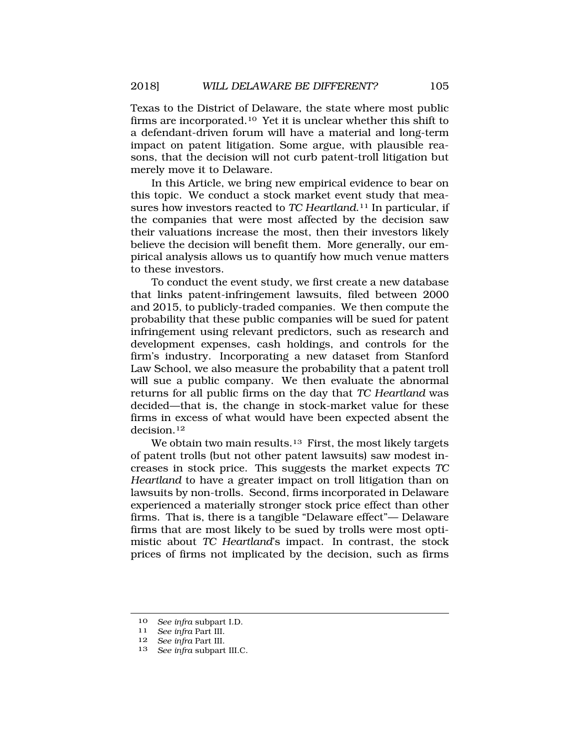Texas to the District of Delaware, the state where most public firms are [incorporated.10](http:incorporated.10) Yet it is unclear whether this shift to a defendant-driven forum will have a material and long-term impact on patent litigation. Some argue, with plausible reasons, that the decision will not curb patent-troll litigation but merely move it to Delaware.

In this Article, we bring new empirical evidence to bear on this topic. We conduct a stock market event study that measures how investors reacted to *TC [Heartland](http:Heartland.11)*.11 In particular, if the companies that were most affected by the decision saw their valuations increase the most, then their investors likely believe the decision will benefit them. More generally, our empirical analysis allows us to quantify how much venue matters to these investors.

To conduct the event study, we first create a new database that links patent-infringement lawsuits, filed between 2000 and 2015, to publicly-traded companies. We then compute the probability that these public companies will be sued for patent infringement using relevant predictors, such as research and development expenses, cash holdings, and controls for the firm's industry. Incorporating a new dataset from Stanford Law School, we also measure the probability that a patent troll will sue a public company. We then evaluate the abnormal returns for all public firms on the day that *TC Heartland* was decided—that is, the change in stock-market value for these firms in excess of what would have been expected absent the [decision.12](http:decision.12)

We obtain two main results.<sup>13</sup> First, the most likely targets of patent trolls (but not other patent lawsuits) saw modest increases in stock price. This suggests the market expects *TC Heartland* to have a greater impact on troll litigation than on lawsuits by non-trolls. Second, firms incorporated in Delaware experienced a materially stronger stock price effect than other firms. That is, there is a tangible "Delaware effect"— Delaware firms that are most likely to be sued by trolls were most optimistic about *TC Heartland*'s impact. In contrast, the stock prices of firms not implicated by the decision, such as firms

<sup>10</sup>*See infra* subpart I.D. 11 *See infra* Part III.

<sup>12</sup> *See infra* Part III.

<sup>13</sup> *See infra* subpart III.C.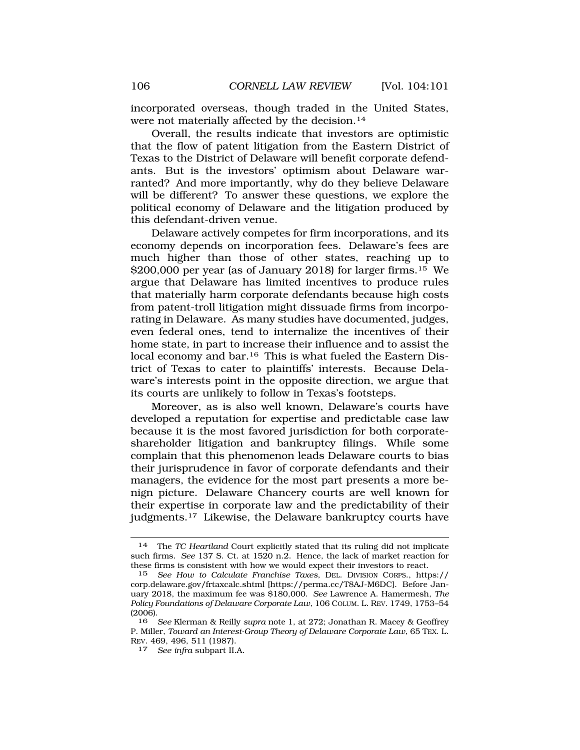incorporated overseas, though traded in the United States, were not materially affected by the decision.<sup>14</sup>

Overall, the results indicate that investors are optimistic that the flow of patent litigation from the Eastern District of Texas to the District of Delaware will benefit corporate defendants. But is the investors' optimism about Delaware warranted? And more importantly, why do they believe Delaware will be different? To answer these questions, we explore the political economy of Delaware and the litigation produced by this defendant-driven venue.

Delaware actively competes for firm incorporations, and its economy depends on incorporation fees. Delaware's fees are much higher than those of other states, reaching up to \$200,000 per year (as of January 2018) for larger [firms.15](http:firms.15) We argue that Delaware has limited incentives to produce rules that materially harm corporate defendants because high costs from patent-troll litigation might dissuade firms from incorporating in Delaware. As many studies have documented, judges, even federal ones, tend to internalize the incentives of their home state, in part to increase their influence and to assist the local economy and bar.<sup>16</sup> This is what fueled the Eastern District of Texas to cater to plaintiffs' interests. Because Delaware's interests point in the opposite direction, we argue that its courts are unlikely to follow in Texas's footsteps.

Moreover, as is also well known, Delaware's courts have developed a reputation for expertise and predictable case law because it is the most favored jurisdiction for both corporateshareholder litigation and bankruptcy filings. While some complain that this phenomenon leads Delaware courts to bias their jurisprudence in favor of corporate defendants and their managers, the evidence for the most part presents a more benign picture. Delaware Chancery courts are well known for their expertise in corporate law and the predictability of their [judgments.17](http:judgments.17) Likewise, the Delaware bankruptcy courts have

<sup>14</sup> The *TC Heartland* Court explicitly stated that its ruling did not implicate such firms. *See* 137 S. Ct. at 1520 n.2. Hence, the lack of market reaction for these firms is consistent with how we would expect their investors to react.

<sup>15</sup> *See How to Calculate Franchise Taxes*, DEL. DIVISION CORPS., https:// [corp.delaware.gov/frtaxcalc.shtml](https://corp.delaware.gov/frtaxcalc.shtml) [\[https://perma.cc/T8AJ-M6DC](https://perma.cc/T8AJ-M6DC)]. Before January 2018, the maximum fee was \$180,000. *See* Lawrence A. Hamermesh, *The Policy Foundations of Delaware Corporate Law*, 106 COLUM. L. REV. 1749, 1753–54 (2006).

<sup>16</sup> *See* Klerman & Reilly *supra* note 1, at 272; Jonathan R. Macey & Geoffrey P. Miller, *Toward an Interest-Group Theory of Delaware Corporate Law*, 65 TEX. L. REV. 469, 496, 511 (1987).

<sup>17</sup> *See infra* subpart II.A.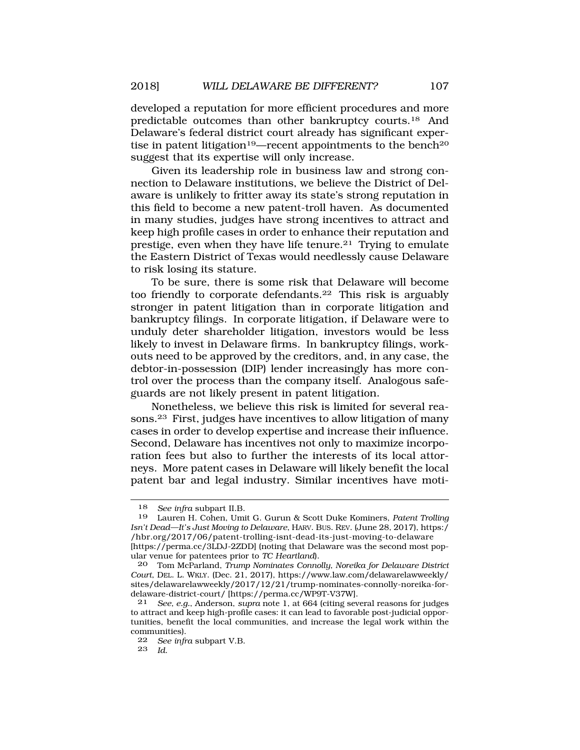developed a reputation for more efficient procedures and more predictable outcomes than other bankruptcy [courts.18](http:courts.18) And Delaware's federal district court already has significant expertise in patent litigation<sup>19</sup>—recent appointments to the bench<sup>20</sup> suggest that its expertise will only increase.

Given its leadership role in business law and strong connection to Delaware institutions, we believe the District of Delaware is unlikely to fritter away its state's strong reputation in this field to become a new patent-troll haven. As documented in many studies, judges have strong incentives to attract and keep high profile cases in order to enhance their reputation and prestige, even when they have life [tenure.21](http:tenure.21) Trying to emulate the Eastern District of Texas would needlessly cause Delaware to risk losing its stature.

To be sure, there is some risk that Delaware will become too friendly to corporate [defendants.22](http:defendants.22) This risk is arguably stronger in patent litigation than in corporate litigation and bankruptcy filings. In corporate litigation, if Delaware were to unduly deter shareholder litigation, investors would be less likely to invest in Delaware firms. In bankruptcy filings, workouts need to be approved by the creditors, and, in any case, the debtor-in-possession (DIP) lender increasingly has more control over the process than the company itself. Analogous safeguards are not likely present in patent litigation.

Nonetheless, we believe this risk is limited for several reasons.23 First, judges have incentives to allow litigation of many cases in order to develop expertise and increase their influence. Second, Delaware has incentives not only to maximize incorporation fees but also to further the interests of its local attorneys. More patent cases in Delaware will likely benefit the local patent bar and legal industry. Similar incentives have moti-

<sup>18</sup> *See infra* subpart II.B.

<sup>19</sup> Lauren H. Cohen, Umit G. Gurun & Scott Duke Kominers, *Patent Trolling Isn't Dead—It's Just Moving to Delaware*, HARV. BUS. REV. (June 28, 2017), https:/ [/hbr.org/2017/06/patent-trolling-isnt-dead-its-just-moving-to-delaware](https://hbr.org/2017/06/patent-trolling-isnt-dead-its-just-moving-to-delaware) [<https://perma.cc/3LDJ-2ZDD>] (noting that Delaware was the second most popular venue for patentees prior to *TC Heartland*).

<sup>20</sup> Tom McParland, *Trump Nominates Connolly, Noreika for Delaware District Court*, DEL. L. WKLY. (Dec. 21, 2017), [https://www.law.com/delawarelawweekly/](https://www.law.com/delawarelawweekly) sites/delawarelawweekly/2017/12/21/trump-nominates-connolly-noreika-fordelaware-district-court/ [\[https://perma.cc/WP9T-V37W](https://perma.cc/WP9T-V37W)].

<sup>21</sup> *See, e.g.*, Anderson, *supra* note 1, at 664 (citing several reasons for judges to attract and keep high-profile cases: it can lead to favorable post-judicial opportunities, benefit the local communities, and increase the legal work within the communities).

<sup>22</sup> *See infra* subpart V.B.

<sup>23</sup> *Id*.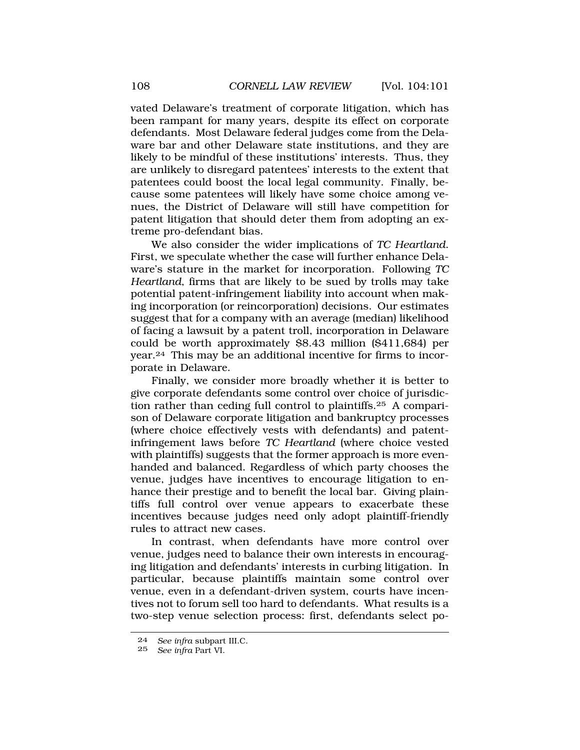vated Delaware's treatment of corporate litigation, which has been rampant for many years, despite its effect on corporate defendants. Most Delaware federal judges come from the Delaware bar and other Delaware state institutions, and they are likely to be mindful of these institutions' interests. Thus, they are unlikely to disregard patentees' interests to the extent that patentees could boost the local legal community. Finally, because some patentees will likely have some choice among venues, the District of Delaware will still have competition for patent litigation that should deter them from adopting an extreme pro-defendant bias.

We also consider the wider implications of *TC Heartland*. First, we speculate whether the case will further enhance Delaware's stature in the market for incorporation. Following *TC Heartland*, firms that are likely to be sued by trolls may take potential patent-infringement liability into account when making incorporation (or reincorporation) decisions. Our estimates suggest that for a company with an average (median) likelihood of facing a lawsuit by a patent troll, incorporation in Delaware could be worth approximately \$8.43 million (\$411,684) per year.24 This may be an additional incentive for firms to incorporate in Delaware.

Finally, we consider more broadly whether it is better to give corporate defendants some control over choice of jurisdiction rather than ceding full control to [plaintiffs.25](http:plaintiffs.25) A comparison of Delaware corporate litigation and bankruptcy processes (where choice effectively vests with defendants) and patentinfringement laws before *TC Heartland* (where choice vested with plaintiffs) suggests that the former approach is more evenhanded and balanced. Regardless of which party chooses the venue, judges have incentives to encourage litigation to enhance their prestige and to benefit the local bar. Giving plaintiffs full control over venue appears to exacerbate these incentives because judges need only adopt plaintiff-friendly rules to attract new cases.

In contrast, when defendants have more control over venue, judges need to balance their own interests in encouraging litigation and defendants' interests in curbing litigation. In particular, because plaintiffs maintain some control over venue, even in a defendant-driven system, courts have incentives not to forum sell too hard to defendants. What results is a two-step venue selection process: first, defendants select po-

<sup>24</sup> *See infra* subpart III.C.

<sup>25</sup> *See infra* Part VI.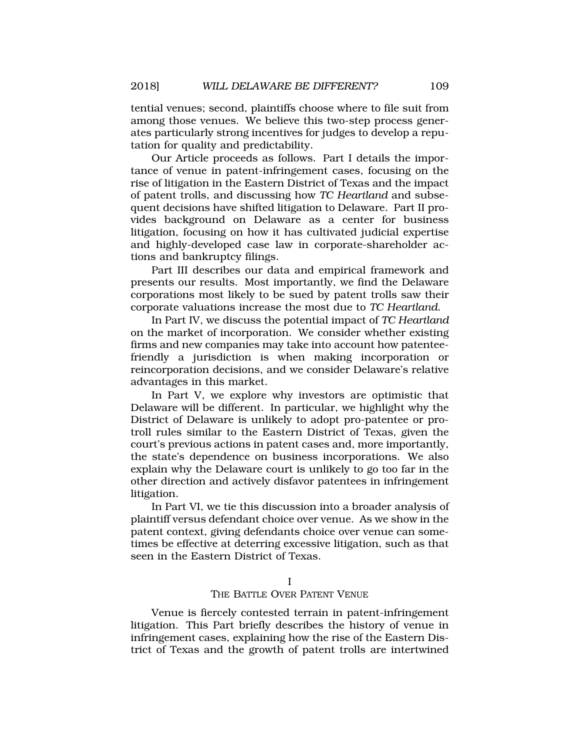<span id="page-8-0"></span>tential venues; second, plaintiffs choose where to file suit from among those venues. We believe this two-step process generates particularly strong incentives for judges to develop a reputation for quality and predictability.

Our Article proceeds as follows. Part I details the importance of venue in patent-infringement cases, focusing on the rise of litigation in the Eastern District of Texas and the impact of patent trolls, and discussing how *TC Heartland* and subsequent decisions have shifted litigation to Delaware. Part II provides background on Delaware as a center for business litigation, focusing on how it has cultivated judicial expertise and highly-developed case law in corporate-shareholder actions and bankruptcy filings.

Part III describes our data and empirical framework and presents our results. Most importantly, we find the Delaware corporations most likely to be sued by patent trolls saw their corporate valuations increase the most due to *TC Heartland*.

In Part IV, we discuss the potential impact of *TC Heartland*  on the market of incorporation. We consider whether existing firms and new companies may take into account how patenteefriendly a jurisdiction is when making incorporation or reincorporation decisions, and we consider Delaware's relative advantages in this market.

In Part V, we explore why investors are optimistic that Delaware will be different. In particular, we highlight why the District of Delaware is unlikely to adopt pro-patentee or protroll rules similar to the Eastern District of Texas, given the court's previous actions in patent cases and, more importantly, the state's dependence on business incorporations. We also explain why the Delaware court is unlikely to go too far in the other direction and actively disfavor patentees in infringement litigation.

In Part VI, we tie this discussion into a broader analysis of plaintiff versus defendant choice over venue. As we show in the patent context, giving defendants choice over venue can sometimes be effective at deterring excessive litigation, such as that seen in the Eastern District of Texas.

## THE BATTLE OVER PATENT VENUE

Venue is fiercely contested terrain in patent-infringement litigation. This Part briefly describes the history of venue in infringement cases, explaining how the rise of the Eastern District of Texas and the growth of patent trolls are intertwined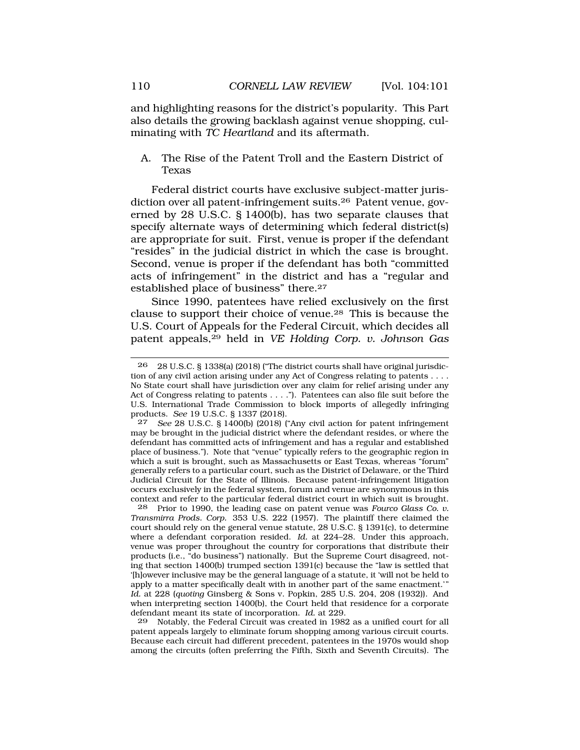<span id="page-9-0"></span>and highlighting reasons for the district's popularity. This Part also details the growing backlash against venue shopping, culminating with *TC Heartland* and its aftermath.

A. The Rise of the Patent Troll and the Eastern District of Texas

Federal district courts have exclusive subject-matter jurisdiction over all patent-infringement [suits.26](http:suits.26) Patent venue, governed by 28 U.S.C. § 1400(b), has two separate clauses that specify alternate ways of determining which federal district(s) are appropriate for suit. First, venue is proper if the defendant "resides" in the judicial district in which the case is brought. Second, venue is proper if the defendant has both "committed acts of infringement" in the district and has a "regular and established place of business" there.<sup>27</sup>

Since 1990, patentees have relied exclusively on the first clause to support their choice of [venue.28](http:venue.28) This is because the U.S. Court of Appeals for the Federal Circuit, which decides all patent appeals,29 held in *VE Holding Corp. v. Johnson Gas* 

27 *See* 28 U.S.C. § 1400(b) (2018) ("Any civil action for patent infringement may be brought in the judicial district where the defendant resides, or where the defendant has committed acts of infringement and has a regular and established place of business."). Note that "venue" typically refers to the geographic region in which a suit is brought, such as Massachusetts or East Texas, whereas "forum" generally refers to a particular court, such as the District of Delaware, or the Third Judicial Circuit for the State of Illinois. Because patent-infringement litigation occurs exclusively in the federal system, forum and venue are synonymous in this context and refer to the particular federal district court in which suit is brought.<br>28 Prior to 1990, the leading case on patent venue was Fourco Glass Co. v.

28 Prior to 1990, the leading case on patent venue was *Fourco Glass Co. v. Transmirra Prods. Corp.* 353 U.S. 222 (1957). The plaintiff there claimed the court should rely on the general venue statute, 28 U.S.C. § 1391(c), to determine where a defendant corporation resided. *Id.* at 224–28. Under this approach, venue was proper throughout the country for corporations that distribute their products (i.e., "do business") nationally. But the Supreme Court disagreed, noting that section 1400(b) trumped section 1391(c) because the "law is settled that '[h]owever inclusive may be the general language of a statute, it 'will not be held to apply to a matter specifically dealt with in another part of the same enactment.'" *Id.* at 228 (*quoting* Ginsberg & Sons v. Popkin, 285 U.S. 204, 208 (1932)). And when interpreting section 1400(b), the Court held that residence for a corporate defendant meant its state of incorporation. *Id.* at 229.

29 Notably, the Federal Circuit was created in 1982 as a unified court for all patent appeals largely to eliminate forum shopping among various circuit courts. Because each circuit had different precedent, patentees in the 1970s would shop among the circuits (often preferring the Fifth, Sixth and Seventh Circuits). The

<sup>26 28</sup> U.S.C. § 1338(a) (2018) ("The district courts shall have original jurisdiction of any civil action arising under any Act of Congress relating to patents . . . . No State court shall have jurisdiction over any claim for relief arising under any Act of Congress relating to patents . . . ."). Patentees can also file suit before the U.S. International Trade Commission to block imports of allegedly infringing products. *See* 19 U.S.C. § 1337 (2018).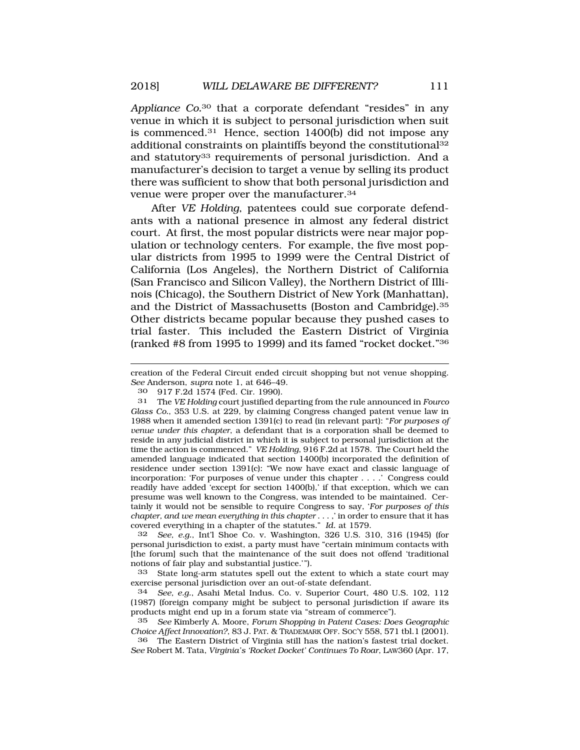*Appliance Co.*30 that a corporate defendant "resides" in any venue in which it is subject to personal jurisdiction when suit is [commenced.31](http:commenced.31) Hence, section 1400(b) did not impose any additional constraints on plaintiffs beyond the constitutional<sup>32</sup> and statutory<sup>33</sup> requirements of personal jurisdiction. And a manufacturer's decision to target a venue by selling its product there was sufficient to show that both personal jurisdiction and venue were proper over the [manufacturer.34](http:manufacturer.34)

After *VE Holding*, patentees could sue corporate defendants with a national presence in almost any federal district court. At first, the most popular districts were near major population or technology centers. For example, the five most popular districts from 1995 to 1999 were the Central District of California (Los Angeles), the Northern District of California (San Francisco and Silicon Valley), the Northern District of Illinois (Chicago), the Southern District of New York (Manhattan), and the District of Massachusetts (Boston and [Cambridge\).35](http:Cambridge).35)  Other districts became popular because they pushed cases to trial faster. This included the Eastern District of Virginia (ranked #8 from 1995 to 1999) and its famed "rocket docket."36

creation of the Federal Circuit ended circuit shopping but not venue shopping. *See* Anderson, *supra* note 1, at 646–49.

30 917 F.2d 1574 (Fed. Cir. 1990).

31 The *VE Holding* court justified departing from the rule announced in *Fourco Glass Co.*, 353 U.S. at 229, by claiming Congress changed patent venue law in 1988 when it amended section 1391(c) to read (in relevant part): "*For purposes of venue under this chapter*, a defendant that is a corporation shall be deemed to reside in any judicial district in which it is subject to personal jurisdiction at the time the action is commenced." *VE Holding*, 916 F.2d at 1578. The Court held the amended language indicated that section 1400(b) incorporated the definition of residence under section 1391(c): "We now have exact and classic language of incorporation: 'For purposes of venue under this chapter . . . .' Congress could readily have added 'except for section 1400(b),' if that exception, which we can presume was well known to the Congress, was intended to be maintained. Certainly it would not be sensible to require Congress to say, '*For purposes of this chapter, and we mean everything in this chapter* . . . ,' in order to ensure that it has covered everything in a chapter of the statutes." *Id.* at 1579.

32 *See, e.g.*, Int'l Shoe Co. v. Washington, 326 U.S. 310, 316 (1945) (for personal jurisdiction to exist, a party must have "certain minimum contacts with [the forum] such that the maintenance of the suit does not offend 'traditional notions of fair play and substantial justice.'").

33 State long-arm statutes spell out the extent to which a state court may exercise personal jurisdiction over an out-of-state defendant.

34 *See, e.g.*, Asahi Metal Indus. Co. v. Superior Court, 480 U.S. 102, 112 (1987) (foreign company might be subject to personal jurisdiction if aware its products might end up in a forum state via "stream of commerce").

35 *See* Kimberly A. Moore, *Forum Shopping in Patent Cases: Does Geographic Choice Affect Innovation?*, 83 J. PAT. & TRADEMARK OFF. SOC'Y 558, 571 tbl.1 (2001).

36 The Eastern District of Virginia still has the nation's fastest trial docket. *See* Robert M. Tata, *Virginia's 'Rocket Docket' Continues To Roar*, LAW360 (Apr. 17,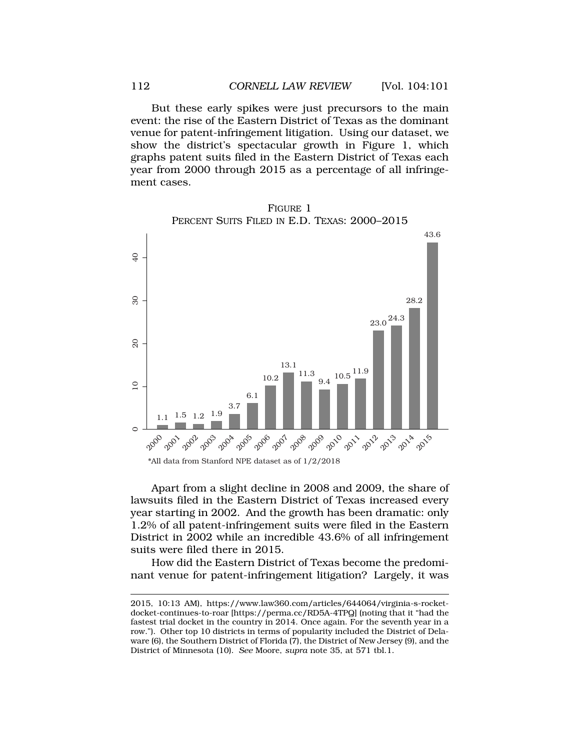But these early spikes were just precursors to the main event: the rise of the Eastern District of Texas as the dominant venue for patent-infringement litigation. Using our dataset, we show the district's spectacular growth in Figure 1, which graphs patent suits filed in the Eastern District of Texas each year from 2000 through 2015 as a percentage of all infringement cases.



Apart from a slight decline in 2008 and 2009, the share of lawsuits filed in the Eastern District of Texas increased every year starting in 2002. And the growth has been dramatic: only 1.2% of all patent-infringement suits were filed in the Eastern District in 2002 while an incredible 43.6% of all infringement suits were filed there in 2015.

How did the Eastern District of Texas become the predominant venue for patent-infringement litigation? Largely, it was

<sup>2015, 10:13</sup> AM), <https://www.law360.com/articles/644064/virginia-s-rocket>docket-continues-to-roar [[https://perma.cc/RD5A-4TPQ\]](https://perma.cc/RD5A-4TPQ) (noting that it "had the fastest trial docket in the country in 2014. Once again. For the seventh year in a row."). Other top 10 districts in terms of popularity included the District of Delaware (6), the Southern District of Florida (7), the District of New Jersey (9), and the District of Minnesota (10). *See* Moore, *supra* note 35, at 571 tbl.1.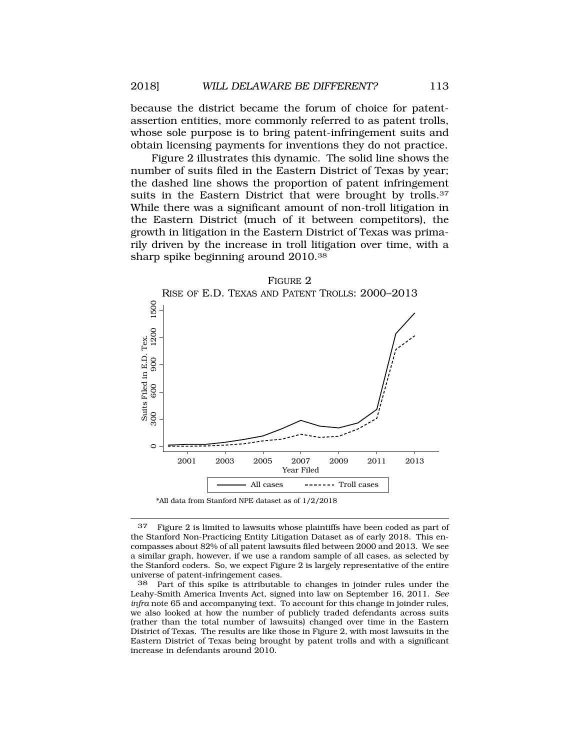because the district became the forum of choice for patentassertion entities, more commonly referred to as patent trolls, whose sole purpose is to bring patent-infringement suits and obtain licensing payments for inventions they do not practice.

Figure 2 illustrates this dynamic. The solid line shows the number of suits filed in the Eastern District of Texas by year; the dashed line shows the proportion of patent infringement suits in the Eastern District that were brought by trolls.<sup>37</sup> While there was a significant amount of non-troll litigation in the Eastern District (much of it between competitors), the growth in litigation in the Eastern District of Texas was primarily driven by the increase in troll litigation over time, with a sharp spike beginning around 2010.38



<sup>37</sup> Figure 2 is limited to lawsuits whose plaintiffs have been coded as part of the Stanford Non-Practicing Entity Litigation Dataset as of early 2018. This encompasses about 82% of all patent lawsuits filed between 2000 and 2013. We see a similar graph, however, if we use a random sample of all cases, as selected by the Stanford coders. So, we expect Figure 2 is largely representative of the entire universe of patent-infringement cases.<br>38 Part of this spike is attributab

Part of this spike is attributable to changes in joinder rules under the Leahy-Smith America Invents Act, signed into law on September 16, 2011. *See infra* note 65 and accompanying text. To account for this change in joinder rules, we also looked at how the number of publicly traded defendants across suits (rather than the total number of lawsuits) changed over time in the Eastern District of Texas. The results are like those in Figure 2, with most lawsuits in the Eastern District of Texas being brought by patent trolls and with a significant increase in defendants around 2010.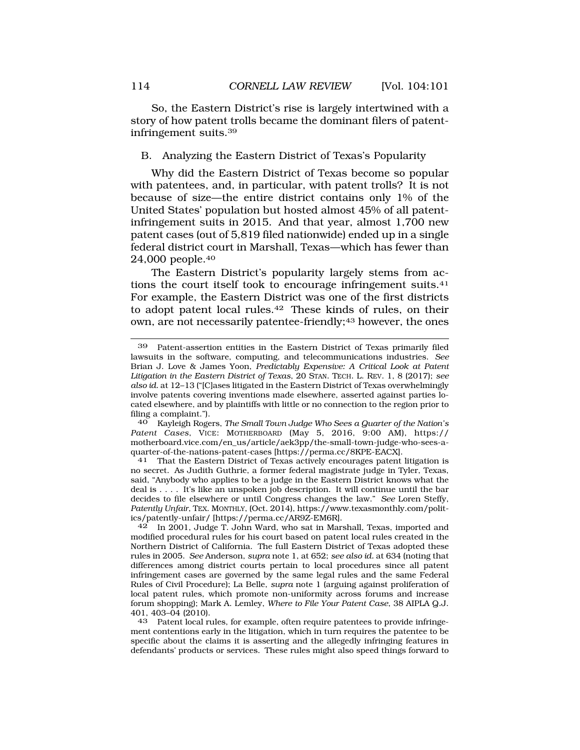<span id="page-13-0"></span>So, the Eastern District's rise is largely intertwined with a story of how patent trolls became the dominant filers of patentinfringement [suits.39](http:suits.39)

### B. Analyzing the Eastern District of Texas's Popularity

Why did the Eastern District of Texas become so popular with patentees, and, in particular, with patent trolls? It is not because of size—the entire district contains only 1% of the United States' population but hosted almost 45% of all patentinfringement suits in 2015. And that year, almost 1,700 new patent cases (out of 5,819 filed nationwide) ended up in a single federal district court in Marshall, Texas—which has fewer than 24,000 [people.40](http:people.40)

The Eastern District's popularity largely stems from actions the court itself took to encourage infringement [suits.41](http:suits.41)  For example, the Eastern District was one of the first districts to adopt patent local [rules.42](http:rules.42) These kinds of rules, on their own, are not necessarily patentee-friendly;<sup>43</sup> however, the ones

40 Kayleigh Rogers, *The Small Town Judge Who Sees a Quarter of the Nation's Patent Cases*, VICE: MOTHERBOARD (May 5, 2016, 9:00 AM), https:// motherboard.vice.com/en\_us/article/aek3pp/the-small-town-judge-who-sees-a-<br>quarter-of-the-nations-patent-cases [https://perma.cc/8KPE-EACX].

<sup>41</sup> That the Eastern District of Texas actively encourages patent litigation is no secret. As Judith Guthrie, a former federal magistrate judge in Tyler, Texas, said, "Anybody who applies to be a judge in the Eastern District knows what the deal is . . . . It's like an unspoken job description. It will continue until the bar decides to file elsewhere or until Congress changes the law." *See* Loren Steffy, *Patently Unfair*, TEX. MONTHLY, (Oct. 2014),<https://www.texasmonthly.com/polit>ics/patently-unfair/ [\[https://perma.cc/AR9Z-EM6R](https://perma.cc/AR9Z-EM6R)].

42 In 2001, Judge T. John Ward, who sat in Marshall, Texas, imported and modified procedural rules for his court based on patent local rules created in the Northern District of California. The full Eastern District of Texas adopted these rules in 2005. *See* Anderson, *supra* note 1, at 652; *see also id.* at 634 (noting that differences among district courts pertain to local procedures since all patent infringement cases are governed by the same legal rules and the same Federal Rules of Civil Procedure); La Belle, *supra* note 1 (arguing against proliferation of local patent rules, which promote non-uniformity across forums and increase forum shopping); Mark A. Lemley, *Where to File Your Patent Case*, 38 AIPLA Q.J. 401, 403-04 (2010).<br>43 Patent local ri

Patent local rules, for example, often require patentees to provide infringement contentions early in the litigation, which in turn requires the patentee to be specific about the claims it is asserting and the allegedly infringing features in defendants' products or services. These rules might also speed things forward to

<sup>39</sup> Patent-assertion entities in the Eastern District of Texas primarily filed lawsuits in the software, computing, and telecommunications industries. *See*  Brian J. Love & James Yoon, *Predictably Expensive: A Critical Look at Patent Litigation in the Eastern District of Texas*, 20 STAN. TECH. L. REV. 1, 8 (2017); *see also id.* at 12–13 ("[C]ases litigated in the Eastern District of Texas overwhelmingly involve patents covering inventions made elsewhere, asserted against parties located elsewhere, and by plaintiffs with little or no connection to the region prior to filing a complaint.").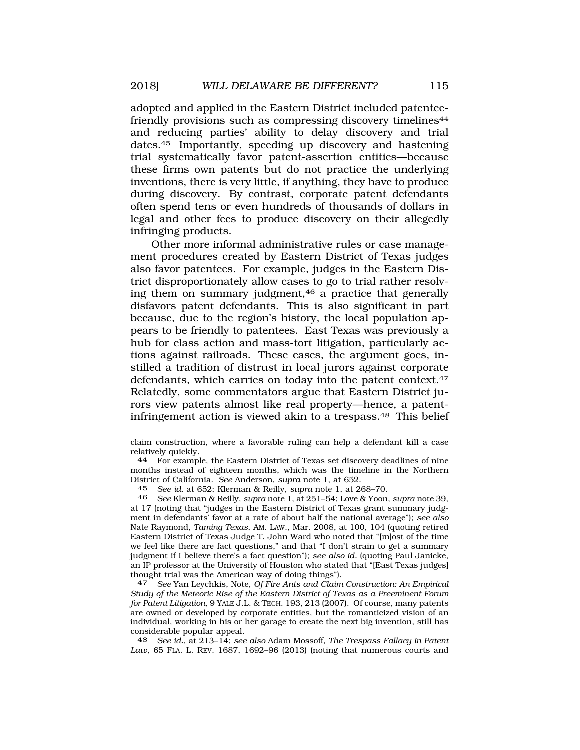adopted and applied in the Eastern District included patenteefriendly provisions such as compressing discovery timelines<sup>44</sup> and reducing parties' ability to delay discovery and trial [dates.45](http:dates.45) Importantly, speeding up discovery and hastening trial systematically favor patent-assertion entities—because these firms own patents but do not practice the underlying inventions, there is very little, if anything, they have to produce during discovery. By contrast, corporate patent defendants often spend tens or even hundreds of thousands of dollars in legal and other fees to produce discovery on their allegedly infringing products.

Other more informal administrative rules or case management procedures created by Eastern District of Texas judges also favor patentees. For example, judges in the Eastern District disproportionately allow cases to go to trial rather resolving them on summary judgment,<sup>46</sup> a practice that generally disfavors patent defendants. This is also significant in part because, due to the region's history, the local population appears to be friendly to patentees. East Texas was previously a hub for class action and mass-tort litigation, particularly actions against railroads. These cases, the argument goes, instilled a tradition of distrust in local jurors against corporate defendants, which carries on today into the patent [context.47](http:context.47)  Relatedly, some commentators argue that Eastern District jurors view patents almost like real property—hence, a patentinfringement action is viewed akin to a [trespass.48](http:trespass.48) This belief

47 *See* Yan Leychkis, Note, *Of Fire Ants and Claim Construction: An Empirical Study of the Meteoric Rise of the Eastern District of Texas as a Preeminent Forum for Patent Litigation*, 9 YALE J.L. & TECH. 193, 213 (2007). Of course, many patents are owned or developed by corporate entities, but the romanticized vision of an individual, working in his or her garage to create the next big invention, still has considerable popular appeal.

48 *See id.*, at 213–14; *see also* Adam Mossoff, *The Trespass Fallacy in Patent Law*, 65 FLA. L. REV. 1687, 1692–96 (2013) (noting that numerous courts and

claim construction, where a favorable ruling can help a defendant kill a case relatively quickly.

<sup>44</sup> For example, the Eastern District of Texas set discovery deadlines of nine months instead of eighteen months, which was the timeline in the Northern District of California. *See* Anderson, *supra* note 1, at 652.

<sup>45</sup> *See id.* at 652; Klerman & Reilly, *supra* note 1, at 268–70.

<sup>46</sup> *See* Klerman & Reilly, *supra* note 1, at 251–54; Love & Yoon, *supra* note 39, at 17 (noting that "judges in the Eastern District of Texas grant summary judgment in defendants' favor at a rate of about half the national average"); *see also*  Nate Raymond, *Taming Texas*, AM. LAW., Mar. 2008, at 100, 104 (quoting retired Eastern District of Texas Judge T. John Ward who noted that "[m]ost of the time we feel like there are fact questions," and that "I don't strain to get a summary judgment if I believe there's a fact question"); *see also id.* (quoting Paul Janicke, an IP professor at the University of Houston who stated that "[East Texas judges] thought trial was the American way of doing things").<br><sup>47</sup> See Yan Levchkis, Note, Of Fire Ants and Claim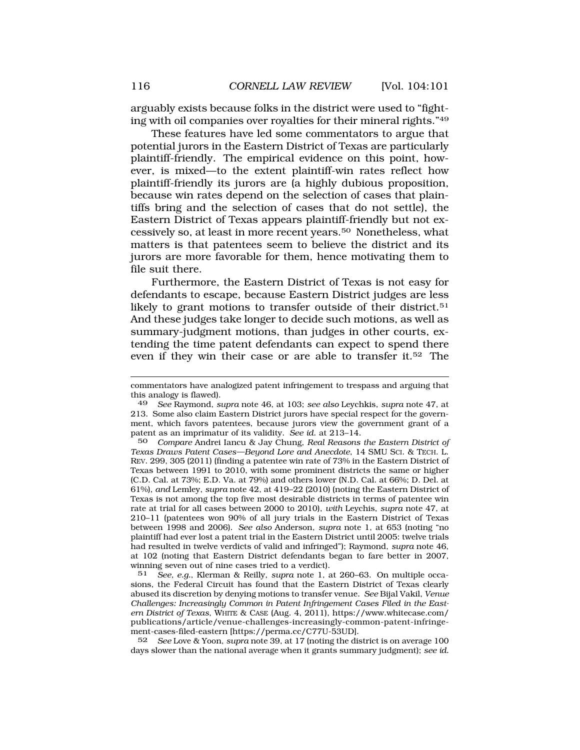arguably exists because folks in the district were used to "fighting with oil companies over royalties for their mineral rights."49

These features have led some commentators to argue that potential jurors in the Eastern District of Texas are particularly plaintiff-friendly. The empirical evidence on this point, however, is mixed—to the extent plaintiff-win rates reflect how plaintiff-friendly its jurors are (a highly dubious proposition, because win rates depend on the selection of cases that plaintiffs bring and the selection of cases that do not settle), the Eastern District of Texas appears plaintiff-friendly but not excessively so, at least in more recent [years.50](http:years.50) Nonetheless, what matters is that patentees seem to believe the district and its jurors are more favorable for them, hence motivating them to file suit there.

Furthermore, the Eastern District of Texas is not easy for defendants to escape, because Eastern District judges are less likely to grant motions to transfer outside of their district.<sup>51</sup> And these judges take longer to decide such motions, as well as summary-judgment motions, than judges in other courts, extending the time patent defendants can expect to spend there even if they win their case or are able to transfer it.52 The

50 *Compare* Andrei Iancu & Jay Chung, *Real Reasons the Eastern District of Texas Draws Patent Cases—Beyond Lore and Anecdote*, 14 SMU SCI. & TECH. L. REV. 299, 305 (2011) (finding a patentee win rate of 73% in the Eastern District of Texas between 1991 to 2010, with some prominent districts the same or higher (C.D. Cal. at 73%; E.D. Va. at 79%) and others lower (N.D. Cal. at 66%; D. Del. at 61%), *and* Lemley, *supra* note 42, at 419–22 (2010) (noting the Eastern District of Texas is not among the top five most desirable districts in terms of patentee win rate at trial for all cases between 2000 to 2010), *with* Leychis, *supra* note 47, at 210–11 (patentees won 90% of all jury trials in the Eastern District of Texas between 1998 and 2006). *See also* Anderson, *supra* note 1, at 653 (noting "no plaintiff had ever lost a patent trial in the Eastern District until 2005: twelve trials had resulted in twelve verdicts of valid and infringed"); Raymond, *supra* note 46, at 102 (noting that Eastern District defendants began to fare better in 2007, winning seven out of nine cases tried to a verdict).

51 *See, e.g.*, Klerman & Reilly, *supra* note 1, at 260–63. On multiple occasions, the Federal Circuit has found that the Eastern District of Texas clearly abused its discretion by denying motions to transfer venue. *See* Bijal Vakil, *Venue Challenges: Increasingly Common in Patent Infringement Cases Filed in the Eastern District of Texas*, WHITE & CASE (Aug. 4, 2011), [https://www.whitecase.com/](http:https://www.whitecase.com) publications/article/venue-challenges-increasingly-common-patent-infringement-cases-filed-eastern [<https://perma.cc/C77U-53UD>].

52 *See* Love & Yoon, *supra* note 39, at 17 (noting the district is on average 100 days slower than the national average when it grants summary judgment); *see id.* 

commentators have analogized patent infringement to trespass and arguing that this analogy is flawed).

<sup>49</sup> *See* Raymond, *supra* note 46, at 103; *see also* Leychkis, *supra* note 47, at 213. Some also claim Eastern District jurors have special respect for the government, which favors patentees, because jurors view the government grant of a patent as an imprimatur of its validity. *See id*. at 213–14.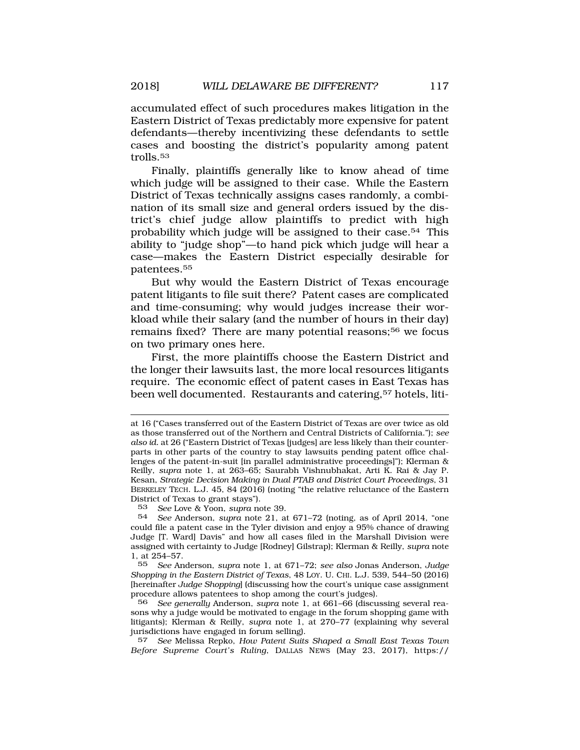accumulated effect of such procedures makes litigation in the Eastern District of Texas predictably more expensive for patent defendants—thereby incentivizing these defendants to settle cases and boosting the district's popularity among patent [trolls.53](http:trolls.53) 

Finally, plaintiffs generally like to know ahead of time which judge will be assigned to their case. While the Eastern District of Texas technically assigns cases randomly, a combination of its small size and general orders issued by the district's chief judge allow plaintiffs to predict with high probability which judge will be assigned to their case.54 This ability to "judge shop"—to hand pick which judge will hear a case—makes the Eastern District especially desirable for [patentees.55](http:patentees.55)

But why would the Eastern District of Texas encourage patent litigants to file suit there? Patent cases are complicated and time-consuming; why would judges increase their workload while their salary (and the number of hours in their day) remains fixed? There are many potential reasons;<sup>56</sup> we focus on two primary ones here.

First, the more plaintiffs choose the Eastern District and the longer their lawsuits last, the more local resources litigants require. The economic effect of patent cases in East Texas has been well documented. Restaurants and catering,<sup>57</sup> hotels, liti-

57 *See* Melissa Repko, *How Patent Suits Shaped a Small East Texas Town Before Supreme Court's Ruling*, DALLAS NEWS (May 23, 2017), https://

at 16 ("Cases transferred out of the Eastern District of Texas are over twice as old as those transferred out of the Northern and Central Districts of California."); *see also id.* at 26 ("Eastern District of Texas [judges] are less likely than their counterparts in other parts of the country to stay lawsuits pending patent office challenges of the patent-in-suit [in parallel administrative proceedings]"); Klerman & Reilly, *supra* note 1, at 263–65; Saurabh Vishnubhakat, Arti K. Rai & Jay P. Kesan, *Strategic Decision Making in Dual PTAB and District Court Proceedings*, 31 BERKELEY TECH. L.J. 45, 84 (2016) (noting "the relative reluctance of the Eastern District of Texas to grant stays").

<sup>53</sup> *See* Love & Yoon, *supra* note 39.

<sup>54</sup> *See* Anderson, *supra* note 21, at 671–72 (noting, as of April 2014, "one could file a patent case in the Tyler division and enjoy a 95% chance of drawing Judge [T. Ward] Davis" and how all cases filed in the Marshall Division were assigned with certainty to Judge [Rodney] Gilstrap); Klerman & Reilly, *supra* note 1, at  $254 - 57$ .<br>55 See An

<sup>55</sup> *See* Anderson, *supra* note 1, at 671–72; *see also* Jonas Anderson, *Judge Shopping in the Eastern District of Texas*, 48 LOY. U. CHI. L.J. 539, 544–50 (2016) [hereinafter *Judge Shopping*] (discussing how the court's unique case assignment procedure allows patentees to shop among the court's judges).

<sup>56</sup> *See generally* Anderson, *supra* note 1, at 661–66 (discussing several reasons why a judge would be motivated to engage in the forum shopping game with litigants); Klerman & Reilly, *supra* note 1, at 270–77 (explaining why several jurisdictions have engaged in forum selling).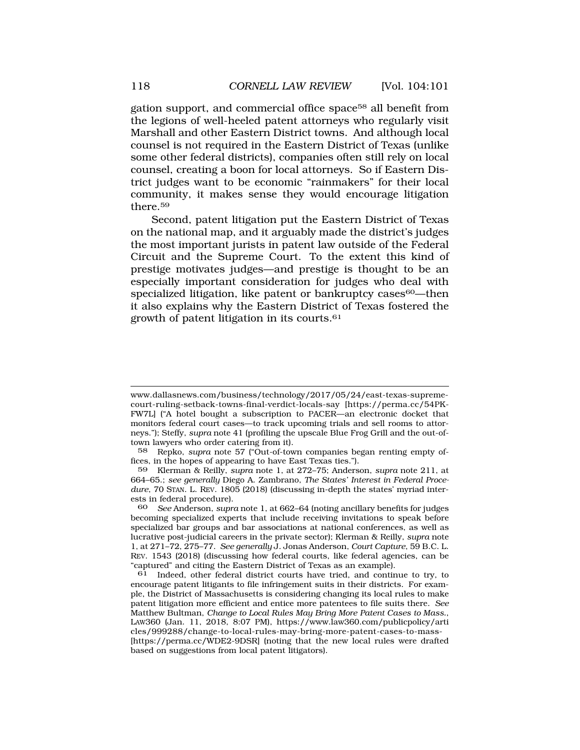gation support, and commercial office space58 all benefit from the legions of well-heeled patent attorneys who regularly visit Marshall and other Eastern District towns. And although local counsel is not required in the Eastern District of Texas (unlike some other federal districts), companies often still rely on local counsel, creating a boon for local attorneys. So if Eastern District judges want to be economic "rainmakers" for their local community, it makes sense they would encourage litigation [there.59](http:there.59)

Second, patent litigation put the Eastern District of Texas on the national map, and it arguably made the district's judges the most important jurists in patent law outside of the Federal Circuit and the Supreme Court. To the extent this kind of prestige motivates judges—and prestige is thought to be an especially important consideration for judges who deal with specialized litigation, like patent or bankruptcy cases<sup>60</sup>—then it also explains why the Eastern District of Texas fostered the growth of patent litigation in its [courts.61](http:courts.61) 

<www.dallasnews.com/business/technology/2017/05/24/east-texas-supreme>court-ruling-setback-towns-final-verdict-locals-say [<https://perma.cc/54PK>-FW7L] ("A hotel bought a subscription to PACER—an electronic docket that monitors federal court cases—to track upcoming trials and sell rooms to attorneys."); Steffy, *supra* note 41 (profiling the upscale Blue Frog Grill and the out-oftown lawyers who order catering from it).<br>58 Repko, *supra* note 57 ("Out-of-tow

<sup>58</sup> Repko, *supra* note 57 ("Out-of-town companies began renting empty offices, in the hopes of appearing to have East Texas ties.").

<sup>59</sup> Klerman & Reilly, *supra* note 1, at 272–75; Anderson, *supra* note 211, at 664–65.; *see generally* Diego A. Zambrano, *The States' Interest in Federal Procedure*, 70 STAN. L. REV. 1805 (2018) (discussing in-depth the states' myriad interests in federal procedure).

<sup>60</sup> *See* Anderson, *supra* note 1, at 662–64 (noting ancillary benefits for judges becoming specialized experts that include receiving invitations to speak before specialized bar groups and bar associations at national conferences, as well as lucrative post-judicial careers in the private sector); Klerman & Reilly, *supra* note 1, at 271–72, 275–77. *See generally* J. Jonas Anderson, *Court Capture*, 59 B.C. L. REV. 1543 (2018) (discussing how federal courts, like federal agencies, can be "captured" and citing the Eastern District of Texas as an example).

Indeed, other federal district courts have tried, and continue to try, to encourage patent litigants to file infringement suits in their districts. For example, the District of Massachusetts is considering changing its local rules to make patent litigation more efficient and entice more patentees to file suits there. *See*  Matthew Bultman, *Change to Local Rules May Bring More Patent Cases to Mass.*, LAW360 (Jan. 11, 2018, 8:07 PM), <https://www.law360.com/publicpolicy/arti> cles/999288/change-to-local-rules-may-bring-more-patent-cases-to-mass- [[https://perma.cc/WDE2-9DSR\]](https://perma.cc/WDE2-9DSR) (noting that the new local rules were drafted based on suggestions from local patent litigators).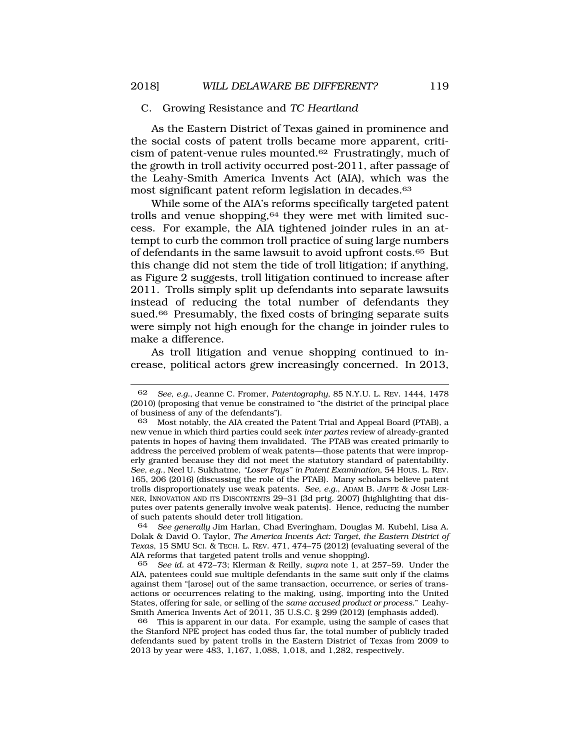### <span id="page-18-0"></span>C. Growing Resistance and *TC Heartland*

As the Eastern District of Texas gained in prominence and the social costs of patent trolls became more apparent, criticism of patent-venue rules [mounted.62](http:mounted.62) Frustratingly, much of the growth in troll activity occurred post-2011, after passage of the Leahy-Smith America Invents Act (AIA), which was the most significant patent reform legislation in decades.<sup>63</sup>

While some of the AIA's reforms specifically targeted patent trolls and venue shopping,<sup>64</sup> they were met with limited success. For example, the AIA tightened joinder rules in an attempt to curb the common troll practice of suing large numbers of defendants in the same lawsuit to avoid upfront [costs.65](http:costs.65) But this change did not stem the tide of troll litigation; if anything, as Figure 2 suggests, troll litigation continued to increase after 2011. Trolls simply split up defendants into separate lawsuits instead of reducing the total number of defendants they sued.<sup>66</sup> Presumably, the fixed costs of bringing separate suits were simply not high enough for the change in joinder rules to make a difference.

As troll litigation and venue shopping continued to increase, political actors grew increasingly concerned. In 2013,

64 *See generally* Jim Harlan, Chad Everingham, Douglas M. Kubehl, Lisa A. Dolak & David O. Taylor, *The America Invents Act: Target, the Eastern District of Texas*, 15 SMU SCI. & TECH. L. REV. 471, 474–75 (2012) (evaluating several of the AIA reforms that targeted patent trolls and venue shopping).

65 *See id.* at 472–73; Klerman & Reilly, *supra* note 1, at 257–59. Under the AIA, patentees could sue multiple defendants in the same suit only if the claims against them "[arose] out of the same transaction, occurrence, or series of transactions or occurrences relating to the making, using, importing into the United States, offering for sale, or selling of the *same accused product or process*." Leahy-Smith America Invents Act of 2011, 35 U.S.C. § 299 (2012) (emphasis added).

66 This is apparent in our data. For example, using the sample of cases that the Stanford NPE project has coded thus far, the total number of publicly traded defendants sued by patent trolls in the Eastern District of Texas from 2009 to 2013 by year were 483, 1,167, 1,088, 1,018, and 1,282, respectively.

<sup>62</sup> *See, e.g.*, Jeanne C. Fromer, *Patentography*, 85 N.Y.U. L. REV. 1444, 1478 (2010) (proposing that venue be constrained to "the district of the principal place of business of any of the defendants").

<sup>63</sup> Most notably, the AIA created the Patent Trial and Appeal Board (PTAB), a new venue in which third parties could seek *inter partes* review of already-granted patents in hopes of having them invalidated. The PTAB was created primarily to address the perceived problem of weak patents—those patents that were improperly granted because they did not meet the statutory standard of patentability. *See, e.g.*, Neel U. Sukhatme, *"Loser Pays" in Patent Examination*, 54 HOUS. L. REV. 165, 206 (2016) (discussing the role of the PTAB). Many scholars believe patent trolls disproportionately use weak patents. *See, e.g.*, ADAM B. JAFFE & JOSH LER-NER, INNOVATION AND ITS DISCONTENTS 29–31 (3d prtg. 2007) (highlighting that disputes over patents generally involve weak patents). Hence, reducing the number of such patents should deter troll litigation.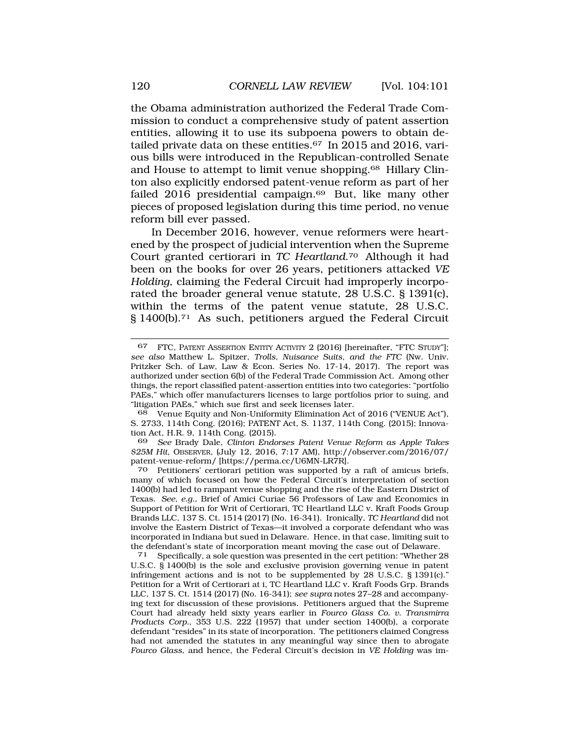the Obama administration authorized the Federal Trade Commission to conduct a comprehensive study of patent assertion entities, allowing it to use its subpoena powers to obtain detailed private data on these entities.<sup>67</sup> In 2015 and 2016, various bills were introduced in the Republican-controlled Senate and House to attempt to limit venue [shopping.68](http:shopping.68) Hillary Clinton also explicitly endorsed patent-venue reform as part of her failed 2016 presidential campaign. $69$  But, like many other pieces of proposed legislation during this time period, no venue reform bill ever passed.

In December 2016, however, venue reformers were heartened by the prospect of judicial intervention when the Supreme Court granted certiorari in *TC [Heartland](http:Heartland.70)*.70 Although it had been on the books for over 26 years, petitioners attacked *VE Holding*, claiming the Federal Circuit had improperly incorporated the broader general venue statute, 28 U.S.C. § 1391(c), within the terms of the patent venue statute, 28 U.S.C. § [1400\(b\).71](http:1400(b).71) As such, petitioners argued the Federal Circuit

68 Venue Equity and Non-Uniformity Elimination Act of 2016 ("VENUE Act"), S. 2733, 114th Cong. (2016); PATENT Act, S. 1137, 114th Cong. (2015); Innovation Act, H.R. 9, 114th Cong. (2015).

69 *See* Brady Dale, *Clinton Endorses Patent Venue Reform as Apple Takes \$25M Hit*, OBSERVER, (July 12, 2016, 7:17 AM), [http://observer.com/2016/07/](http://observer.com/2016/07) patent-venue-reform/ [<https://perma.cc/U6MN-LR7R>].

70 Petitioners' certiorari petition was supported by a raft of amicus briefs, many of which focused on how the Federal Circuit's interpretation of section 1400(b) had led to rampant venue shopping and the rise of the Eastern District of Texas. *See, e.g.*, Brief of Amici Curiae 56 Professors of Law and Economics in Support of Petition for Writ of Certiorari, TC Heartland LLC v. Kraft Foods Group Brands LLC, 137 S. Ct. 1514 (2017) (No. 16-341). Ironically, *TC Heartland* did not involve the Eastern District of Texas—it involved a corporate defendant who was incorporated in Indiana but sued in Delaware. Hence, in that case, limiting suit to the defendant's state of incorporation meant moving the case out of Delaware.<br><sup>71</sup> Specifically, a sole question was presented in the cert petition: "Whether 2

Specifically, a sole question was presented in the cert petition: "Whether 28 U.S.C. § 1400(b) is the sole and exclusive provision governing venue in patent infringement actions and is not to be supplemented by 28 U.S.C. § 1391(c)." Petition for a Writ of Certiorari at i, TC Heartland LLC v. Kraft Foods Grp. Brands LLC, 137 S. Ct. 1514 (2017) (No. 16-341); *see supra* notes 27–28 and accompanying text for discussion of these provisions. Petitioners argued that the Supreme Court had already held sixty years earlier in *Fourco Glass Co. v. Transmirra Products Corp.*, 353 U.S. 222 (1957) that under section 1400(b), a corporate defendant "resides" in its state of incorporation. The petitioners claimed Congress had not amended the statutes in any meaningful way since then to abrogate *Fourco Glass*, and hence, the Federal Circuit's decision in *VE Holding* was im-

<sup>67</sup> FTC, PATENT ASSERTION ENTITY ACTIVITY 2 (2016) [hereinafter, "FTC STUDY"]; *see also* Matthew L. Spitzer, *Trolls, Nuisance Suits, and the FTC* (Nw. Univ. Pritzker Sch. of Law, Law & Econ. Series No. 17-14, 2017). The report was authorized under section 6(b) of the Federal Trade Commission Act. Among other things, the report classified patent-assertion entities into two categories: "portfolio PAEs," which offer manufacturers licenses to large portfolios prior to suing, and "litigation PAEs," which sue first and seek licenses later.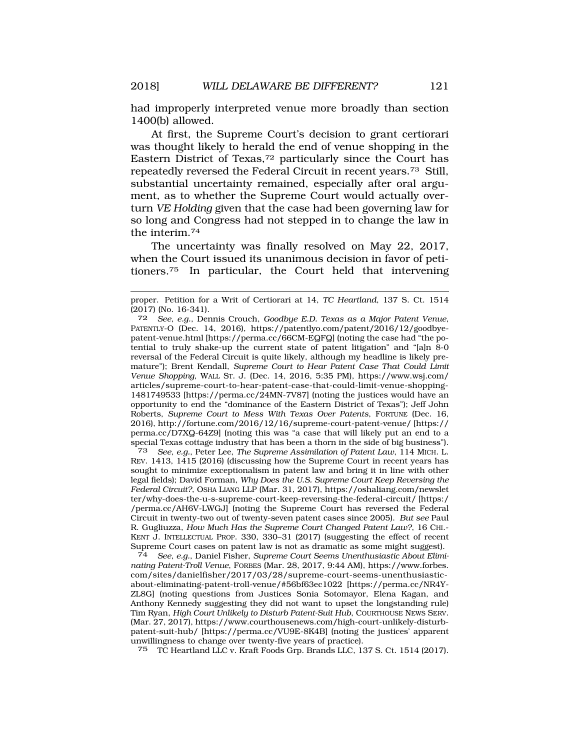had improperly interpreted venue more broadly than section 1400(b) allowed.

At first, the Supreme Court's decision to grant certiorari was thought likely to herald the end of venue shopping in the Eastern District of Texas,72 particularly since the Court has repeatedly reversed the Federal Circuit in recent [years.73](http:years.73) Still, substantial uncertainty remained, especially after oral argument, as to whether the Supreme Court would actually overturn *VE Holding* given that the case had been governing law for so long and Congress had not stepped in to change the law in the [interim.74](http:interim.74)

The uncertainty was finally resolved on May 22, 2017, when the Court issued its unanimous decision in favor of peti[tioners.75](http:tioners.75) In particular, the Court held that intervening

72 *See, e.g.*, Dennis Crouch, *Goodbye E.D. Texas as a Major Patent Venue*, PATENTLY-O (Dec. 14, 2016), <https://patentlyo.com/patent/2016/12/goodbye>patent-venue.html [[https://perma.cc/66CM-EQFQ\]](https://perma.cc/66CM-EQFQ) (noting the case had "the potential to truly shake-up the current state of patent litigation" and "[a]n 8-0 reversal of the Federal Circuit is quite likely, although my headline is likely premature"); Brent Kendall, *Supreme Court to Hear Patent Case That Could Limit Venue Shopping*, WALL ST. J. (Dec. 14, 2016, 5:35 PM), [https://www.wsj.com/](http:https://www.wsj.com) articles/supreme-court-to-hear-patent-case-that-could-limit-venue-shopping-1481749533 [\[https://perma.cc/24MN-7V87\]](https://perma.cc/24MN-7V87) (noting the justices would have an opportunity to end the "dominance of the Eastern District of Texas"); Jeff John Roberts, *Supreme Court to Mess With Texas Over Patents*, FORTUNE (Dec. 16, 2016),<http://fortune.com/2016/12/16/supreme-court-patent-venue>/ [https:// perma.cc/D7XQ-64Z9] (noting this was "a case that will likely put an end to a special Texas cottage industry that has been a thorn in the side of big business").<br>
The Superversion of Patent Law, 114 MiCH, L

73 *See, e.g.*, Peter Lee, *The Supreme Assimilation of Patent Law*, 114 MICH. L. REV. 1413, 1415 (2016) (discussing how the Supreme Court in recent years has sought to minimize exceptionalism in patent law and bring it in line with other legal fields); David Forman, *Why Does the U.S. Supreme Court Keep Reversing the Federal Circuit?*, OSHA LIANG LLP (Mar. 31, 2017),<https://oshaliang.com/newslet> ter/why-does-the-u-s-supreme-court-keep-reversing-the-federal-circuit/ [https:/ /perma.cc/AH6V-LWGJ] (noting the Supreme Court has reversed the Federal Circuit in twenty-two out of twenty-seven patent cases since 2005). *But see* Paul R. Gugliuzza, *How Much Has the Supreme Court Changed Patent Law?*, 16 CHI.- KENT J. INTELLECTUAL PROP. 330, 330–31 (2017) (suggesting the effect of recent Supreme Court cases on patent law is not as dramatic as some might suggest).

74 *See, e.g.*, Daniel Fisher, *Supreme Court Seems Unenthusiastic About Eliminating Patent-Troll Venue*, FORBES (Mar. 28, 2017, 9:44 AM), <https://www.forbes>. com/sites/danielfisher/2017/03/28/supreme-court-seems-unenthusiasticabout-eliminating-patent-troll-venue/#56bf63ec1022 [[https://perma.cc/NR4Y-](https://perma.cc/NR4Y)ZL8G] (noting questions from Justices Sonia Sotomayor, Elena Kagan, and Anthony Kennedy suggesting they did not want to upset the longstanding rule) Tim Ryan, *High Court Unlikely to Disturb Patent-Suit Hub*, COURTHOUSE NEWS SERV. (Mar. 27, 2017),<https://www.courthousenews.com/high-court-unlikely-disturb>patent-suit-hub/ [<https://perma.cc/VU9E-8K4B>] (noting the justices' apparent unwillingness to change over twenty-five years of practice).

75 TC Heartland LLC v. Kraft Foods Grp. Brands LLC, 137 S. Ct. 1514 (2017).

proper. Petition for a Writ of Certiorari at 14, *TC Heartland*, 137 S. Ct. 1514 (2017) (No. 16-341).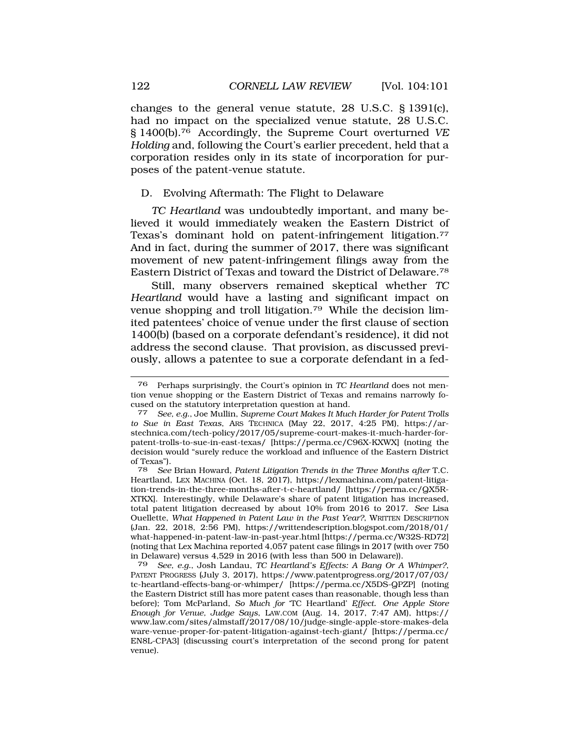<span id="page-21-0"></span>changes to the general venue statute, 28 U.S.C. § 1391(c), had no impact on the specialized venue statute, 28 U.S.C. § [1400\(b\).76](http:1400(b).76) Accordingly, the Supreme Court overturned *VE Holding* and, following the Court's earlier precedent, held that a corporation resides only in its state of incorporation for purposes of the patent-venue statute.

## D. Evolving Aftermath: The Flight to Delaware

*TC Heartland* was undoubtedly important, and many believed it would immediately weaken the Eastern District of Texas's dominant hold on patent-infringement [litigation.77](http:litigation.77)  And in fact, during the summer of 2017, there was significant movement of new patent-infringement filings away from the Eastern District of Texas and toward the District of [Delaware.78](http:Delaware.78) 

Still, many observers remained skeptical whether *TC Heartland* would have a lasting and significant impact on venue shopping and troll [litigation.79](http:litigation.79) While the decision limited patentees' choice of venue under the first clause of section 1400(b) (based on a corporate defendant's residence), it did not address the second clause. That provision, as discussed previously, allows a patentee to sue a corporate defendant in a fed-

<sup>76</sup> Perhaps surprisingly, the Court's opinion in *TC Heartland* does not mention venue shopping or the Eastern District of Texas and remains narrowly focused on the statutory interpretation question at hand.

<sup>77</sup> *See, e.g.*, Joe Mullin, *Supreme Court Makes It Much Harder for Patent Trolls to Sue in East Texas*, ARS TECHNICA (May 22, 2017, 4:25 PM), <https://ar>[stechnica.com/tech-policy/2017/05/supreme-court-makes-it-much-harder-for](https://stechnica.com/tech-policy/2017/05/supreme-court-makes-it-much-harder-for)patent-trolls-to-sue-in-east-texas/ [<https://perma.cc/C96X-KXWX>] (noting the decision would "surely reduce the workload and influence of the Eastern District of Texas").<br>78 See

<sup>78</sup> *See* Brian Howard, *Patent Litigation Trends in the Three Months after* T.C. Heartland, LEX MACHINA (Oct. 18, 2017), <https://lexmachina.com/patent-litiga>tion-trends-in-the-three-months-after-t-c-heartland/ [[https://perma.cc/QX5R-](https://perma.cc/QX5R)XTKX]. Interestingly, while Delaware's share of patent litigation has increased, total patent litigation decreased by about 10% from 2016 to 2017. *See* Lisa Ouellette, *What Happened in Patent Law in the Past Year?*, WRITTEN DESCRIPTION (Jan. 22, 2018, 2:56 PM), [https://writtendescription.blogspot.com/2018/01/](https://writtendescription.blogspot.com/2018/01) what-happened-in-patent-law-in-past-year.html [<https://perma.cc/W32S-RD72>] (noting that Lex Machina reported 4,057 patent case filings in 2017 (with over 750 in Delaware) versus 4,529 in 2016 (with less than 500 in Delaware)).<br> $79$  See, e.g., Josh Landau, TC Heartland's Effects: A Bang Or A

<sup>79</sup> *See, e.g.*, Josh Landau, *TC Heartland's Effects: A Bang Or A Whimper?*, PATENT PROGRESS (July 3, 2017), [https://www.patentprogress.org/2017/07/03/](https://www.patentprogress.org/2017/07/03) tc-heartland-effects-bang-or-whimper/ [\[https://perma.cc/X5DS-QPZP](https://perma.cc/X5DS-QPZP)] (noting the Eastern District still has more patent cases than reasonable, though less than before); Tom McParland, *So Much for* 'TC Heartland' *Effect. One Apple Store Enough for Venue, Judge Says*, LAW.COM (Aug. 14, 2017, 7:47 AM), https:// <www.law.com/sites/almstaff/2017/08/10/judge-single-apple-store-makes-dela> ware-venue-proper-for-patent-litigation-against-tech-giant/ [[https://perma.cc/](http:https://perma.cc) EN8L-CPA3] (discussing court's interpretation of the second prong for patent venue).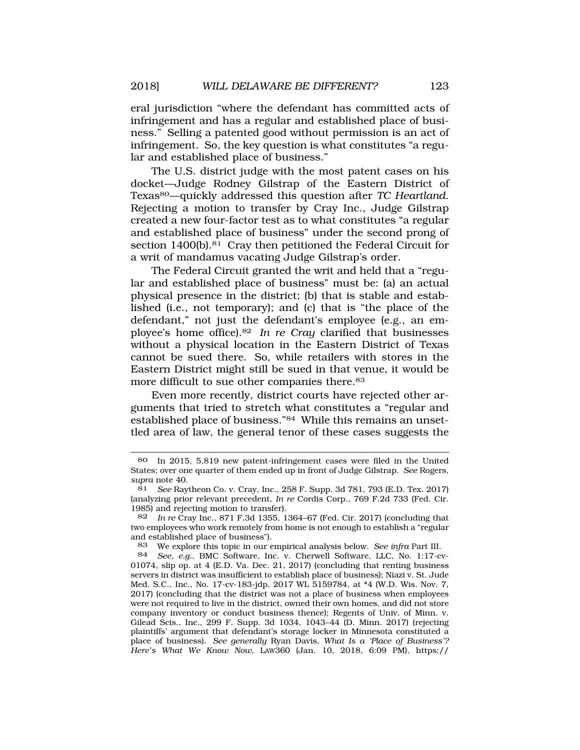eral jurisdiction "where the defendant has committed acts of infringement and has a regular and established place of business." Selling a patented good without permission is an act of infringement. So, the key question is what constitutes "a regular and established place of business."

The U.S. district judge with the most patent cases on his docket—Judge Rodney Gilstrap of the Eastern District of Texas80—quickly addressed this question after *TC Heartland*. Rejecting a motion to transfer by Cray Inc., Judge Gilstrap created a new four-factor test as to what constitutes "a regular and established place of business" under the second prong of section 1400(b).<sup>81</sup> Cray then petitioned the Federal Circuit for a writ of mandamus vacating Judge Gilstrap's order.

The Federal Circuit granted the writ and held that a "regular and established place of business" must be: (a) an actual physical presence in the district; (b) that is stable and established (i.e., not temporary); and (c) that is "the place of the defendant," not just the defendant's employee (e.g., an employee's home [office\).82](http:office).82) *In re Cray* clarified that businesses without a physical location in the Eastern District of Texas cannot be sued there. So, while retailers with stores in the Eastern District might still be sued in that venue, it would be more difficult to sue other companies there.<sup>83</sup>

Even more recently, district courts have rejected other arguments that tried to stretch what constitutes a "regular and established place of business."84 While this remains an unsettled area of law, the general tenor of these cases suggests the

<sup>80</sup> In 2015, 5,819 new patent-infringement cases were filed in the United States; over one quarter of them ended up in front of Judge Gilstrap. *See* Rogers, *supra* note 40.

<sup>81</sup> *See* Raytheon Co. v. Cray, Inc., 258 F. Supp. 3d 781, 793 (E.D. Tex. 2017) (analyzing prior relevant precedent, *In re* Cordis Corp., 769 F.2d 733 (Fed. Cir. 1985) and rejecting motion to transfer).

<sup>82</sup> *In re* Cray Inc., 871 F.3d 1355, 1364–67 (Fed. Cir. 2017) (concluding that two employees who work remotely from home is not enough to establish a "regular and established place of business").

<sup>83</sup> We explore this topic in our empirical analysis below. *See infra* Part III.

<sup>84</sup> *See, e.g.*, BMC Software, Inc. v. Cherwell Software, LLC, No. 1:17-cv-01074, slip op. at 4 (E.D. Va. Dec. 21, 2017) (concluding that renting business servers in district was insufficient to establish place of business); Niazi v. St. Jude Med. S.C., Inc., No. 17-cv-183-jdp, 2017 WL 5159784, at \*4 (W.D. Wis. Nov. 7, 2017) (concluding that the district was not a place of business when employees were not required to live in the district, owned their own homes, and did not store company inventory or conduct business thence); Regents of Univ. of Minn. v. Gilead Scis., Inc*.*, 299 F. Supp. 3d 1034, 1043–44 (D. Minn. 2017) (rejecting plaintiffs' argument that defendant's storage locker in Minnesota constituted a place of business). *See generally* Ryan Davis, *What Is a 'Place of Business'? Here's What We Know Now*, LAW360 (Jan. 10, 2018, 6:09 PM), https://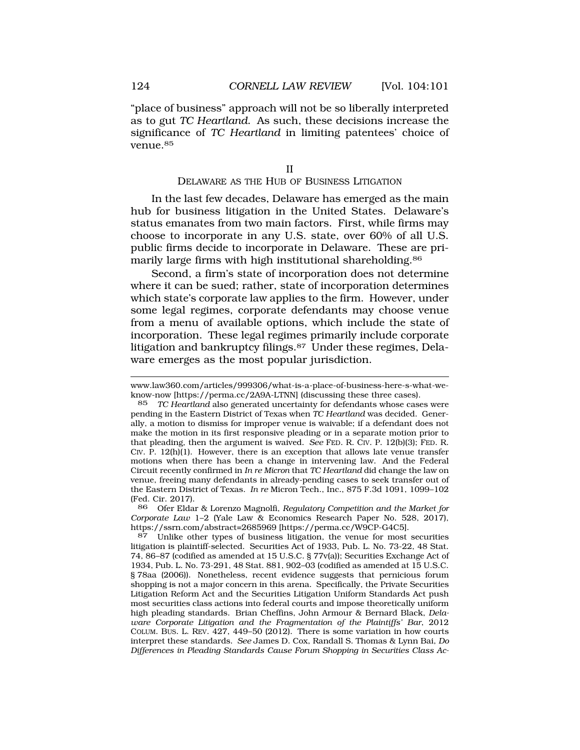<span id="page-23-0"></span>"place of business" approach will not be so liberally interpreted as to gut *TC Heartland*. As such, these decisions increase the significance of *TC Heartland* in limiting patentees' choice of [venue.85](http:venue.85)

### DELAWARE AS THE HUB OF BUSINESS LITIGATION

In the last few decades, Delaware has emerged as the main hub for business litigation in the United States. Delaware's status emanates from two main factors. First, while firms may choose to incorporate in any U.S. state, over 60% of all U.S. public firms decide to incorporate in Delaware. These are primarily large firms with high institutional [shareholding.86](http:shareholding.86) 

Second, a firm's state of incorporation does not determine where it can be sued; rather, state of incorporation determines which state's corporate law applies to the firm. However, under some legal regimes, corporate defendants may choose venue from a menu of available options, which include the state of incorporation. These legal regimes primarily include corporate litigation and bankruptcy [filings.87](http:filings.87) Under these regimes, Delaware emerges as the most popular jurisdiction.

<www.law360.com/articles/999306/what-is-a-place-of-business-here-s-what-we>know-now [\[https://perma.cc/2A9A-LTNN](https://perma.cc/2A9A-LTNN)] (discussing these three cases).

<sup>85</sup> *TC Heartland* also generated uncertainty for defendants whose cases were pending in the Eastern District of Texas when *TC Heartland* was decided. Generally, a motion to dismiss for improper venue is waivable; if a defendant does not make the motion in its first responsive pleading or in a separate motion prior to that pleading, then the argument is waived. *See* FED. R. CIV. P. 12(b)(3); FED. R. CIV. P.  $12(h)(1)$ . However, there is an exception that allows late venue transfer motions when there has been a change in intervening law. And the Federal Circuit recently confirmed in *In re Micron* that *TC Heartland* did change the law on venue, freeing many defendants in already-pending cases to seek transfer out of the Eastern District of Texas. *In re* Micron Tech., Inc*.*, 875 F.3d 1091, 1099–102 (Fed. Cir. 2017).

<sup>86</sup> Ofer Eldar & Lorenzo Magnolfi, *Regulatory Competition and the Market for Corporate Law* 1–2 (Yale Law & Economics Research Paper No. 528, 2017), <https://ssrn.com/abstract=2685969> [\[https://perma.cc/W9CP-G4C5\]](https://perma.cc/W9CP-G4C5).

<sup>87</sup> Unlike other types of business litigation, the venue for most securities litigation is plaintiff-selected. Securities Act of 1933, Pub. L. No. 73-22, 48 Stat. 74, 86–87 (codified as amended at 15 U.S.C. § 77v(a)); Securities Exchange Act of 1934, Pub. L. No. 73-291, 48 Stat. 881, 902–03 (codified as amended at 15 U.S.C. § 78aa (2006)). Nonetheless, recent evidence suggests that pernicious forum shopping is not a major concern in this arena. Specifically, the Private Securities Litigation Reform Act and the Securities Litigation Uniform Standards Act push most securities class actions into federal courts and impose theoretically uniform high pleading standards. Brian Cheffins, John Armour & Bernard Black, *Delaware Corporate Litigation and the Fragmentation of the Plaintiffs' Bar*, 2012 COLUM. BUS. L. REV. 427, 449–50 (2012). There is some variation in how courts interpret these standards. *See* James D. Cox, Randall S. Thomas & Lynn Bai, *Do Differences in Pleading Standards Cause Forum Shopping in Securities Class Ac-*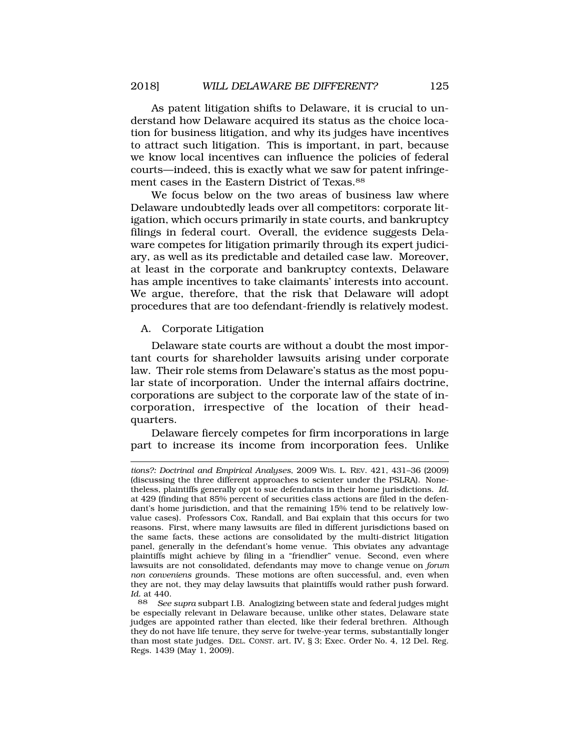<span id="page-24-0"></span>As patent litigation shifts to Delaware, it is crucial to understand how Delaware acquired its status as the choice location for business litigation, and why its judges have incentives to attract such litigation. This is important, in part, because we know local incentives can influence the policies of federal courts—indeed, this is exactly what we saw for patent infringement cases in the Eastern District of [Texas.88](http:Texas.88)

We focus below on the two areas of business law where Delaware undoubtedly leads over all competitors: corporate litigation, which occurs primarily in state courts, and bankruptcy filings in federal court. Overall, the evidence suggests Delaware competes for litigation primarily through its expert judiciary, as well as its predictable and detailed case law. Moreover, at least in the corporate and bankruptcy contexts, Delaware has ample incentives to take claimants' interests into account. We argue, therefore, that the risk that Delaware will adopt procedures that are too defendant-friendly is relatively modest.

### A. Corporate Litigation

Delaware state courts are without a doubt the most important courts for shareholder lawsuits arising under corporate law. Their role stems from Delaware's status as the most popular state of incorporation. Under the internal affairs doctrine, corporations are subject to the corporate law of the state of incorporation, irrespective of the location of their headquarters.

Delaware fiercely competes for firm incorporations in large part to increase its income from incorporation fees. Unlike

*tions?: Doctrinal and Empirical Analyses*, 2009 WIS. L. REV. 421, 431–36 (2009) (discussing the three different approaches to scienter under the PSLRA). Nonetheless, plaintiffs generally opt to sue defendants in their home jurisdictions. *Id.*  at 429 (finding that 85% percent of securities class actions are filed in the defendant's home jurisdiction, and that the remaining 15% tend to be relatively lowvalue cases). Professors Cox, Randall, and Bai explain that this occurs for two reasons. First, where many lawsuits are filed in different jurisdictions based on the same facts, these actions are consolidated by the multi-district litigation panel, generally in the defendant's home venue. This obviates any advantage plaintiffs might achieve by filing in a "friendlier" venue. Second, even where lawsuits are not consolidated, defendants may move to change venue on *forum non conveniens* grounds. These motions are often successful, and, even when they are not, they may delay lawsuits that plaintiffs would rather push forward. *Id.* at 440.

<sup>88</sup> *See supra* subpart I.B. Analogizing between state and federal judges might be especially relevant in Delaware because, unlike other states, Delaware state judges are appointed rather than elected, like their federal brethren. Although they do not have life tenure, they serve for twelve-year terms, substantially longer than most state judges. DEL. CONST. art. IV, § 3; Exec. Order No. 4, 12 Del. Reg. Regs. 1439 (May 1, 2009).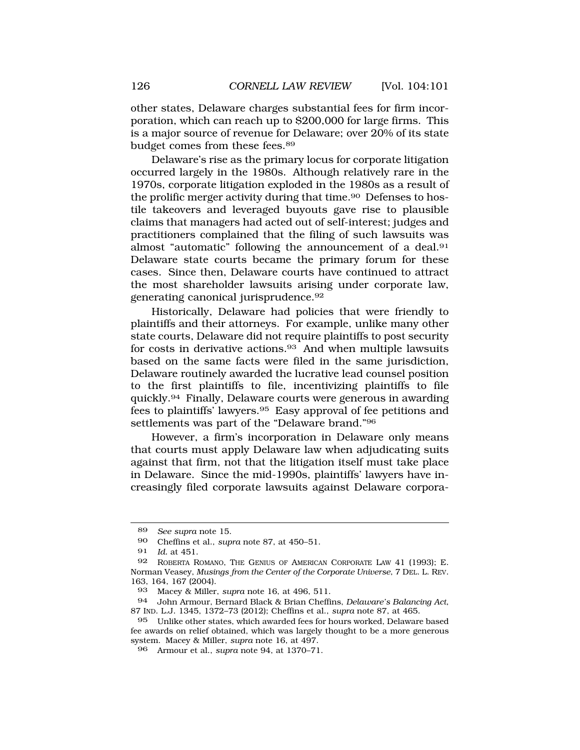other states, Delaware charges substantial fees for firm incorporation, which can reach up to \$200,000 for large firms. This is a major source of revenue for Delaware; over 20% of its state budget comes from these fees.89

Delaware's rise as the primary locus for corporate litigation occurred largely in the 1980s. Although relatively rare in the 1970s, corporate litigation exploded in the 1980s as a result of the prolific merger activity during that time.<sup>90</sup> Defenses to hostile takeovers and leveraged buyouts gave rise to plausible claims that managers had acted out of self-interest; judges and practitioners complained that the filing of such lawsuits was almost "automatic" following the announcement of a deal.91 Delaware state courts became the primary forum for these cases. Since then, Delaware courts have continued to attract the most shareholder lawsuits arising under corporate law, generating canonical [jurisprudence.92](http:jurisprudence.92)

Historically, Delaware had policies that were friendly to plaintiffs and their attorneys. For example, unlike many other state courts, Delaware did not require plaintiffs to post security for costs in derivative actions.<sup>93</sup> And when multiple lawsuits based on the same facts were filed in the same jurisdiction, Delaware routinely awarded the lucrative lead counsel position to the first plaintiffs to file, incentivizing plaintiffs to file [quickly.94](http:quickly.94) Finally, Delaware courts were generous in awarding fees to plaintiffs' [lawyers.95](http:lawyers.95) Easy approval of fee petitions and settlements was part of the "Delaware brand."96

However, a firm's incorporation in Delaware only means that courts must apply Delaware law when adjudicating suits against that firm, not that the litigation itself must take place in Delaware. Since the mid-1990s, plaintiffs' lawyers have increasingly filed corporate lawsuits against Delaware corpora-

<sup>89</sup> *See supra* note 15.

<sup>90</sup> Cheffins et al., *supra* note 87, at 450–51.

<sup>91</sup> *Id.* at 451.

<sup>92</sup> ROBERTA ROMANO, THE GENIUS OF AMERICAN CORPORATE LAW 41 (1993); E. Norman Veasey, *Musings from the Center of the Corporate Universe*, 7 DEL. L. REV. 163, 164, 167 (2004).

<sup>93</sup> Macey & Miller, *supra* note 16, at 496, 511.

<sup>94</sup> John Armour, Bernard Black & Brian Cheffins, *Delaware's Balancing Act*, 87 IND. L.J. 1345, 1372–73 (2012); Cheffins et al., *supra* note 87, at 465.

<sup>95</sup> Unlike other states, which awarded fees for hours worked, Delaware based fee awards on relief obtained, which was largely thought to be a more generous system. Macey & Miller, *supra* note 16, at 497.

<sup>96</sup> Armour et al., *supra* note 94, at 1370–71.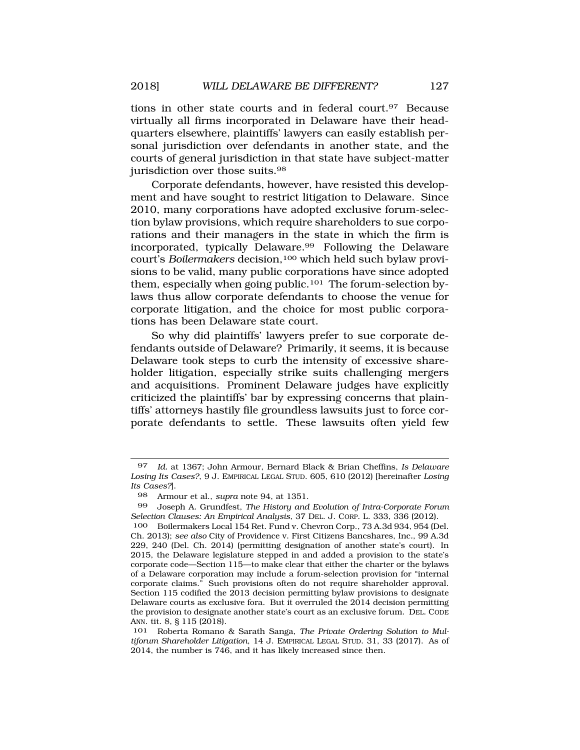tions in other state courts and in federal [court.97](http:court.97) Because virtually all firms incorporated in Delaware have their headquarters elsewhere, plaintiffs' lawyers can easily establish personal jurisdiction over defendants in another state, and the courts of general jurisdiction in that state have subject-matter jurisdiction over those [suits.98](http:suits.98)

Corporate defendants, however, have resisted this development and have sought to restrict litigation to Delaware. Since 2010, many corporations have adopted exclusive forum-selection bylaw provisions, which require shareholders to sue corporations and their managers in the state in which the firm is incorporated, typically Delaware.<sup>99</sup> Following the Delaware court's *Boilermakers* decision,100 which held such bylaw provisions to be valid, many public corporations have since adopted them, especially when going public.<sup>101</sup> The forum-selection bylaws thus allow corporate defendants to choose the venue for corporate litigation, and the choice for most public corporations has been Delaware state court.

So why did plaintiffs' lawyers prefer to sue corporate defendants outside of Delaware? Primarily, it seems, it is because Delaware took steps to curb the intensity of excessive shareholder litigation, especially strike suits challenging mergers and acquisitions. Prominent Delaware judges have explicitly criticized the plaintiffs' bar by expressing concerns that plaintiffs' attorneys hastily file groundless lawsuits just to force corporate defendants to settle. These lawsuits often yield few

<sup>97</sup> *Id.* at 1367; John Armour, Bernard Black & Brian Cheffins, *Is Delaware Losing Its Cases?*, 9 J. EMPIRICAL LEGAL STUD. 605, 610 (2012) [hereinafter *Losing Its Cases?*].

<sup>98</sup> Armour et al., *supra* note 94, at 1351.

<sup>99</sup> Joseph A. Grundfest, *The History and Evolution of Intra-Corporate Forum Selection Clauses: An Empirical Analysis*, 37 DEL. J. CORP. L. 333, 336 (2012).

<sup>100</sup> Boilermakers Local 154 Ret. Fund v. Chevron Corp., 73 A.3d 934, 954 (Del. Ch. 2013); *see also* City of Providence v. First Citizens Bancshares, Inc*.*, 99 A.3d 229, 240 (Del. Ch. 2014) (permitting designation of another state's court). In 2015, the Delaware legislature stepped in and added a provision to the state's corporate code—Section 115—to make clear that either the charter or the bylaws of a Delaware corporation may include a forum-selection provision for "internal corporate claims." Such provisions often do not require shareholder approval. Section 115 codified the 2013 decision permitting bylaw provisions to designate Delaware courts as exclusive fora. But it overruled the 2014 decision permitting the provision to designate another state's court as an exclusive forum. DEL. CODE ANN. tit. 8, § 115 (2018).

<sup>101</sup> Roberta Romano & Sarath Sanga, *The Private Ordering Solution to Multiforum Shareholder Litigation*, 14 J. EMPIRICAL LEGAL STUD. 31, 33 (2017). As of 2014, the number is 746, and it has likely increased since then.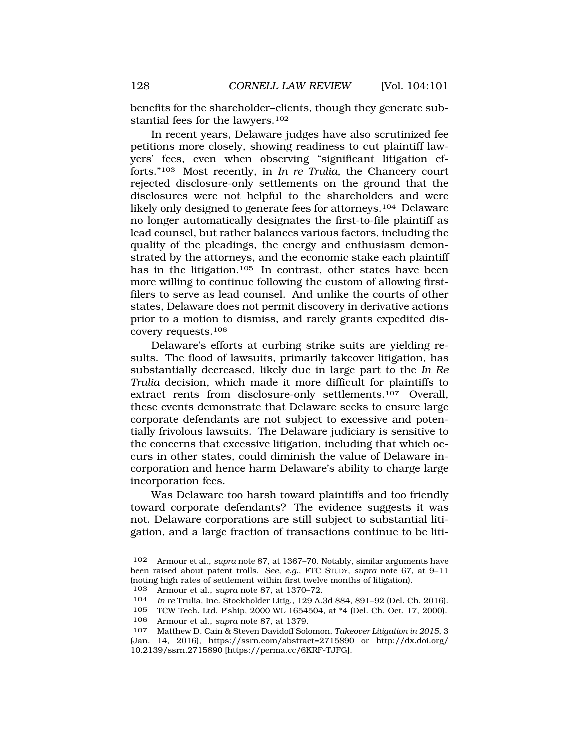benefits for the shareholder–clients, though they generate substantial fees for the lawyers.102

In recent years, Delaware judges have also scrutinized fee petitions more closely, showing readiness to cut plaintiff lawyers' fees, even when observing "significant litigation efforts."103 Most recently, in *In re Trulia*, the Chancery court rejected disclosure-only settlements on the ground that the disclosures were not helpful to the shareholders and were likely only designed to generate fees for attorneys.104 Delaware no longer automatically designates the first-to-file plaintiff as lead counsel, but rather balances various factors, including the quality of the pleadings, the energy and enthusiasm demonstrated by the attorneys, and the economic stake each plaintiff has in the litigation.<sup>105</sup> In contrast, other states have been more willing to continue following the custom of allowing firstfilers to serve as lead counsel. And unlike the courts of other states, Delaware does not permit discovery in derivative actions prior to a motion to dismiss, and rarely grants expedited discovery requests.106

Delaware's efforts at curbing strike suits are yielding results. The flood of lawsuits, primarily takeover litigation, has substantially decreased, likely due in large part to the *In Re Trulia* decision, which made it more difficult for plaintiffs to extract rents from disclosure-only settlements.107 Overall, these events demonstrate that Delaware seeks to ensure large corporate defendants are not subject to excessive and potentially frivolous lawsuits. The Delaware judiciary is sensitive to the concerns that excessive litigation, including that which occurs in other states, could diminish the value of Delaware incorporation and hence harm Delaware's ability to charge large incorporation fees.

Was Delaware too harsh toward plaintiffs and too friendly toward corporate defendants? The evidence suggests it was not. Delaware corporations are still subject to substantial litigation, and a large fraction of transactions continue to be liti-

<sup>102</sup> Armour et al., *supra* note 87, at 1367–70. Notably, similar arguments have been raised about patent trolls. *See, e.g.*, FTC STUDY, *supra* note 67, at 9–11 (noting high rates of settlement within first twelve months of litigation).

<sup>103</sup> Armour et al., *supra* note 87, at 1370–72.

<sup>104</sup> *In re* Trulia, Inc. Stockholder Litig., 129 A.3d 884, 891–92 (Del. Ch. 2016).

<sup>105</sup> TCW Tech. Ltd. P'ship, 2000 WL 1654504, at \*4 (Del. Ch. Oct. 17, 2000).

<sup>106</sup> Armour et al., *supra* note 87, at 1379.

<sup>107</sup> Matthew D. Cain & Steven Davidoff Solomon, *Takeover Litigation in 2015*, 3 (Jan. 14, 2016), <https://ssrn.com/abstract=2715890> or [http://dx.doi.org/](http:http://dx.doi.org) 10.2139/ssrn.2715890 [\[https://perma.cc/6KRF-TJFG](https://perma.cc/6KRF-TJFG)].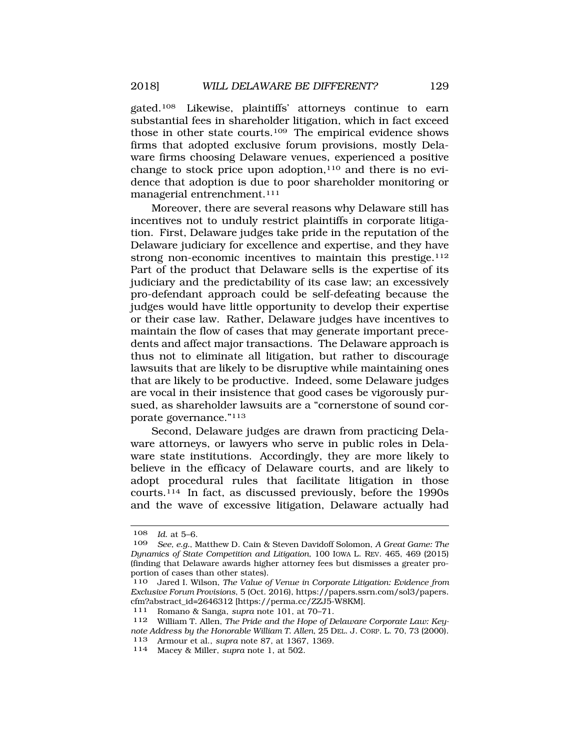gated.108 Likewise, plaintiffs' attorneys continue to earn substantial fees in shareholder litigation, which in fact exceed those in other state courts.109 The empirical evidence shows firms that adopted exclusive forum provisions, mostly Delaware firms choosing Delaware venues, experienced a positive change to stock price upon adoption,<sup>110</sup> and there is no evidence that adoption is due to poor shareholder monitoring or managerial entrenchment.111

Moreover, there are several reasons why Delaware still has incentives not to unduly restrict plaintiffs in corporate litigation. First, Delaware judges take pride in the reputation of the Delaware judiciary for excellence and expertise, and they have strong non-economic incentives to maintain this prestige.<sup>112</sup> Part of the product that Delaware sells is the expertise of its judiciary and the predictability of its case law; an excessively pro-defendant approach could be self-defeating because the judges would have little opportunity to develop their expertise or their case law. Rather, Delaware judges have incentives to maintain the flow of cases that may generate important precedents and affect major transactions. The Delaware approach is thus not to eliminate all litigation, but rather to discourage lawsuits that are likely to be disruptive while maintaining ones that are likely to be productive. Indeed, some Delaware judges are vocal in their insistence that good cases be vigorously pursued, as shareholder lawsuits are a "cornerstone of sound corporate governance."113

Second, Delaware judges are drawn from practicing Delaware attorneys, or lawyers who serve in public roles in Delaware state institutions. Accordingly, they are more likely to believe in the efficacy of Delaware courts, and are likely to adopt procedural rules that facilitate litigation in those courts.114 In fact, as discussed previously, before the 1990s and the wave of excessive litigation, Delaware actually had

<sup>108</sup> *Id*. at 5–6.

<sup>109</sup> *See, e.g.*, Matthew D. Cain & Steven Davidoff Solomon, *A Great Game: The Dynamics of State Competition and Litigation*, 100 IOWA L. REV. 465, 469 (2015) (finding that Delaware awards higher attorney fees but dismisses a greater proportion of cases than other states).

<sup>110</sup> Jared I. Wilson, *The Value of Venue in Corporate Litigation: Evidence from Exclusive Forum Provisions*, 5 (Oct. 2016),<https://papers.ssrn.com/sol3/papers>. cfm?abstract\_id=2646312 [\[https://perma.cc/ZZJ5-W8KM\]](https://perma.cc/ZZJ5-W8KM). 111 Romano & Sanga, *supra* note 101, at 70–71.

<sup>112</sup> William T. Allen, *The Pride and the Hope of Delaware Corporate Law: Keynote Address by the Honorable William T. Allen*, 25 DEL. J. CORP. L. 70, 73 (2000).

<sup>113</sup> Armour et al., *supra* note 87, at 1367, 1369. 114 Macey & Miller, *supra* note 1, at 502.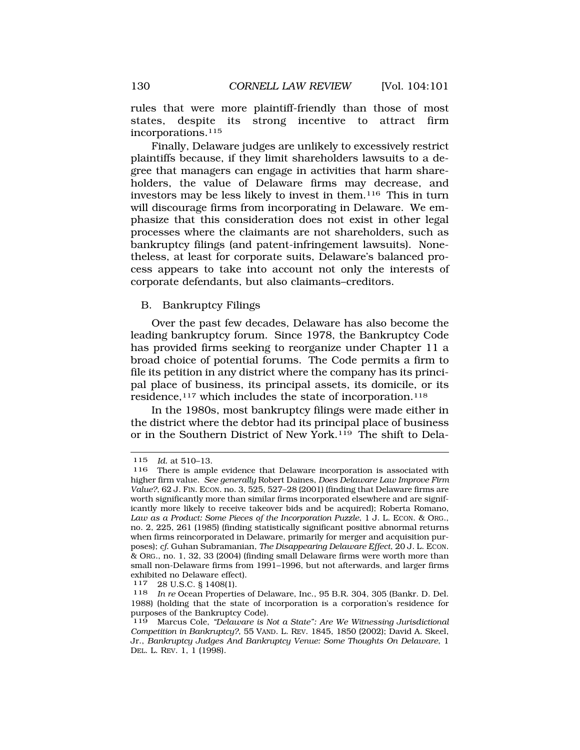<span id="page-29-0"></span>rules that were more plaintiff-friendly than those of most states, despite its strong incentive to attract firm incorporations.115

Finally, Delaware judges are unlikely to excessively restrict plaintiffs because, if they limit shareholders lawsuits to a degree that managers can engage in activities that harm shareholders, the value of Delaware firms may decrease, and investors may be less likely to invest in them.116 This in turn will discourage firms from incorporating in Delaware. We emphasize that this consideration does not exist in other legal processes where the claimants are not shareholders, such as bankruptcy filings (and patent-infringement lawsuits). Nonetheless, at least for corporate suits, Delaware's balanced process appears to take into account not only the interests of corporate defendants, but also claimants–creditors.

### B. Bankruptcy Filings

Over the past few decades, Delaware has also become the leading bankruptcy forum. Since 1978, the Bankruptcy Code has provided firms seeking to reorganize under Chapter 11 a broad choice of potential forums. The Code permits a firm to file its petition in any district where the company has its principal place of business, its principal assets, its domicile, or its residence,<sup>117</sup> which includes the state of incorporation.<sup>118</sup>

In the 1980s, most bankruptcy filings were made either in the district where the debtor had its principal place of business or in the Southern District of New York.119 The shift to Dela-

<sup>115</sup> *Id.* at 510–13.

There is ample evidence that Delaware incorporation is associated with higher firm value. *See generally* Robert Daines, *Does Delaware Law Improve Firm Value?*, 62 J. FIN. ECON. no. 3, 525, 527–28 (2001) (finding that Delaware firms are worth significantly more than similar firms incorporated elsewhere and are significantly more likely to receive takeover bids and be acquired); Roberta Romano, *Law as a Product: Some Pieces of the Incorporation Puzzle*, 1 J. L. ECON. & ORG., no. 2, 225, 261 (1985) (finding statistically significant positive abnormal returns when firms reincorporated in Delaware, primarily for merger and acquisition purposes); *cf.* Guhan Subramanian, *The Disappearing Delaware Effect*, 20 J. L. ECON. & ORG., no. 1, 32, 33 (2004) (finding small Delaware firms were worth more than small non-Delaware firms from 1991–1996, but not afterwards, and larger firms exhibited no Delaware effect).

<sup>117 28</sup> U.S.C. § 1408(1).<br>118 *In re* Ocean Propertie

In re Ocean Properties of Delaware, Inc., 95 B.R. 304, 305 (Bankr. D. Del. 1988) (holding that the state of incorporation is a corporation's residence for purposes of the Bankruptcy Code).

<sup>119</sup> Marcus Cole, *"Delaware is Not a State": Are We Witnessing Jurisdictional Competition in Bankruptcy?*, 55 VAND. L. REV. 1845, 1850 (2002); David A. Skeel, Jr., *Bankruptcy Judges And Bankruptcy Venue: Some Thoughts On Delaware*, 1 DEL. L. REV. 1, 1 (1998).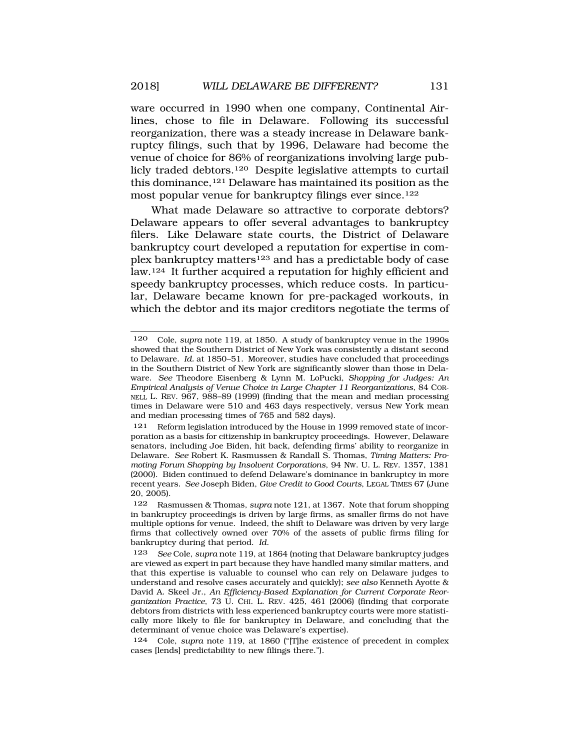ware occurred in 1990 when one company, Continental Airlines, chose to file in Delaware. Following its successful reorganization, there was a steady increase in Delaware bankruptcy filings, such that by 1996, Delaware had become the venue of choice for 86% of reorganizations involving large publicly traded debtors.120 Despite legislative attempts to curtail this dominance,121 Delaware has maintained its position as the most popular venue for bankruptcy filings ever since.122

What made Delaware so attractive to corporate debtors? Delaware appears to offer several advantages to bankruptcy filers. Like Delaware state courts, the District of Delaware bankruptcy court developed a reputation for expertise in complex bankruptcy matters123 and has a predictable body of case law.124 It further acquired a reputation for highly efficient and speedy bankruptcy processes, which reduce costs. In particular, Delaware became known for pre-packaged workouts, in which the debtor and its major creditors negotiate the terms of

<sup>120</sup> Cole, *supra* note 119, at 1850. A study of bankruptcy venue in the 1990s showed that the Southern District of New York was consistently a distant second to Delaware. *Id.* at 1850–51. Moreover, studies have concluded that proceedings in the Southern District of New York are significantly slower than those in Delaware. *See* Theodore Eisenberg & Lynn M. LoPucki, *Shopping for Judges: An Empirical Analysis of Venue Choice in Large Chapter 11 Reorganizations*, 84 COR-NELL L. REV. 967, 988–89 (1999) (finding that the mean and median processing times in Delaware were 510 and 463 days respectively, versus New York mean and median processing times of 765 and 582 days).

<sup>121</sup> Reform legislation introduced by the House in 1999 removed state of incorporation as a basis for citizenship in bankruptcy proceedings. However, Delaware senators, including Joe Biden, hit back, defending firms' ability to reorganize in Delaware. *See* Robert K. Rasmussen & Randall S. Thomas, *Timing Matters: Promoting Forum Shopping by Insolvent Corporations*, 94 NW. U. L. REV. 1357, 1381 (2000). Biden continued to defend Delaware's dominance in bankruptcy in more recent years. *See* Joseph Biden, *Give Credit to Good Courts*, LEGAL TIMES 67 (June 20, 2005).

<sup>122</sup> Rasmussen & Thomas, *supra* note 121, at 1367. Note that forum shopping in bankruptcy proceedings is driven by large firms, as smaller firms do not have multiple options for venue. Indeed, the shift to Delaware was driven by very large firms that collectively owned over 70% of the assets of public firms filing for bankruptcy during that period. *Id*.

<sup>123</sup> *See* Cole, *supra* note 119, at 1864 (noting that Delaware bankruptcy judges are viewed as expert in part because they have handled many similar matters, and that this expertise is valuable to counsel who can rely on Delaware judges to understand and resolve cases accurately and quickly); *see also* Kenneth Ayotte & David A. Skeel Jr., *An Efficiency-Based Explanation for Current Corporate Reorganization Practice*, 73 U. CHI. L. REV. 425, 461 (2006) (finding that corporate debtors from districts with less experienced bankruptcy courts were more statistically more likely to file for bankruptcy in Delaware, and concluding that the determinant of venue choice was Delaware's expertise).

<sup>124</sup> Cole, *supra* note 119, at 1860 ("[T]he existence of precedent in complex cases [lends] predictability to new filings there.").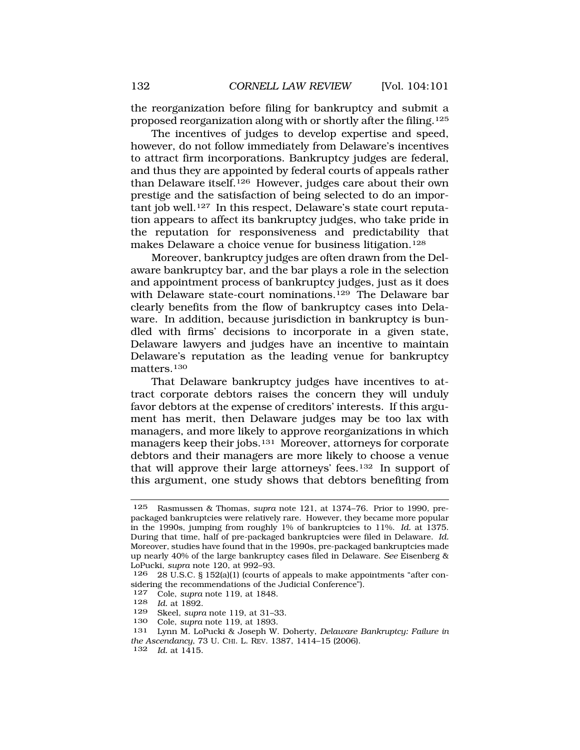the reorganization before filing for bankruptcy and submit a proposed reorganization along with or shortly after the filing.125

The incentives of judges to develop expertise and speed, however, do not follow immediately from Delaware's incentives to attract firm incorporations. Bankruptcy judges are federal, and thus they are appointed by federal courts of appeals rather than Delaware itself.126 However, judges care about their own prestige and the satisfaction of being selected to do an important job well.<sup>127</sup> In this respect, Delaware's state court reputation appears to affect its bankruptcy judges, who take pride in the reputation for responsiveness and predictability that makes Delaware a choice venue for business litigation.128

Moreover, bankruptcy judges are often drawn from the Delaware bankruptcy bar, and the bar plays a role in the selection and appointment process of bankruptcy judges, just as it does with Delaware state-court nominations.<sup>129</sup> The Delaware bar clearly benefits from the flow of bankruptcy cases into Delaware. In addition, because jurisdiction in bankruptcy is bundled with firms' decisions to incorporate in a given state, Delaware lawyers and judges have an incentive to maintain Delaware's reputation as the leading venue for bankruptcy matters.130

That Delaware bankruptcy judges have incentives to attract corporate debtors raises the concern they will unduly favor debtors at the expense of creditors' interests. If this argument has merit, then Delaware judges may be too lax with managers, and more likely to approve reorganizations in which managers keep their jobs.131 Moreover, attorneys for corporate debtors and their managers are more likely to choose a venue that will approve their large attorneys' fees.132 In support of this argument, one study shows that debtors benefiting from

<sup>125</sup> Rasmussen & Thomas, *supra* note 121, at 1374–76. Prior to 1990, prepackaged bankruptcies were relatively rare. However, they became more popular in the 1990s, jumping from roughly 1% of bankruptcies to 11%. *Id.* at 1375. During that time, half of pre-packaged bankruptcies were filed in Delaware. *Id.*  Moreover, studies have found that in the 1990s, pre-packaged bankruptcies made up nearly 40% of the large bankruptcy cases filed in Delaware. *See* Eisenberg & LoPucki, *supra* note 120, at 992–93.

<sup>126 28</sup> U.S.C. § 152(a)(1) (courts of appeals to make appointments "after considering the recommendations of the Judicial Conference").

<sup>127</sup> Cole, *supra* note 119, at 1848.

*Id.* at 1892.

<sup>129</sup> Skeel, *supra* note 119, at 31–33.

<sup>130</sup> Cole, *supra* note 119, at 1893.

<sup>131</sup> Lynn M. LoPucki & Joseph W. Doherty, *Delaware Bankruptcy: Failure in the Ascendancy*, 73 U. CHI. L. REV. 1387, 1414–15 (2006).

<sup>132</sup> *Id.* at 1415.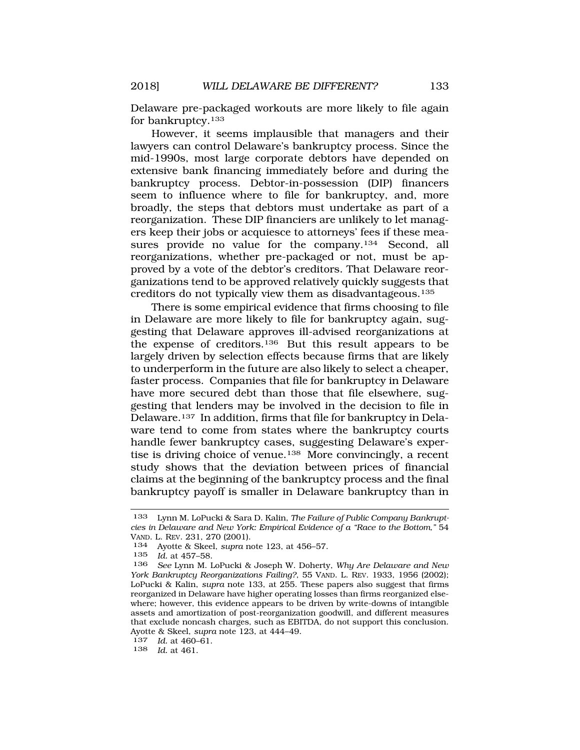Delaware pre-packaged workouts are more likely to file again for bankruptcy.133

However, it seems implausible that managers and their lawyers can control Delaware's bankruptcy process. Since the mid-1990s, most large corporate debtors have depended on extensive bank financing immediately before and during the bankruptcy process. Debtor-in-possession (DIP) financers seem to influence where to file for bankruptcy, and, more broadly, the steps that debtors must undertake as part of a reorganization. These DIP financiers are unlikely to let managers keep their jobs or acquiesce to attorneys' fees if these measures provide no value for the company.<sup>134</sup> Second, all reorganizations, whether pre-packaged or not, must be approved by a vote of the debtor's creditors. That Delaware reorganizations tend to be approved relatively quickly suggests that creditors do not typically view them as disadvantageous.135

There is some empirical evidence that firms choosing to file in Delaware are more likely to file for bankruptcy again, suggesting that Delaware approves ill-advised reorganizations at the expense of creditors.136 But this result appears to be largely driven by selection effects because firms that are likely to underperform in the future are also likely to select a cheaper, faster process. Companies that file for bankruptcy in Delaware have more secured debt than those that file elsewhere, suggesting that lenders may be involved in the decision to file in Delaware.137 In addition, firms that file for bankruptcy in Delaware tend to come from states where the bankruptcy courts handle fewer bankruptcy cases, suggesting Delaware's expertise is driving choice of venue.138 More convincingly, a recent study shows that the deviation between prices of financial claims at the beginning of the bankruptcy process and the final bankruptcy payoff is smaller in Delaware bankruptcy than in

<sup>133</sup> Lynn M. LoPucki & Sara D. Kalin, *The Failure of Public Company Bankruptcies in Delaware and New York: Empirical Evidence of a "Race to the Bottom,"* 54 VAND. L. REV. 231, 270 (2001).

<sup>134</sup> Ayotte & Skeel, *supra* note 123, at 456–57.

<sup>135</sup> *Id.* at 457–58.

<sup>136</sup> *See* Lynn M. LoPucki & Joseph W. Doherty, *Why Are Delaware and New York Bankruptcy Reorganizations Failing?*, 55 VAND. L. REV. 1933, 1956 (2002); LoPucki & Kalin, *supra* note 133, at 255. These papers also suggest that firms reorganized in Delaware have higher operating losses than firms reorganized elsewhere; however, this evidence appears to be driven by write-downs of intangible assets and amortization of post-reorganization goodwill, and different measures that exclude noncash charges, such as EBITDA, do not support this conclusion. Ayotte & Skeel, *supra* note 123, at 444–49.

<sup>137</sup> *Id.* at 460–61.

<sup>138</sup> *Id.* at 461.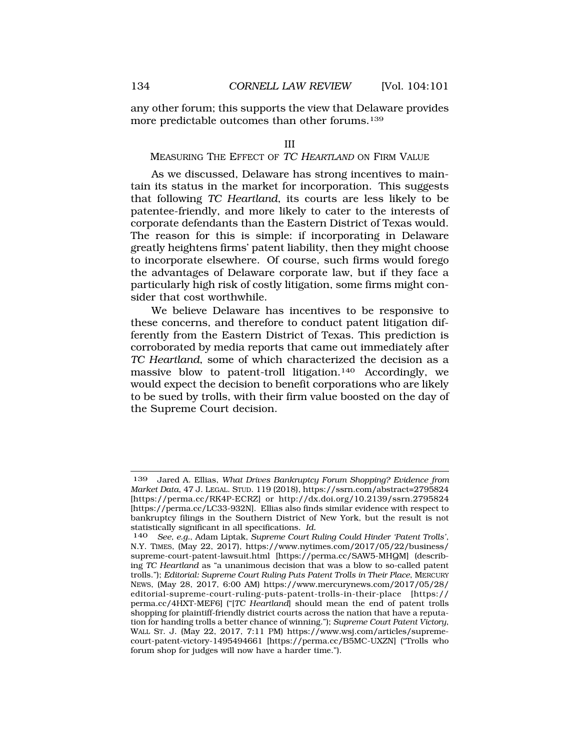<span id="page-33-0"></span>any other forum; this supports the view that Delaware provides more predictable outcomes than other forums.139

### III

## MEASURING THE EFFECT OF TC HEARTLAND ON FIRM VALUE

As we discussed, Delaware has strong incentives to maintain its status in the market for incorporation. This suggests that following *TC Heartland*, its courts are less likely to be patentee-friendly, and more likely to cater to the interests of corporate defendants than the Eastern District of Texas would. The reason for this is simple: if incorporating in Delaware greatly heightens firms' patent liability, then they might choose to incorporate elsewhere. Of course, such firms would forego the advantages of Delaware corporate law, but if they face a particularly high risk of costly litigation, some firms might consider that cost worthwhile.

We believe Delaware has incentives to be responsive to these concerns, and therefore to conduct patent litigation differently from the Eastern District of Texas. This prediction is corroborated by media reports that came out immediately after *TC Heartland*, some of which characterized the decision as a massive blow to patent-troll litigation.140 Accordingly, we would expect the decision to benefit corporations who are likely to be sued by trolls, with their firm value boosted on the day of the Supreme Court decision.

<sup>139</sup> Jared A. Ellias, *What Drives Bankruptcy Forum Shopping? Evidence from Market Data*, 47 J. LEGAL. STUD. 119 (2018),<https://ssrn.com/abstract=2795824> [[https://perma.cc/RK4P-ECRZ\]](https://perma.cc/RK4P-ECRZ) or <http://dx.doi.org/10.2139/ssrn.2795824> [<https://perma.cc/LC33-932N>]. Ellias also finds similar evidence with respect to bankruptcy filings in the Southern District of New York, but the result is not statistically significant in all specifications. *Id.* 

<sup>140</sup> *See, e.g.*, Adam Liptak, *Supreme Court Ruling Could Hinder 'Patent Trolls'*, N.Y. TIMES, (May 22, 2017), [https://www.nytimes.com/2017/05/22/business/](https://www.nytimes.com/2017/05/22/business) supreme-court-patent-lawsuit.html [<https://perma.cc/SAW5-MHQM>] (describing *TC Heartland* as "a unanimous decision that was a blow to so-called patent trolls."); *Editorial: Supreme Court Ruling Puts Patent Trolls in Their Place*, MERCURY NEWS, (May 28, 2017, 6:00 AM) [https://www.mercurynews.com/2017/05/28/](https://www.mercurynews.com/2017/05/28) editorial-supreme-court-ruling-puts-patent-trolls-in-their-place [https:// perma.cc/4HXT-MEF6] ("[*TC Heartland*] should mean the end of patent trolls shopping for plaintiff-friendly district courts across the nation that have a reputation for handing trolls a better chance of winning."); *Supreme Court Patent Victory*, WALL ST. J. (May 22, 2017, 7:11 PM) <https://www.wsj.com/articles/supreme>court-patent-victory-1495494661 [[https://perma.cc/B5MC-UXZN\]](https://perma.cc/B5MC-UXZN) ("Trolls who forum shop for judges will now have a harder time.").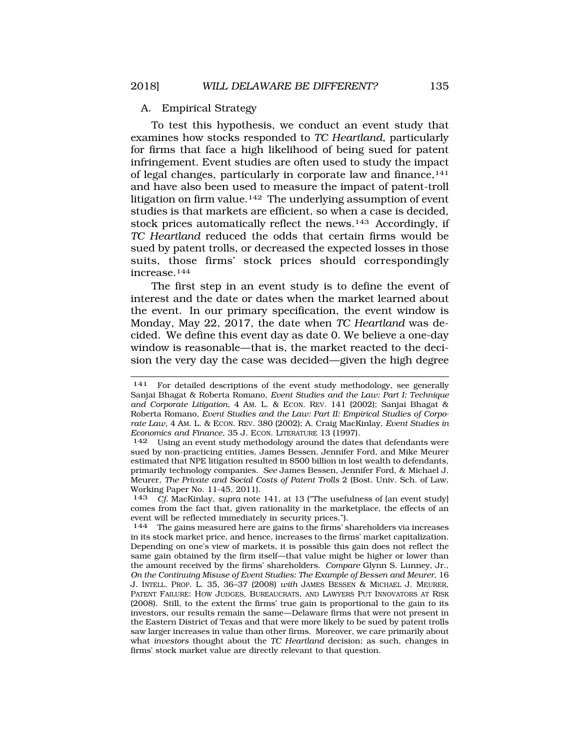### <span id="page-34-0"></span>A. Empirical Strategy

To test this hypothesis, we conduct an event study that examines how stocks responded to *TC Heartland*, particularly for firms that face a high likelihood of being sued for patent infringement. Event studies are often used to study the impact of legal changes, particularly in corporate law and finance,<sup>141</sup> and have also been used to measure the impact of patent-troll litigation on firm value.<sup>142</sup> The underlying assumption of event studies is that markets are efficient, so when a case is decided, stock prices automatically reflect the news.143 Accordingly, if *TC Heartland* reduced the odds that certain firms would be sued by patent trolls, or decreased the expected losses in those suits, those firms' stock prices should correspondingly increase.144

The first step in an event study is to define the event of interest and the date or dates when the market learned about the event. In our primary specification, the event window is Monday, May 22, 2017, the date when *TC Heartland* was decided. We define this event day as date 0. We believe a one-day window is reasonable—that is, the market reacted to the decision the very day the case was decided—given the high degree

<sup>141</sup> For detailed descriptions of the event study methodology, see generally Sanjai Bhagat & Roberta Romano, *Event Studies and the Law: Part I: Technique and Corporate Litigation*, 4 AM. L. & ECON. REV. 141 (2002); Sanjai Bhagat & Roberta Romano, *Event Studies and the Law: Part II: Empirical Studies of Corporate Law*, 4 AM. L. & ECON. REV. 380 (2002); A. Craig MacKinlay, *Event Studies in Economics and Finance*, 35 J. ECON. LITERATURE 13 (1997).

<sup>142</sup> Using an event study methodology around the dates that defendants were sued by non-practicing entities, James Bessen, Jennifer Ford, and Mike Meurer estimated that NPE litigation resulted in \$500 billion in lost wealth to defendants, primarily technology companies. *See* James Bessen, Jennifer Ford, & Michael J. Meurer, *The Private and Social Costs of Patent Trolls* 2 (Bost. Univ. Sch. of Law, Working Paper No. 11-45, 2011).

<sup>143</sup> *Cf.* MacKinlay, *supra* note 141, at 13 ("The usefulness of [an event study] comes from the fact that, given rationality in the marketplace, the effects of an event will be reflected immediately in security prices.").

<sup>144</sup> The gains measured here are gains to the firms' shareholders via increases in its stock market price, and hence, increases to the firms' market capitalization. Depending on one's view of markets, it is possible this gain does not reflect the same gain obtained by the firm itself—that value might be higher or lower than the amount received by the firms' shareholders. *Compare* Glynn S. Lunney, Jr., *On the Continuing Misuse of Event Studies: The Example of Bessen and Meurer*, 16 J. INTELL. PROP. L. 35, 36–37 (2008) *with* JAMES BESSEN & MICHAEL J. MEURER, PATENT FAILURE: HOW JUDGES, BUREAUCRATS, AND LAWYERS PUT INNOVATORS AT RISK (2008). Still, to the extent the firms' true gain is proportional to the gain to its investors, our results remain the same—Delaware firms that were not present in the Eastern District of Texas and that were more likely to be sued by patent trolls saw larger increases in value than other firms. Moreover, we care primarily about what *investors* thought about the *TC Heartland* decision; as such, changes in firms' stock market value are directly relevant to that question.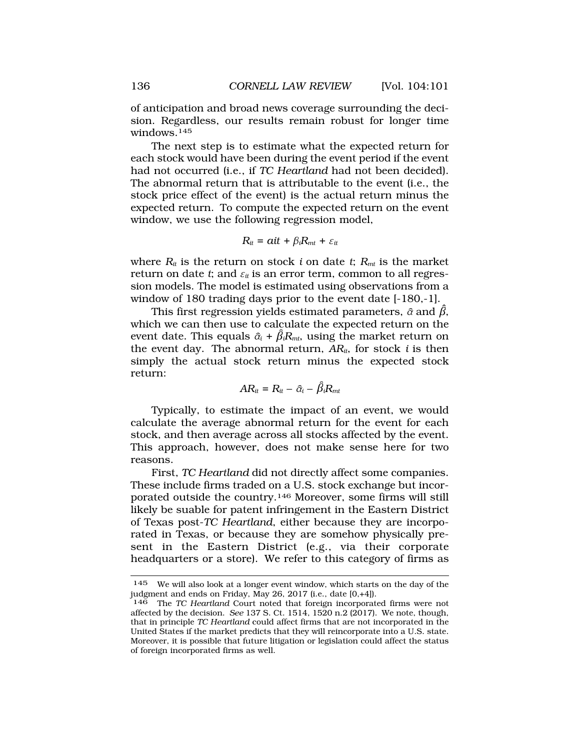of anticipation and broad news coverage surrounding the decision. Regardless, our results remain robust for longer time windows.145

The next step is to estimate what the expected return for each stock would have been during the event period if the event had not occurred (i.e., if *TC Heartland* had not been decided). The abnormal return that is attributable to the event (i.e., the stock price effect of the event) is the actual return minus the expected return. To compute the expected return on the event window, we use the following regression model,

$$
R_{it} = ait + \beta_i R_{mt} + \varepsilon_{it}
$$

where  $R_{it}$  is the return on stock *i* on date *t*;  $R_{mt}$  is the market return on date *t*; and  $\varepsilon_{it}$  is an error term, common to all regression models. The model is estimated using observations from a window of 180 trading days prior to the event date [-180,-1].

This first regression yields estimated parameters,  $\widehat{\alpha}$  and  $\beta$ , event date. This equals  $\widehat{\alpha}_i$  +  $\beta_iR_{mt}$ , using the market return on which we can then use to calculate the expected return on the the event day. The abnormal return, *ARit*, for stock *i* is then simply the actual stock return minus the expected stock return:

$$
AR_{it} = R_{it} - \hat{\alpha}_i - \hat{\beta}_i R_{mt}
$$

Typically, to estimate the impact of an event, we would calculate the average abnormal return for the event for each stock, and then average across all stocks affected by the event. This approach, however, does not make sense here for two reasons.

First, *TC Heartland* did not directly affect some companies. These include firms traded on a U.S. stock exchange but incorporated outside the country.146 Moreover, some firms will still likely be suable for patent infringement in the Eastern District of Texas post-*TC Heartland*, either because they are incorporated in Texas, or because they are somehow physically present in the Eastern District (e.g., via their corporate headquarters or a store). We refer to this category of firms as

<sup>145</sup> We will also look at a longer event window, which starts on the day of the judgment and ends on Friday, May 26, 2017 (i.e., date [0,+4]).

<sup>146</sup> The *TC Heartland* Court noted that foreign incorporated firms were not affected by the decision. *See* 137 S. Ct. 1514, 1520 n.2 (2017). We note, though, that in principle *TC Heartland* could affect firms that are not incorporated in the United States if the market predicts that they will reincorporate into a U.S. state. Moreover, it is possible that future litigation or legislation could affect the status of foreign incorporated firms as well.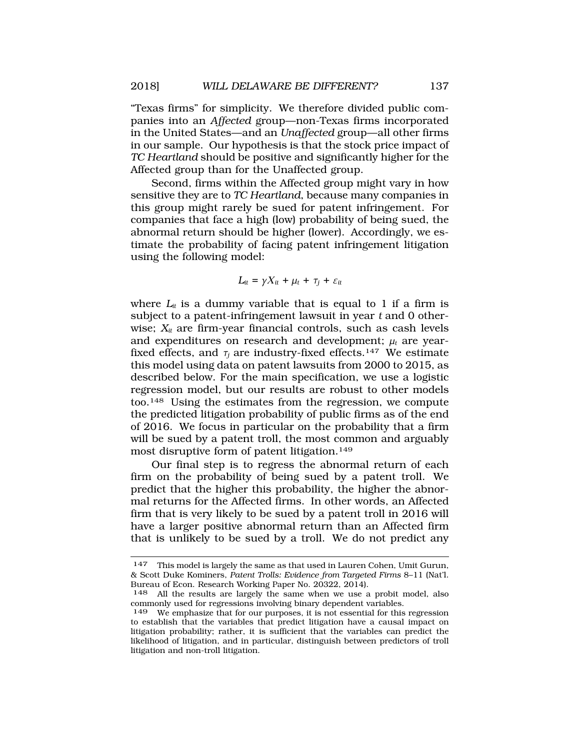"Texas firms" for simplicity. We therefore divided public companies into an *Affected* group—non-Texas firms incorporated in the United States—and an *Unaffected* group—all other firms in our sample. Our hypothesis is that the stock price impact of *TC Heartland* should be positive and significantly higher for the Affected group than for the Unaffected group.

Second, firms within the Affected group might vary in how sensitive they are to *TC Heartland*, because many companies in this group might rarely be sued for patent infringement. For companies that face a high (low) probability of being sued, the abnormal return should be higher (lower). Accordingly, we estimate the probability of facing patent infringement litigation using the following model:

$$
L_{it} = \gamma X_{it} + \mu_t + \tau_j + \varepsilon_{it}
$$

where  $L_{it}$  is a dummy variable that is equal to 1 if a firm is subject to a patent-infringement lawsuit in year *t* and 0 otherwise;  $X_{it}$  are firm-year financial controls, such as cash levels and expenditures on research and development;  $\mu_t$  are yearfixed effects, and  $\tau_i$  are industry-fixed effects.<sup>147</sup> We estimate this model using data on patent lawsuits from 2000 to 2015, as described below. For the main specification, we use a logistic regression model, but our results are robust to other models too.148 Using the estimates from the regression, we compute the predicted litigation probability of public firms as of the end of 2016. We focus in particular on the probability that a firm will be sued by a patent troll, the most common and arguably most disruptive form of patent litigation.<sup>149</sup>

Our final step is to regress the abnormal return of each firm on the probability of being sued by a patent troll. We predict that the higher this probability, the higher the abnormal returns for the Affected firms. In other words, an Affected firm that is very likely to be sued by a patent troll in 2016 will have a larger positive abnormal return than an Affected firm that is unlikely to be sued by a troll. We do not predict any

<sup>147</sup> This model is largely the same as that used in Lauren Cohen, Umit Gurun, & Scott Duke Kominers, *Patent Trolls: Evidence from Targeted Firms* 8–11 (Nat'l. Bureau of Econ. Research Working Paper No. 20322, 2014).

<sup>148</sup> All the results are largely the same when we use a probit model, also commonly used for regressions involving binary dependent variables.

<sup>149</sup> We emphasize that for our purposes, it is not essential for this regression to establish that the variables that predict litigation have a causal impact on litigation probability; rather, it is sufficient that the variables can predict the likelihood of litigation, and in particular, distinguish between predictors of troll litigation and non-troll litigation.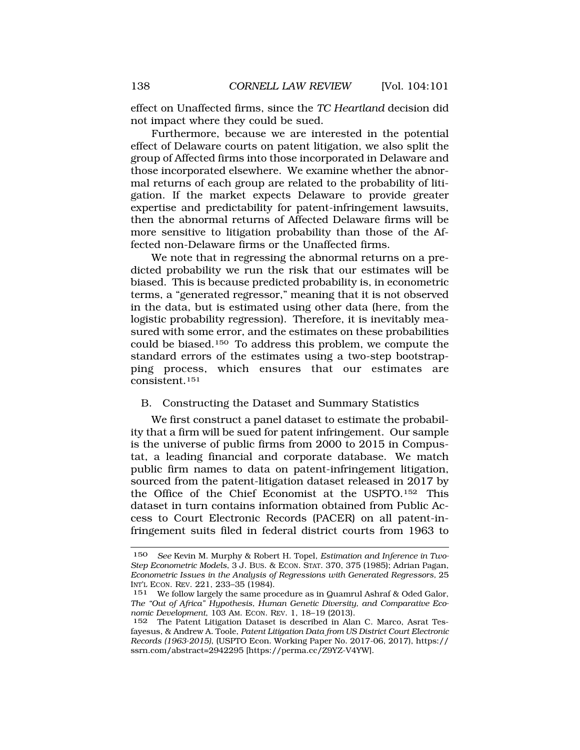<span id="page-37-0"></span>effect on Unaffected firms, since the *TC Heartland* decision did not impact where they could be sued.

Furthermore, because we are interested in the potential effect of Delaware courts on patent litigation, we also split the group of Affected firms into those incorporated in Delaware and those incorporated elsewhere. We examine whether the abnormal returns of each group are related to the probability of litigation. If the market expects Delaware to provide greater expertise and predictability for patent-infringement lawsuits, then the abnormal returns of Affected Delaware firms will be more sensitive to litigation probability than those of the Affected non-Delaware firms or the Unaffected firms.

We note that in regressing the abnormal returns on a predicted probability we run the risk that our estimates will be biased. This is because predicted probability is, in econometric terms, a "generated regressor," meaning that it is not observed in the data, but is estimated using other data (here, from the logistic probability regression). Therefore, it is inevitably measured with some error, and the estimates on these probabilities could be biased.150 To address this problem, we compute the standard errors of the estimates using a two-step bootstrapping process, which ensures that our estimates are consistent.151

## B. Constructing the Dataset and Summary Statistics

We first construct a panel dataset to estimate the probability that a firm will be sued for patent infringement. Our sample is the universe of public firms from 2000 to 2015 in Compustat, a leading financial and corporate database. We match public firm names to data on patent-infringement litigation, sourced from the patent-litigation dataset released in 2017 by the Office of the Chief Economist at the USPTO.152 This dataset in turn contains information obtained from Public Access to Court Electronic Records (PACER) on all patent-infringement suits filed in federal district courts from 1963 to

<sup>150</sup> *See* Kevin M. Murphy & Robert H. Topel, *Estimation and Inference in Two-Step Econometric Models*, 3 J. BUS. & ECON. STAT. 370, 375 (1985); Adrian Pagan, *Econometric Issues in the Analysis of Regressions with Generated Regressors,* 25 INT'L ECON. REV. 221, 233–35 (1984).

<sup>151</sup> We follow largely the same procedure as in Quamrul Ashraf & Oded Galor, *The "Out of Africa" Hypothesis, Human Genetic Diversity, and Comparative Economic Development*, 103 AM. ECON. REV. 1, 18–19 (2013).

<sup>152</sup> The Patent Litigation Dataset is described in Alan C. Marco, Asrat Tesfayesus, & Andrew A. Toole, *Patent Litigation Data from US District Court Electronic Records (1963-2015)*, (USPTO Econ. Working Paper No. 2017-06, 2017), https:// ssrn.com/abstract=2942295 [<https://perma.cc/Z9YZ-V4YW>].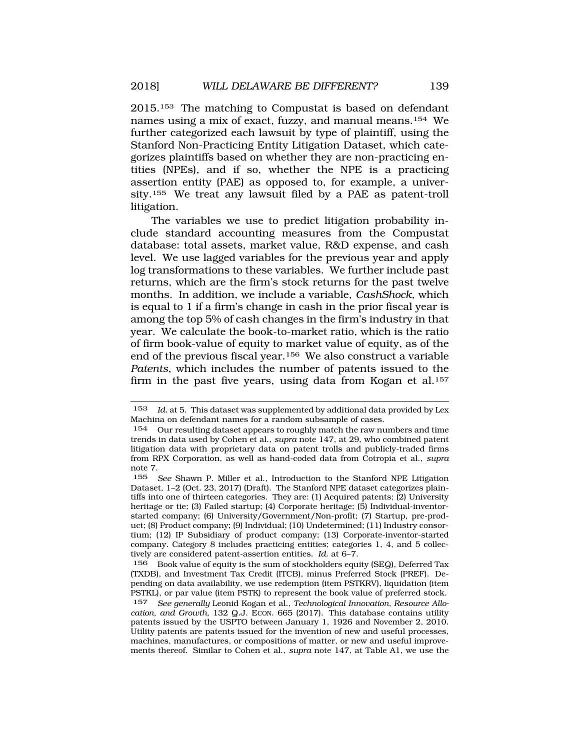2015.153 The matching to Compustat is based on defendant names using a mix of exact, fuzzy, and manual means.154 We further categorized each lawsuit by type of plaintiff, using the Stanford Non-Practicing Entity Litigation Dataset, which categorizes plaintiffs based on whether they are non-practicing entities (NPEs), and if so, whether the NPE is a practicing assertion entity (PAE) as opposed to, for example, a university.155 We treat any lawsuit filed by a PAE as patent-troll litigation.

The variables we use to predict litigation probability include standard accounting measures from the Compustat database: total assets, market value, R&D expense, and cash level. We use lagged variables for the previous year and apply log transformations to these variables. We further include past returns, which are the firm's stock returns for the past twelve months. In addition, we include a variable, *CashShock*, which is equal to 1 if a firm's change in cash in the prior fiscal year is among the top 5% of cash changes in the firm's industry in that year. We calculate the book-to-market ratio, which is the ratio of firm book-value of equity to market value of equity, as of the end of the previous fiscal year.156 We also construct a variable *Patents*, which includes the number of patents issued to the firm in the past five years, using data from Kogan et al.<sup>157</sup>

156 Book value of equity is the sum of stockholders equity (SEQ), Deferred Tax (TXDB), and Investment Tax Credit (ITCB), minus Preferred Stock (PREF). Depending on data availability, we use redemption (item PSTKRV), liquidation (item PSTKL), or par value (item PSTK) to represent the book value of preferred stock.

157 *See generally* Leonid Kogan et al., *Technological Innovation, Resource Allocation, and Growth*, 132 Q.J. ECON. 665 (2017). This database contains utility patents issued by the USPTO between January 1, 1926 and November 2, 2010. Utility patents are patents issued for the invention of new and useful processes, machines, manufactures, or compositions of matter, or new and useful improvements thereof. Similar to Cohen et al., *supra* note 147, at Table A1, we use the

<sup>153</sup> *Id.* at 5. This dataset was supplemented by additional data provided by Lex Machina on defendant names for a random subsample of cases.

<sup>&</sup>lt;sup>154</sup> Our resulting dataset appears to roughly match the raw numbers and time trends in data used by Cohen et al., *supra* note 147, at 29, who combined patent litigation data with proprietary data on patent trolls and publicly-traded firms from RPX Corporation, as well as hand-coded data from Cotropia et al., *supra*  note 7.

<sup>155</sup> *See* Shawn P. Miller et al., Introduction to the Stanford NPE Litigation Dataset, 1–2 (Oct. 23, 2017) (Draft). The Stanford NPE dataset categorizes plaintiffs into one of thirteen categories. They are: (1) Acquired patents; (2) University heritage or tie; (3) Failed startup; (4) Corporate heritage; (5) Individual-inventorstarted company; (6) University/Government/Non-profit; (7) Startup, pre-product; (8) Product company; (9) Individual; (10) Undetermined; (11) Industry consortium; (12) IP Subsidiary of product company; (13) Corporate-inventor-started company. Category 8 includes practicing entities; categories 1, 4, and 5 collectively are considered patent-assertion entities. *Id.* at 6–7.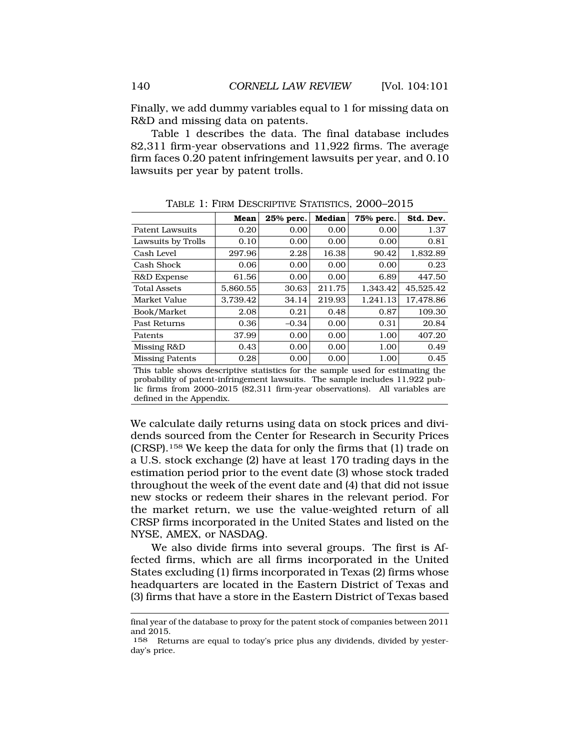Finally, we add dummy variables equal to 1 for missing data on R&D and missing data on patents.

Table 1 describes the data. The final database includes 82,311 firm-year observations and 11,922 firms. The average firm faces 0.20 patent infringement lawsuits per year, and 0.10 lawsuits per year by patent trolls.

|                        | Mean     | 25% perc. | <b>Median</b> | 75% perc. | Std. Dev. |
|------------------------|----------|-----------|---------------|-----------|-----------|
| Patent Lawsuits        | 0.20     | 0.00      | 0.00          | 0.00      | 1.37      |
| Lawsuits by Trolls     | 0.10     | 0.00      | 0.00          | 0.00      | 0.81      |
| Cash Level             | 297.96   | 2.28      | 16.38         | 90.42     | 1.832.89  |
| Cash Shock             | 0.06     | 0.00      | 0.00          | 0.00      | 0.23      |
| R&D Expense            | 61.56    | 0.00      | 0.00          | 6.89      | 447.50    |
| <b>Total Assets</b>    | 5,860.55 | 30.63     | 211.75        | 1.343.42  | 45.525.42 |
| Market Value           | 3.739.42 | 34.14     | 219.93        | 1.241.13  | 17.478.86 |
| Book/Market            | 2.08     | 0.21      | 0.48          | 0.87      | 109.30    |
| Past Returns           | 0.36     | $-0.34$   | 0.00          | 0.31      | 20.84     |
| Patents                | 37.99    | 0.00      | 0.00          | 1.00      | 407.20    |
| Missing R&D            | 0.43     | 0.00      | 0.00          | 1.00      | 0.49      |
| <b>Missing Patents</b> | 0.28     | 0.00      | 0.00          | 1.00      | 0.45      |

TABLE 1: FIRM DESCRIPTIVE STATISTICS, 2000–2015

This table shows descriptive statistics for the sample used for estimating the probability of patent-infringement lawsuits. The sample includes 11,922 public firms from 2000–2015 (82,311 firm-year observations). All variables are defined in the Appendix.

We calculate daily returns using data on stock prices and dividends sourced from the Center for Research in Security Prices (CRSP).158 We keep the data for only the firms that (1) trade on a U.S. stock exchange (2) have at least 170 trading days in the estimation period prior to the event date (3) whose stock traded throughout the week of the event date and (4) that did not issue new stocks or redeem their shares in the relevant period. For the market return, we use the value-weighted return of all CRSP firms incorporated in the United States and listed on the NYSE, AMEX, or NASDAQ.

We also divide firms into several groups. The first is Affected firms, which are all firms incorporated in the United States excluding (1) firms incorporated in Texas (2) firms whose headquarters are located in the Eastern District of Texas and (3) firms that have a store in the Eastern District of Texas based

final year of the database to proxy for the patent stock of companies between 2011 and 2015.

<sup>158</sup> Returns are equal to today's price plus any dividends, divided by yesterday's price.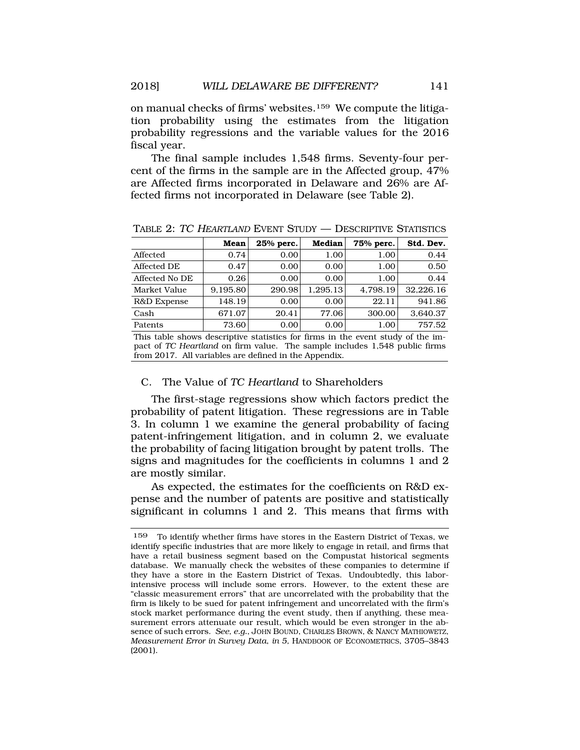on manual checks of firms' websites.159 We compute the litigation probability using the estimates from the litigation probability regressions and the variable values for the 2016 fiscal year.

The final sample includes 1,548 firms. Seventy-four percent of the firms in the sample are in the Affected group, 47% are Affected firms incorporated in Delaware and 26% are Affected firms not incorporated in Delaware (see Table 2).

|                | Mean     | 25% perc. | Median   | 75% perc. | Std. Dev. |
|----------------|----------|-----------|----------|-----------|-----------|
| Affected       | 0.74     | 0.00      | 1.00     | 1.00      | 0.44      |
| Affected DE    | 0.47     | 0.00      | 0.00     | 1.00      | 0.50      |
| Affected No DE | 0.26     | 0.00      | 0.00     | 1.00      | 0.44      |
| Market Value   | 9.195.80 | 290.98    | 1.295.13 | 4.798.19  | 32.226.16 |
| R&D Expense    | 148.19   | 0.00      | 0.00     | 22.11     | 941.86    |
| Cash           | 671.07   | 20.41     | 77.06    | 300.00    | 3,640.37  |
| Patents        | 73.60    | 0.00      | 0.00     | 1.00      | 757.52    |

TABLE 2: TC HEARTLAND EVENT STUDY — DESCRIPTIVE STATISTICS

This table shows descriptive statistics for firms in the event study of the impact of *TC Heartland* on firm value. The sample includes 1,548 public firms from 2017. All variables are defined in the Appendix.

## C. The Value of *TC Heartland* to Shareholders

The first-stage regressions show which factors predict the probability of patent litigation. These regressions are in Table 3. In column 1 we examine the general probability of facing patent-infringement litigation, and in column 2, we evaluate the probability of facing litigation brought by patent trolls. The signs and magnitudes for the coefficients in columns 1 and 2 are mostly similar.

As expected, the estimates for the coefficients on R&D expense and the number of patents are positive and statistically significant in columns 1 and 2. This means that firms with

To identify whether firms have stores in the Eastern District of Texas, we identify specific industries that are more likely to engage in retail, and firms that have a retail business segment based on the Compustat historical segments database. We manually check the websites of these companies to determine if they have a store in the Eastern District of Texas. Undoubtedly, this laborintensive process will include some errors. However, to the extent these are "classic measurement errors" that are uncorrelated with the probability that the firm is likely to be sued for patent infringement and uncorrelated with the firm's stock market performance during the event study, then if anything, these measurement errors attenuate our result, which would be even stronger in the absence of such errors. *See, e.g.*, JOHN BOUND, CHARLES BROWN, & NANCY MATHIOWETZ, *Measurement Error in Survey Data*, *in 5,* HANDBOOK OF ECONOMETRICS, 3705–3843 (2001). 159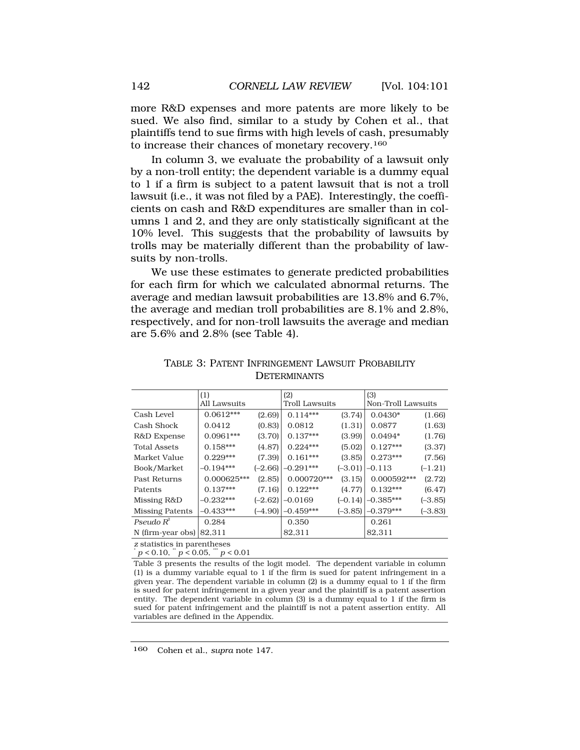more R&D expenses and more patents are more likely to be sued. We also find, similar to a study by Cohen et al., that plaintiffs tend to sue firms with high levels of cash, presumably to increase their chances of monetary recovery.160

In column 3, we evaluate the probability of a lawsuit only by a non-troll entity; the dependent variable is a dummy equal to 1 if a firm is subject to a patent lawsuit that is not a troll lawsuit (i.e., it was not filed by a PAE). Interestingly, the coefficients on cash and R&D expenditures are smaller than in columns 1 and 2, and they are only statistically significant at the 10% level. This suggests that the probability of lawsuits by trolls may be materially different than the probability of lawsuits by non-trolls.

We use these estimates to generate predicted probabilities for each firm for which we calculated abnormal returns. The average and median lawsuit probabilities are 13.8% and 6.7%, the average and median troll probabilities are 8.1% and 2.8%, respectively, and for non-troll lawsuits the average and median are 5.6% and 2.8% (see Table 4).

|                             | (1)          |           | (2)                   |           | (3)                |           |
|-----------------------------|--------------|-----------|-----------------------|-----------|--------------------|-----------|
|                             | All Lawsuits |           | <b>Troll Lawsuits</b> |           | Non-Troll Lawsuits |           |
| Cash Level                  | $0.0612***$  | (2.69)    | $0.114***$            | (3.74)    | $0.0430*$          | (1.66)    |
| Cash Shock                  | 0.0412       | (0.83)    | 0.0812                | (1.31)    | 0.0877             | (1.63)    |
| R&D Expense                 | $0.0961***$  | (3.70)    | $0.137***$            | (3.99)    | $0.0494*$          | (1.76)    |
| <b>Total Assets</b>         | $0.158***$   | (4.87)    | $0.224***$            | (5.02)    | $0.127***$         | (3.37)    |
| Market Value                | $0.229***$   | (7.39)    | $0.161***$            | (3.85)    | $0.273***$         | (7.56)    |
| Book/Market                 | $-0.194***$  | $(-2.66)$ | $-0.291***$           | $(-3.01)$ | $-0.113$           | $(-1.21)$ |
| Past Returns                | 0.000625***  | (2.85)    | 0.000720***           | (3.15)    | $0.000592***$      | (2.72)    |
| Patents                     | $0.137***$   | (7.16)    | $0.122***$            | (4.77)    | $0.132***$         | (6.47)    |
| Missing R&D                 | $-0.232***$  | $(-2.62)$ | $-0.0169$             | $(-0.14)$ | $-0.385***$        | $(-3.85)$ |
| <b>Missing Patents</b>      | $-0.433***$  | $(-4.90)$ | $-0.459***$           | $(-3.85)$ | $-0.379***$        | $(-3.83)$ |
| Pseudo $R^2$                | 0.284        |           | 0.350                 |           | 0.261              |           |
| N (firm-year obs)           | 82.311       |           | 82,311                |           | 82,311             |           |
| s stotisties in perspiheess |              |           |                       |           |                    |           |

TABLE 3: PATENT INFRINGEMENT LAWSUIT PROBABILITY **DETERMINANTS** 

*z* statistics in parentheses  $p < 0.10,$   $\degree p < 0.05,$   $\degree\degree p < 0.01$ 

Table 3 presents the results of the logit model. The dependent variable in column (1) is a dummy variable equal to 1 if the firm is sued for patent infringement in a given year. The dependent variable in column  $(2)$  is a dummy equal to 1 if the firm is sued for patent infringement in a given year and the plaintiff is a patent assertion entity. The dependent variable in column (3) is a dummy equal to 1 if the firm is sued for patent infringement and the plaintiff is not a patent assertion entity. All variables are defined in the Appendix.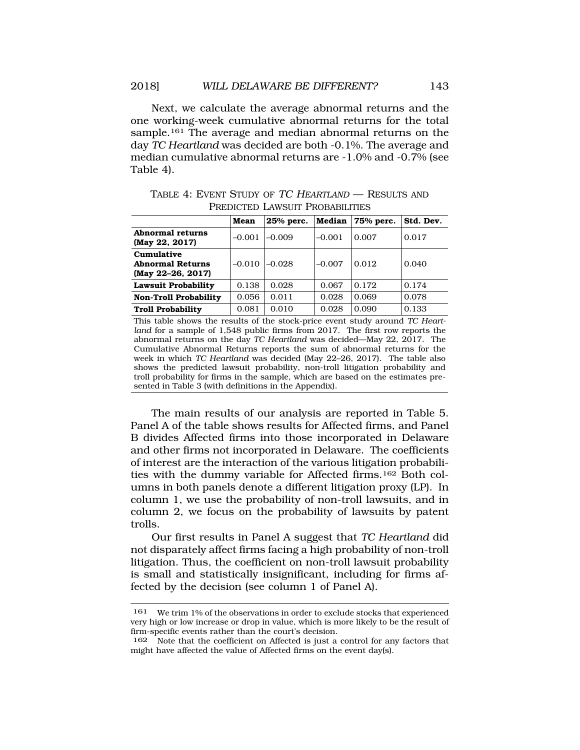Next, we calculate the average abnormal returns and the one working-week cumulative abnormal returns for the total sample.<sup>161</sup> The average and median abnormal returns on the day *TC Heartland* was decided are both -0.1%. The average and median cumulative abnormal returns are -1.0% and -0.7% (see Table 4).

|  | TABLE 4: EVENT STUDY OF TC HEARTLAND - RESULTS AND |
|--|----------------------------------------------------|
|  | PREDICTED LAWSUIT PROBABILITIES                    |

|                                                                              | Mean     | 25% perc. | Median   | 75% perc. | Std. Dev. |  |
|------------------------------------------------------------------------------|----------|-----------|----------|-----------|-----------|--|
| Abnormal returns<br>(May 22, 2017)                                           | $-0.001$ | $-0.009$  | $-0.001$ | 0.007     | 0.017     |  |
| Cumulative<br><b>Abnormal Returns</b><br>$(May 22-26, 2017)$                 | $-0.010$ | $-0.028$  | $-0.007$ | 0.012     | 0.040     |  |
| Lawsuit Probability                                                          | 0.138    | 0.028     | 0.067    | 0.172     | 0.174     |  |
| <b>Non-Troll Probability</b>                                                 | 0.056    | 0.011     | 0.028    | 0.069     | 0.078     |  |
| <b>Troll Probability</b>                                                     | 0.081    | 0.010     | 0.028    | 0.090     | 0.133     |  |
| This table shows the results of the stock-price event study around TC Heart- |          |           |          |           |           |  |

 *land* for a sample of 1,548 public firms from 2017. The first row reports the abnormal returns on the day *TC Heartland* was decided—May 22, 2017. The Cumulative Abnormal Returns reports the sum of abnormal returns for the week in which *TC Heartland* was decided (May 22–26, 2017). The table also shows the predicted lawsuit probability, non-troll litigation probability and troll probability for firms in the sample, which are based on the estimates presented in Table 3 (with definitions in the Appendix).

The main results of our analysis are reported in Table 5. Panel A of the table shows results for Affected firms, and Panel B divides Affected firms into those incorporated in Delaware and other firms not incorporated in Delaware. The coefficients of interest are the interaction of the various litigation probabilities with the dummy variable for Affected firms.162 Both columns in both panels denote a different litigation proxy (LP). In column 1, we use the probability of non-troll lawsuits, and in column 2, we focus on the probability of lawsuits by patent trolls.

Our first results in Panel A suggest that *TC Heartland* did not disparately affect firms facing a high probability of non-troll litigation. Thus, the coefficient on non-troll lawsuit probability is small and statistically insignificant, including for firms affected by the decision (see column 1 of Panel A).

<sup>161</sup> We trim 1% of the observations in order to exclude stocks that experienced very high or low increase or drop in value, which is more likely to be the result of firm-specific events rather than the court's decision.

<sup>162</sup> Note that the coefficient on Affected is just a control for any factors that might have affected the value of Affected firms on the event day(s).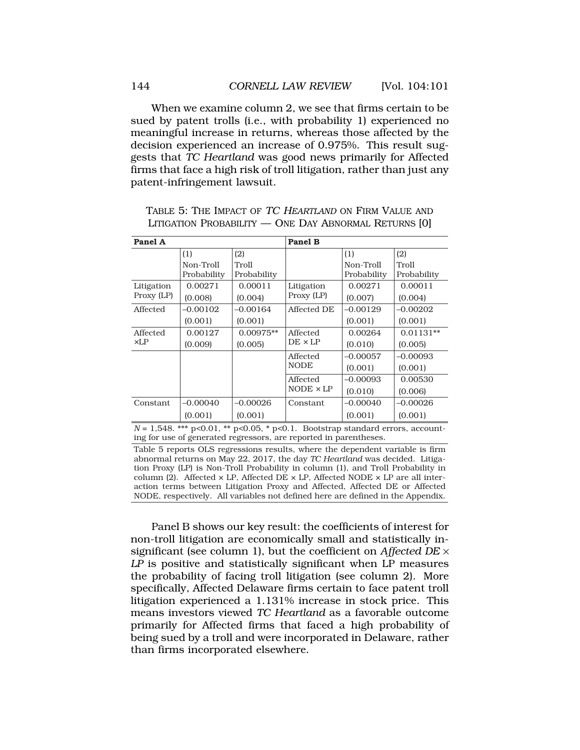When we examine column 2, we see that firms certain to be sued by patent trolls (i.e., with probability 1) experienced no meaningful increase in returns, whereas those affected by the decision experienced an increase of 0.975%. This result suggests that *TC Heartland* was good news primarily for Affected firms that face a high risk of troll litigation, rather than just any patent-infringement lawsuit.

TABLE 5: THE IMPACT OF TC HEARTLAND ON FIRM VALUE AND LITIGATION PROBABILITY — ONE DAY ABNORMAL RETURNS [0]

| Panel A    |                          |                      | <b>Panel B</b>   |                          |                      |
|------------|--------------------------|----------------------|------------------|--------------------------|----------------------|
|            | (1)                      | (2)                  |                  | (1)                      | (2)                  |
|            | Non-Troll<br>Probability | Troll<br>Probability |                  | Non-Troll<br>Probability | Troll<br>Probability |
| Litigation | 0.00271                  | 0.00011              | Litigation       | 0.00271                  | 0.00011              |
| Proxy (LP) | (0.008)                  | (0.004)              | Proxy (LP)       | (0.007)                  | (0.004)              |
| Affected   | $-0.00102$               | $-0.00164$           | Affected DE      | $-0.00129$               | $-0.00202$           |
|            | (0.001)                  | (0.001)              |                  | (0.001)                  | (0.001)              |
| Affected   | 0.00127                  | $0.00975**$          | Affected         | 0.00264                  | $0.01131**$          |
| xLP        | (0.009)                  | (0.005)              | $DE \times LP$   | (0.010)                  | (0.005)              |
|            |                          |                      | Affected         | $-0.00057$               | $-0.00093$           |
|            |                          |                      | <b>NODE</b>      | (0.001)                  | (0.001)              |
|            |                          |                      | Affected         | $-0.00093$               | 0.00530              |
|            |                          |                      | $NODE \times LP$ | (0.010)                  | (0.006)              |
| Constant   | $-0.00040$               | $-0.00026$           | Constant         | $-0.00040$               | $-0.00026$           |
|            | (0.001)                  | (0.001)              |                  | (0.001)                  | (0.001)              |

*N* = 1*,*548. \*\*\* p*<*0.01, \*\* p*<*0.05, \* p*<*0.1. Bootstrap standard errors, accounting for use of generated regressors, are reported in parentheses.

Table 5 reports OLS regressions results, where the dependent variable is firm abnormal returns on May 22, 2017, the day *TC Heartland* was decided. Litigation Proxy (LP) is Non-Troll Probability in column (1), and Troll Probability in column (2). Affected  $\times$  LP, Affected DE  $\times$  LP, Affected NODE  $\times$  LP are all interaction terms between Litigation Proxy and Affected, Affected DE or Affected NODE, respectively. All variables not defined here are defined in the Appendix.

Panel B shows our key result: the coefficients of interest for non-troll litigation are economically small and statistically insignificant (see column 1), but the coefficient on *Affected DE* × *LP* is positive and statistically significant when LP measures the probability of facing troll litigation (see column 2). More specifically, Affected Delaware firms certain to face patent troll litigation experienced a 1.131% increase in stock price. This means investors viewed *TC Heartland* as a favorable outcome primarily for Affected firms that faced a high probability of being sued by a troll and were incorporated in Delaware, rather than firms incorporated elsewhere.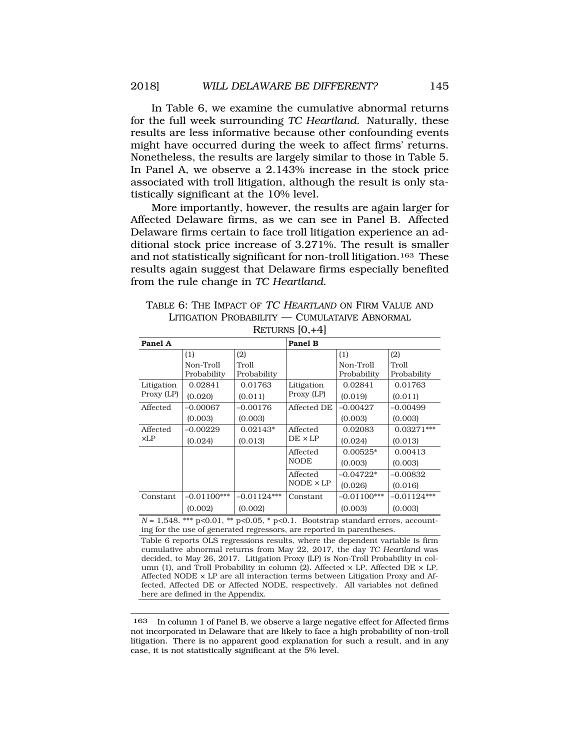In Table 6, we examine the cumulative abnormal returns for the full week surrounding *TC Heartland*. Naturally, these results are less informative because other confounding events might have occurred during the week to affect firms' returns. Nonetheless, the results are largely similar to those in Table 5. In Panel A, we observe a 2.143% increase in the stock price associated with troll litigation, although the result is only statistically significant at the 10% level.

More importantly, however, the results are again larger for Affected Delaware firms, as we can see in Panel B. Affected Delaware firms certain to face troll litigation experience an additional stock price increase of 3.271%. The result is smaller and not statistically significant for non-troll litigation.163 These results again suggest that Delaware firms especially benefited from the rule change in *TC Heartland*.

TABLE 6: THE IMPACT OF TC HEARTLAND ON FIRM VALUE AND LITIGATION PROBABILITY — CUMULATAIVE ABNORMAL

| Panel A    |                          |                      | <b>Panel B</b>   |                          |                      |
|------------|--------------------------|----------------------|------------------|--------------------------|----------------------|
|            | (1)                      | (2)                  |                  | (1)                      | (2)                  |
|            | Non-Troll<br>Probability | Troll<br>Probability |                  | Non-Troll<br>Probability | Troll<br>Probability |
| Litigation | 0.02841                  | 0.01763              | Litigation       | 0.02841                  | 0.01763              |
| Proxy (LP) | (0.020)                  | (0.011)              | Proxy (LP)       | (0.019)                  | (0.011)              |
| Affected   | $-0.00067$               | $-0.00176$           | Affected DE      | $-0.00427$               | $-0.00499$           |
|            | (0.003)                  | (0.003)              |                  | (0.003)                  | (0.003)              |
| Affected   | -0.00229                 | $0.02143*$           | Affected         | 0.02083                  | $0.03271***$         |
| xLP        | (0.024)                  | (0.013)              | $DE \times LP$   | (0.024)                  | (0.013)              |
|            |                          |                      | Affected         | $0.00525*$               | 0.00413              |
|            |                          |                      | <b>NODE</b>      | (0.003)                  | (0.003)              |
|            |                          |                      | Affected         | $-0.04722*$              | –0.00832             |
|            |                          |                      | $NODE \times LP$ | (0.026)                  | (0.016)              |
| Constant   | $-0.01100***$            | $-0.01124***$        | Constant         | $-0.01100***$            | $-0.01124***$        |
|            | (0.002)                  | (0.002)              |                  | (0.003)                  | (0.003)              |

RETURNS [0,+4]

*N* = 1*,*548. \*\*\* p*<*0.01, \*\* p*<*0.05, \* p*<*0.1. Bootstrap standard errors, accounting for the use of generated regressors, are reported in parentheses.

Table 6 reports OLS regressions results, where the dependent variable is firm cumulative abnormal returns from May 22, 2017, the day *TC Heartland* was decided, to May 26, 2017. Litigation Proxy (LP) is Non-Troll Probability in column (1), and Troll Probability in column (2). Affected  $\times$  LP, Affected DE  $\times$  LP, Affected NODE  $\times$  LP are all interaction terms between Litigation Proxy and Affected, Affected DE or Affected NODE, respectively. All variables not defined here are defined in the Appendix.

In column 1 of Panel B, we observe a large negative effect for Affected firms not incorporated in Delaware that are likely to face a high probability of non-troll litigation. There is no apparent good explanation for such a result, and in any case, it is not statistically significant at the 5% level. 163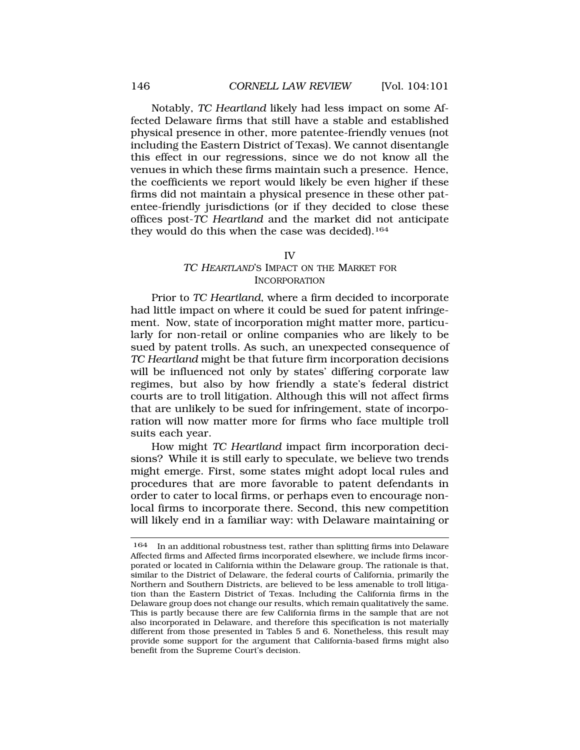<span id="page-45-0"></span>Notably, *TC Heartland* likely had less impact on some Affected Delaware firms that still have a stable and established physical presence in other, more patentee-friendly venues (not including the Eastern District of Texas). We cannot disentangle this effect in our regressions, since we do not know all the venues in which these firms maintain such a presence. Hence, the coefficients we report would likely be even higher if these firms did not maintain a physical presence in these other patentee-friendly jurisdictions (or if they decided to close these offices post-*TC Heartland* and the market did not anticipate they would do this when the case was decided).<sup>164</sup>

#### IV

## TC HEARTLAND'S IMPACT ON THE MARKET FOR INCORPORATION

Prior to *TC Heartland*, where a firm decided to incorporate had little impact on where it could be sued for patent infringement. Now, state of incorporation might matter more, particularly for non-retail or online companies who are likely to be sued by patent trolls. As such, an unexpected consequence of *TC Heartland* might be that future firm incorporation decisions will be influenced not only by states' differing corporate law regimes, but also by how friendly a state's federal district courts are to troll litigation. Although this will not affect firms that are unlikely to be sued for infringement, state of incorporation will now matter more for firms who face multiple troll suits each year.

How might *TC Heartland* impact firm incorporation decisions? While it is still early to speculate, we believe two trends might emerge. First, some states might adopt local rules and procedures that are more favorable to patent defendants in order to cater to local firms, or perhaps even to encourage nonlocal firms to incorporate there. Second, this new competition will likely end in a familiar way: with Delaware maintaining or

<sup>164</sup> In an additional robustness test, rather than splitting firms into Delaware Affected firms and Affected firms incorporated elsewhere, we include firms incorporated or located in California within the Delaware group. The rationale is that, similar to the District of Delaware, the federal courts of California, primarily the Northern and Southern Districts, are believed to be less amenable to troll litigation than the Eastern District of Texas. Including the California firms in the Delaware group does not change our results, which remain qualitatively the same. This is partly because there are few California firms in the sample that are not also incorporated in Delaware, and therefore this specification is not materially different from those presented in Tables 5 and 6. Nonetheless, this result may provide some support for the argument that California-based firms might also benefit from the Supreme Court's decision.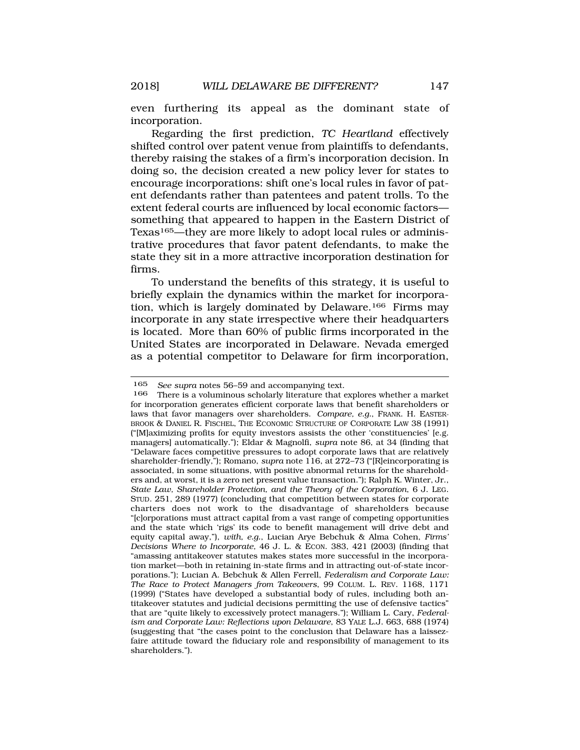even furthering its appeal as the dominant state of incorporation.

Regarding the first prediction, *TC Heartland* effectively shifted control over patent venue from plaintiffs to defendants, thereby raising the stakes of a firm's incorporation decision. In doing so, the decision created a new policy lever for states to encourage incorporations: shift one's local rules in favor of patent defendants rather than patentees and patent trolls. To the extent federal courts are influenced by local economic factors something that appeared to happen in the Eastern District of Texas<sup>165</sup>—they are more likely to adopt local rules or administrative procedures that favor patent defendants, to make the state they sit in a more attractive incorporation destination for firms.

To understand the benefits of this strategy, it is useful to briefly explain the dynamics within the market for incorporation, which is largely dominated by Delaware.166 Firms may incorporate in any state irrespective where their headquarters is located. More than 60% of public firms incorporated in the United States are incorporated in Delaware. Nevada emerged as a potential competitor to Delaware for firm incorporation,

<sup>165</sup> *See supra* notes 56–59 and accompanying text.

There is a voluminous scholarly literature that explores whether a market for incorporation generates efficient corporate laws that benefit shareholders or laws that favor managers over shareholders. *Compare, e.g.*, FRANK. H. EASTER-BROOK & DANIEL R. FISCHEL, THE ECONOMIC STRUCTURE OF CORPORATE LAW 38 (1991) ("[M]aximizing profits for equity investors assists the other 'constituencies' [e.g. managers] automatically."); Eldar & Magnolfi, *supra* note 86, at 34 (finding that "Delaware faces competitive pressures to adopt corporate laws that are relatively shareholder-friendly,"); Romano, *supra* note 116, at 272–73 ("[R]eincorporating is associated, in some situations, with positive abnormal returns for the shareholders and, at worst, it is a zero net present value transaction."); Ralph K. Winter, Jr., *State Law, Shareholder Protection, and the Theory of the Corporation*, 6 J. LEG. STUD. 251, 289 (1977) (concluding that competition between states for corporate charters does not work to the disadvantage of shareholders because "[c]orporations must attract capital from a vast range of competing opportunities and the state which 'rigs' its code to benefit management will drive debt and equity capital away,"), *with, e.g.*, Lucian Arye Bebchuk & Alma Cohen, *Firms' Decisions Where to Incorporate,* 46 J. L. & ECON. 383, 421 (2003) (finding that "amassing antitakeover statutes makes states more successful in the incorporation market—both in retaining in-state firms and in attracting out-of-state incorporations."); Lucian A. Bebchuk & Allen Ferrell, *Federalism and Corporate Law: The Race to Protect Managers from Takeovers*, 99 COLUM. L. REV. 1168, 1171 (1999) ("States have developed a substantial body of rules, including both antitakeover statutes and judicial decisions permitting the use of defensive tactics" that are "quite likely to excessively protect managers."); William L. Cary, *Federalism and Corporate Law: Reflections upon Delaware*, 83 YALE L.J. 663, 688 (1974) (suggesting that "the cases point to the conclusion that Delaware has a laissezfaire attitude toward the fiduciary role and responsibility of management to its shareholders.").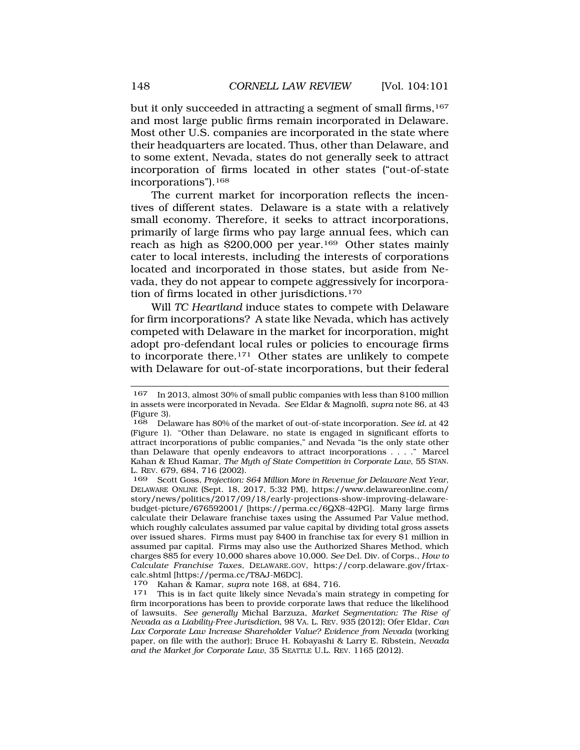but it only succeeded in attracting a segment of small firms,<sup>167</sup> and most large public firms remain incorporated in Delaware. Most other U.S. companies are incorporated in the state where their headquarters are located. Thus, other than Delaware, and to some extent, Nevada, states do not generally seek to attract incorporation of firms located in other states ("out-of-state incorporations").168

The current market for incorporation reflects the incentives of different states. Delaware is a state with a relatively small economy. Therefore, it seeks to attract incorporations, primarily of large firms who pay large annual fees, which can reach as high as \$200,000 per year.169 Other states mainly cater to local interests, including the interests of corporations located and incorporated in those states, but aside from Nevada, they do not appear to compete aggressively for incorporation of firms located in other jurisdictions.170

Will *TC Heartland* induce states to compete with Delaware for firm incorporations? A state like Nevada, which has actively competed with Delaware in the market for incorporation, might adopt pro-defendant local rules or policies to encourage firms to incorporate there.171 Other states are unlikely to compete with Delaware for out-of-state incorporations, but their federal

<sup>167</sup> In 2013, almost 30% of small public companies with less than \$100 million in assets were incorporated in Nevada. *See* Eldar & Magnolfi, *supra* note 86, at 43 (Figure 3).

<sup>168</sup> Delaware has 80% of the market of out-of-state incorporation. *See id.* at 42 (Figure 1). "Other than Delaware, no state is engaged in significant efforts to attract incorporations of public companies," and Nevada "is the only state other than Delaware that openly endeavors to attract incorporations . . . ." Marcel Kahan & Ehud Kamar, *The Myth of State Competition in Corporate Law*, 55 STAN. L. REV. 679, 684, 716 (2002).<br>169 Scott Goss *Projection*:

Scott Goss, Projection: \$64 Million More in Revenue for Delaware Next Year, DELAWARE ONLINE (Sept. 18, 2017, 5:32 PM), [https://www.delawareonline.com/](http:https://www.delawareonline.com) story/news/politics/2017/09/18/early-projections-show-improving-delawarebudget-picture/676592001/ [\[https://perma.cc/6QX8-42PG](https://perma.cc/6QX8-42PG)]. Many large firms calculate their Delaware franchise taxes using the Assumed Par Value method, which roughly calculates assumed par value capital by dividing total gross assets over issued shares. Firms must pay \$400 in franchise tax for every \$1 million in assumed par capital. Firms may also use the Authorized Shares Method, which charges \$85 for every 10,000 shares above 10,000. *See* Del. Div. of Corps., *How to Calculate Franchise Taxes,* [DELAWARE.GOV](http:DELAWARE.GOV), <https://corp.delaware.gov/frtax>calc.shtml [\[https://perma.cc/T8AJ-M6DC\]](https://perma.cc/T8AJ-M6DC).

<sup>170</sup> Kahan & Kamar, *supra* note 168, at 684, 716*.* 171 This is in fact quite likely since Nevada's main strategy in competing for firm incorporations has been to provide corporate laws that reduce the likelihood of lawsuits. *See generally* Michal Barzuza, *Market Segmentation: The Rise of Nevada as a Liability-Free Jurisdiction*, 98 VA. L. REV. 935 (2012); Ofer Eldar, *Can Lax Corporate Law Increase Shareholder Value? Evidence from Nevada* (working paper, on file with the author); Bruce H. Kobayashi & Larry E. Ribstein, *Nevada and the Market for Corporate Law*, 35 SEATTLE U.L. REV. 1165 (2012).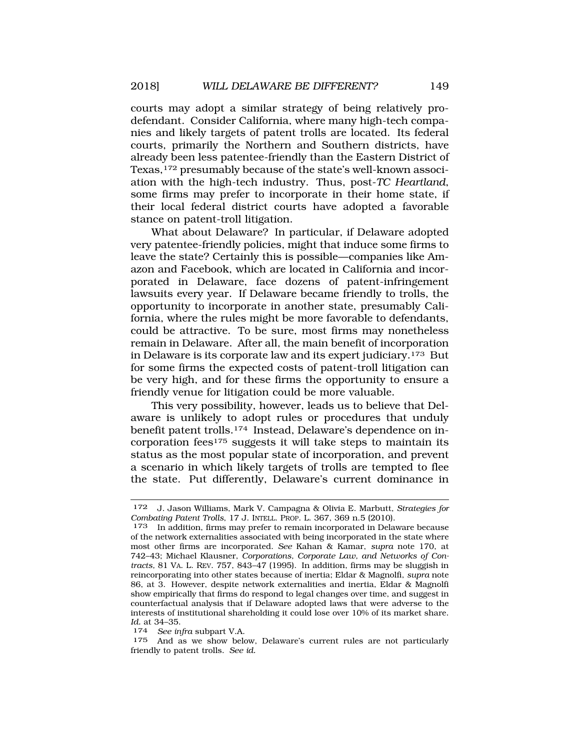courts may adopt a similar strategy of being relatively prodefendant. Consider California, where many high-tech companies and likely targets of patent trolls are located. Its federal courts, primarily the Northern and Southern districts, have already been less patentee-friendly than the Eastern District of Texas,172 presumably because of the state's well-known association with the high-tech industry. Thus, post-*TC Heartland*, some firms may prefer to incorporate in their home state, if their local federal district courts have adopted a favorable stance on patent-troll litigation.

What about Delaware? In particular, if Delaware adopted very patentee-friendly policies, might that induce some firms to leave the state? Certainly this is possible—companies like Amazon and Facebook, which are located in California and incorporated in Delaware, face dozens of patent-infringement lawsuits every year. If Delaware became friendly to trolls, the opportunity to incorporate in another state, presumably California, where the rules might be more favorable to defendants, could be attractive. To be sure, most firms may nonetheless remain in Delaware. After all, the main benefit of incorporation in Delaware is its corporate law and its expert judiciary.173 But for some firms the expected costs of patent-troll litigation can be very high, and for these firms the opportunity to ensure a friendly venue for litigation could be more valuable.

This very possibility, however, leads us to believe that Delaware is unlikely to adopt rules or procedures that unduly benefit patent trolls.174 Instead, Delaware's dependence on incorporation fees175 suggests it will take steps to maintain its status as the most popular state of incorporation, and prevent a scenario in which likely targets of trolls are tempted to flee the state. Put differently, Delaware's current dominance in

175 And as we show below, Delaware's current rules are not particularly friendly to patent trolls. *See id.* 

<sup>172</sup> J. Jason Williams, Mark V. Campagna & Olivia E. Marbutt, *Strategies for Combating Patent Trolls*, 17 J. INTELL. PROP. L. 367, 369 n.5 (2010).

<sup>173</sup> In addition, firms may prefer to remain incorporated in Delaware because of the network externalities associated with being incorporated in the state where most other firms are incorporated. *See* Kahan & Kamar, *supra* note 170, at 742–43; Michael Klausner, *Corporations, Corporate Law, and Networks of Contracts,* 81 VA. L. REV. 757, 843–47 (1995). In addition, firms may be sluggish in reincorporating into other states because of inertia; Eldar & Magnolfi, *supra* note 86, at 3. However, despite network externalities and inertia, Eldar & Magnolfi show empirically that firms do respond to legal changes over time, and suggest in counterfactual analysis that if Delaware adopted laws that were adverse to the interests of institutional shareholding it could lose over 10% of its market share. *Id.* at 34–35. 174 *See infra* subpart V.A.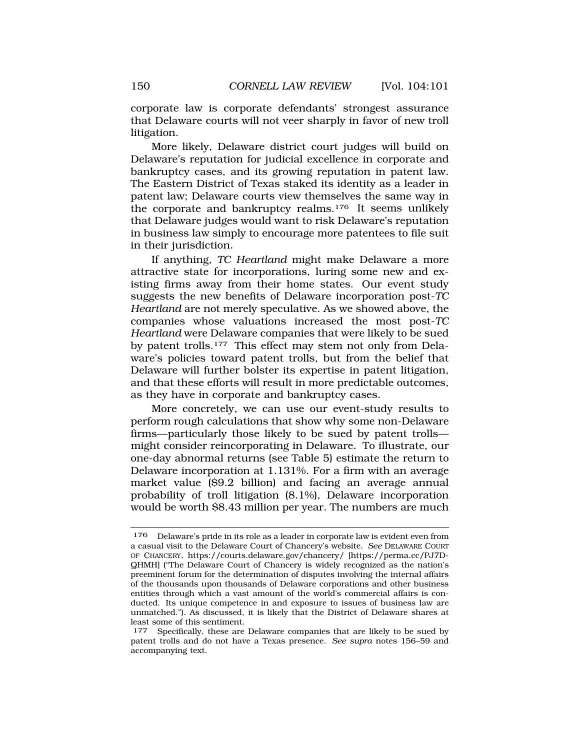corporate law is corporate defendants' strongest assurance that Delaware courts will not veer sharply in favor of new troll litigation.

More likely, Delaware district court judges will build on Delaware's reputation for judicial excellence in corporate and bankruptcy cases, and its growing reputation in patent law. The Eastern District of Texas staked its identity as a leader in patent law; Delaware courts view themselves the same way in the corporate and bankruptcy realms.176 It seems unlikely that Delaware judges would want to risk Delaware's reputation in business law simply to encourage more patentees to file suit in their jurisdiction.

If anything, *TC Heartland* might make Delaware a more attractive state for incorporations, luring some new and existing firms away from their home states. Our event study suggests the new benefits of Delaware incorporation post-*TC Heartland* are not merely speculative. As we showed above, the companies whose valuations increased the most post-*TC Heartland* were Delaware companies that were likely to be sued by patent trolls.177 This effect may stem not only from Delaware's policies toward patent trolls, but from the belief that Delaware will further bolster its expertise in patent litigation, and that these efforts will result in more predictable outcomes, as they have in corporate and bankruptcy cases.

More concretely, we can use our event-study results to perform rough calculations that show why some non-Delaware firms—particularly those likely to be sued by patent trolls might consider reincorporating in Delaware. To illustrate, our one-day abnormal returns (see Table 5) estimate the return to Delaware incorporation at 1.131%. For a firm with an average market value (\$9.2 billion) and facing an average annual probability of troll litigation (8.1%), Delaware incorporation would be worth \$8.43 million per year. The numbers are much

<sup>176</sup> Delaware's pride in its role as a leader in corporate law is evident even from a casual visit to the Delaware Court of Chancery's website. *See* DELAWARE COURT OF CHANCERY, <https://courts.delaware.gov/chancery>/ [\[https://perma.cc/PJ7D-](https://perma.cc/PJ7D)QHMH] ("The Delaware Court of Chancery is widely recognized as the nation's preeminent forum for the determination of disputes involving the internal affairs of the thousands upon thousands of Delaware corporations and other business entities through which a vast amount of the world's commercial affairs is conducted. Its unique competence in and exposure to issues of business law are unmatched."). As discussed, it is likely that the District of Delaware shares at least some of this sentiment.

<sup>&</sup>lt;sup>177</sup> Specifically, these are Delaware companies that are likely to be sued by patent trolls and do not have a Texas presence. *See supra* notes 156–59 and accompanying text.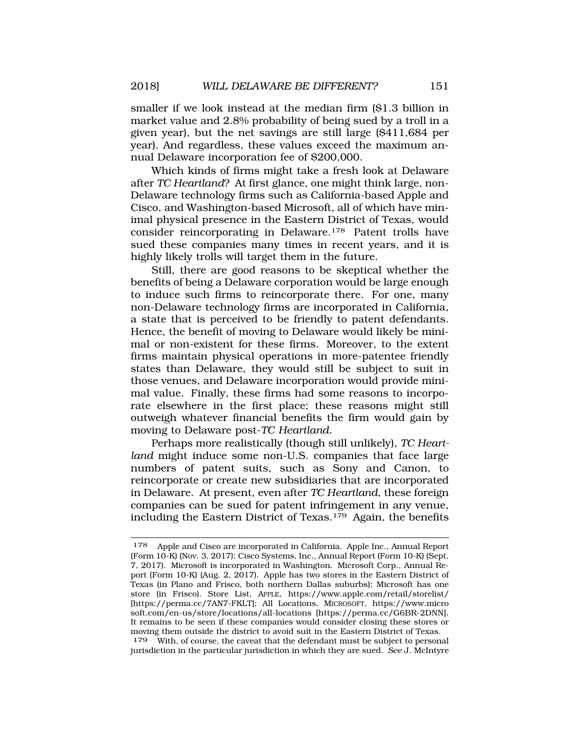smaller if we look instead at the median firm (\$1.3 billion in market value and 2.8% probability of being sued by a troll in a given year), but the net savings are still large (\$411,684 per year). And regardless, these values exceed the maximum annual Delaware incorporation fee of \$200,000.

Which kinds of firms might take a fresh look at Delaware after *TC Heartland*? At first glance, one might think large, non-Delaware technology firms such as California-based Apple and Cisco, and Washington-based Microsoft, all of which have minimal physical presence in the Eastern District of Texas, would consider reincorporating in Delaware.178 Patent trolls have sued these companies many times in recent years, and it is highly likely trolls will target them in the future.

Still, there are good reasons to be skeptical whether the benefits of being a Delaware corporation would be large enough to induce such firms to reincorporate there. For one, many non-Delaware technology firms are incorporated in California, a state that is perceived to be friendly to patent defendants. Hence, the benefit of moving to Delaware would likely be minimal or non-existent for these firms. Moreover, to the extent firms maintain physical operations in more-patentee friendly states than Delaware, they would still be subject to suit in those venues, and Delaware incorporation would provide minimal value. Finally, these firms had some reasons to incorporate elsewhere in the first place; these reasons might still outweigh whatever financial benefits the firm would gain by moving to Delaware post-*TC Heartland*.

Perhaps more realistically (though still unlikely), *TC Heartland* might induce some non-U.S. companies that face large numbers of patent suits, such as Sony and Canon, to reincorporate or create new subsidiaries that are incorporated in Delaware. At present, even after *TC Heartland*, these foreign companies can be sued for patent infringement in any venue, including the Eastern District of Texas.179 Again, the benefits

<sup>178</sup> Apple and Cisco are incorporated in California. Apple Inc., Annual Report (Form 10-K) (Nov. 3, 2017); Cisco Systems, Inc., Annual Report (Form 10-K) (Sept. 7, 2017). Microsoft is incorporated in Washington. Microsoft Corp., Annual Report (Form 10-K) (Aug. 2, 2017). Apple has two stores in the Eastern District of Texas (in Plano and Frisco, both northern Dallas suburbs); Microsoft has one store (in Frisco). Store List, APPLE, [https://www.apple.com/retail/storelist/](https://www.apple.com/retail/storelist) [<https://perma.cc/7AN7-FKLT>]; All Locations, MICROSOFT, <https://www.micro> [soft.com/en-us/store/locations/all-locations](https://soft.com/en-us/store/locations/all-locations) [\[https://perma.cc/G6BR-2DNN](https://perma.cc/G6BR-2DNN)]. It remains to be seen if these companies would consider closing these stores or moving them outside the district to avoid suit in the Eastern District of Texas.

<sup>179</sup> With, of course, the caveat that the defendant must be subject to personal jurisdiction in the particular jurisdiction in which they are sued. *See* J. McIntyre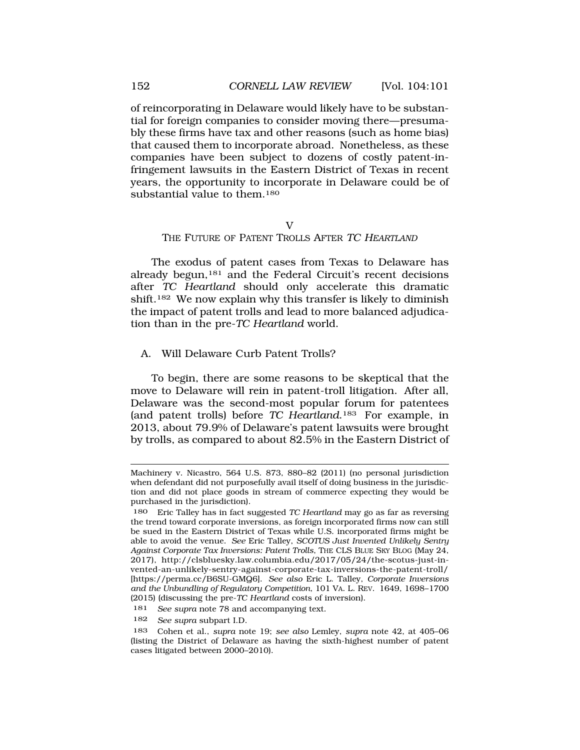<span id="page-51-0"></span>of reincorporating in Delaware would likely have to be substantial for foreign companies to consider moving there—presumably these firms have tax and other reasons (such as home bias) that caused them to incorporate abroad. Nonetheless, as these companies have been subject to dozens of costly patent-infringement lawsuits in the Eastern District of Texas in recent years, the opportunity to incorporate in Delaware could be of substantial value to them.<sup>180</sup>

### V

## THE FUTURE OF PATENT TROLLS AFTER TC HEARTLAND

The exodus of patent cases from Texas to Delaware has already begun,181 and the Federal Circuit's recent decisions after *TC Heartland* should only accelerate this dramatic shift.182 We now explain why this transfer is likely to diminish the impact of patent trolls and lead to more balanced adjudication than in the pre-*TC Heartland* world.

## A. Will Delaware Curb Patent Trolls?

To begin, there are some reasons to be skeptical that the move to Delaware will rein in patent-troll litigation. After all, Delaware was the second-most popular forum for patentees (and patent trolls) before *TC Heartland*.183 For example, in 2013, about 79.9% of Delaware's patent lawsuits were brought by trolls, as compared to about 82.5% in the Eastern District of

Machinery v. Nicastro, 564 U.S. 873, 880–82 (2011) (no personal jurisdiction when defendant did not purposefully avail itself of doing business in the jurisdiction and did not place goods in stream of commerce expecting they would be purchased in the jurisdiction).

<sup>180</sup> Eric Talley has in fact suggested *TC Heartland* may go as far as reversing the trend toward corporate inversions, as foreign incorporated firms now can still be sued in the Eastern District of Texas while U.S. incorporated firms might be able to avoid the venue. *See* Eric Talley, *SCOTUS Just Invented Unlikely Sentry Against Corporate Tax Inversions: Patent Trolls*, THE CLS BLUE SKY BLOG (May 24, 2017), <http://clsbluesky.law.columbia.edu/2017/05/24/the-scotus-just-in>vented-an-unlikely-sentry-against-corporate-tax-inversions-the-patent-troll/ [[https://perma.cc/B6SU-GMQ6\]](https://perma.cc/B6SU-GMQ6). *See also* Eric L. Talley, *Corporate Inversions and the Unbundling of Regulatory Competition*, 101 VA. L. REV. 1649, 1698–1700 (2015) (discussing the pre-*TC Heartland* costs of inversion).

<sup>181</sup> *See supra* note 78 and accompanying text.

<sup>182</sup> *See supra* subpart I.D.

<sup>183</sup> Cohen et al., *supra* note 19; *see also* Lemley, *supra* note 42, at 405–06 (listing the District of Delaware as having the sixth-highest number of patent cases litigated between 2000–2010).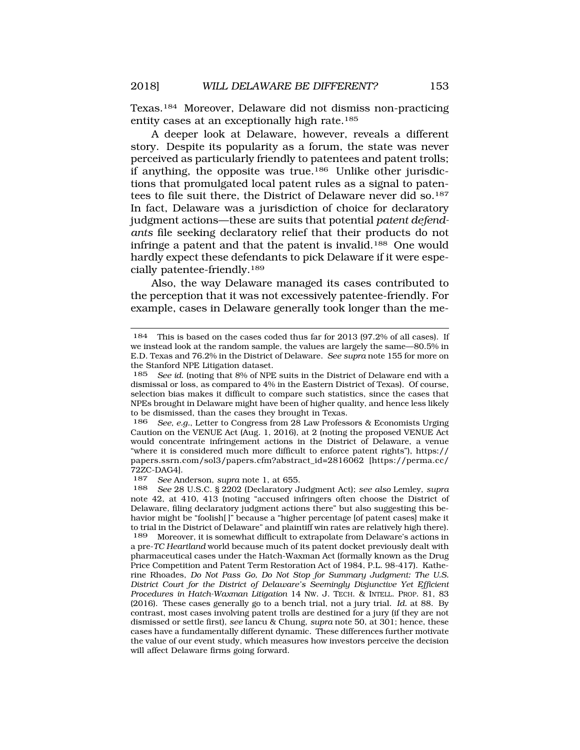Texas.184 Moreover, Delaware did not dismiss non-practicing entity cases at an exceptionally high rate.185

A deeper look at Delaware, however, reveals a different story. Despite its popularity as a forum, the state was never perceived as particularly friendly to patentees and patent trolls; if anything, the opposite was true.186 Unlike other jurisdictions that promulgated local patent rules as a signal to patentees to file suit there, the District of Delaware never did so.187 In fact, Delaware was a jurisdiction of choice for declaratory judgment actions—these are suits that potential *patent defendants* file seeking declaratory relief that their products do not infringe a patent and that the patent is invalid.188 One would hardly expect these defendants to pick Delaware if it were especially patentee-friendly.189

Also, the way Delaware managed its cases contributed to the perception that it was not excessively patentee-friendly. For example, cases in Delaware generally took longer than the me-

186 *See, e.g.*, Letter to Congress from 28 Law Professors & Economists Urging Caution on the VENUE Act (Aug. 1, 2016), at 2 (noting the proposed VENUE Act would concentrate infringement actions in the District of Delaware, a venue "where it is considered much more difficult to enforce patent rights"), https:// papers.ssrn.com/sol3/papers.cfm?abstract\_id=2816062 [[https://perma.cc/](http:https://perma.cc) 72ZC-DAG4].

187 *See* Anderson, *supra* note 1, at 655.

<sup>184</sup> This is based on the cases coded thus far for 2013 (97.2% of all cases). If we instead look at the random sample, the values are largely the same—80.5% in E.D. Texas and 76.2% in the District of Delaware. *See supra* note 155 for more on the Stanford NPE Litigation dataset.

<sup>185</sup> *See id*. (noting that 8% of NPE suits in the District of Delaware end with a dismissal or loss, as compared to 4% in the Eastern District of Texas). Of course, selection bias makes it difficult to compare such statistics, since the cases that NPEs brought in Delaware might have been of higher quality, and hence less likely to be dismissed, than the cases they brought in Texas.

<sup>188</sup> *See* 28 U.S.C. § 2202 (Declaratory Judgment Act); *see also* Lemley, *supra*  note 42, at 410, 413 (noting "accused infringers often choose the District of Delaware, filing declaratory judgment actions there" but also suggesting this behavior might be "foolish[ ]" because a "higher percentage [of patent cases] make it to trial in the District of Delaware" and plaintiff win rates are relatively high there).

Moreover, it is somewhat difficult to extrapolate from Delaware's actions in a pre-*TC Heartland* world because much of its patent docket previously dealt with pharmaceutical cases under the Hatch-Waxman Act (formally known as the Drug Price Competition and Patent Term Restoration Act of 1984, P.L. 98-417). Katherine Rhoades, *Do Not Pass Go, Do Not Stop for Summary Judgment: The U.S. District Court for the District of Delaware's Seemingly Disjunctive Yet Efficient Procedures in Hatch-Waxman Litigation* 14 NW. J. TECH. & INTELL. PROP. 81, 83 (2016). These cases generally go to a bench trial, not a jury trial. *Id.* at 88. By contrast, most cases involving patent trolls are destined for a jury (if they are not dismissed or settle first), *see* Iancu & Chung, *supra* note 50, at 301; hence, these cases have a fundamentally different dynamic. These differences further motivate the value of our event study, which measures how investors perceive the decision will affect Delaware firms going forward.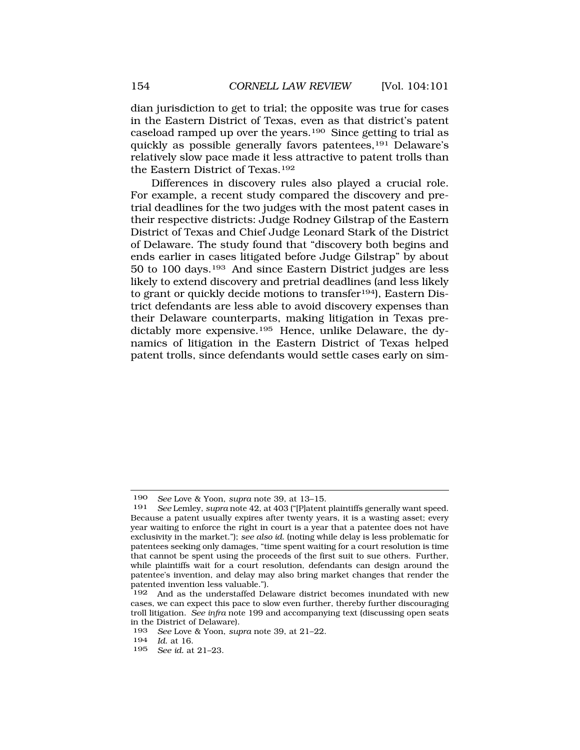dian jurisdiction to get to trial; the opposite was true for cases in the Eastern District of Texas, even as that district's patent caseload ramped up over the years.190 Since getting to trial as quickly as possible generally favors patentees,191 Delaware's relatively slow pace made it less attractive to patent trolls than the Eastern District of Texas.192

Differences in discovery rules also played a crucial role. For example, a recent study compared the discovery and pretrial deadlines for the two judges with the most patent cases in their respective districts: Judge Rodney Gilstrap of the Eastern District of Texas and Chief Judge Leonard Stark of the District of Delaware. The study found that "discovery both begins and ends earlier in cases litigated before Judge Gilstrap" by about 50 to 100 days.193 And since Eastern District judges are less likely to extend discovery and pretrial deadlines (and less likely to grant or quickly decide motions to transfer<sup>194</sup>), Eastern District defendants are less able to avoid discovery expenses than their Delaware counterparts, making litigation in Texas predictably more expensive.195 Hence, unlike Delaware, the dynamics of litigation in the Eastern District of Texas helped patent trolls, since defendants would settle cases early on sim-

<sup>190</sup> *See* Love & Yoon, *supra* note 39, at 13–15.

See Lemley, *supra* note 42, at 403 ("[P]atent plaintiffs generally want speed. Because a patent usually expires after twenty years, it is a wasting asset; every year waiting to enforce the right in court is a year that a patentee does not have exclusivity in the market."); *see also id*. (noting while delay is less problematic for patentees seeking only damages, "time spent waiting for a court resolution is time that cannot be spent using the proceeds of the first suit to sue others. Further, while plaintiffs wait for a court resolution, defendants can design around the patentee's invention, and delay may also bring market changes that render the patented invention less valuable.").

<sup>192</sup> And as the understaffed Delaware district becomes inundated with new cases, we can expect this pace to slow even further, thereby further discouraging troll litigation. *See infra* note 199 and accompanying text (discussing open seats in the District of Delaware).

<sup>193</sup> *See* Love & Yoon, *supra* note 39, at 21–22.

<sup>194</sup> *Id*. at 16.

<sup>195</sup> *See id.* at 21–23.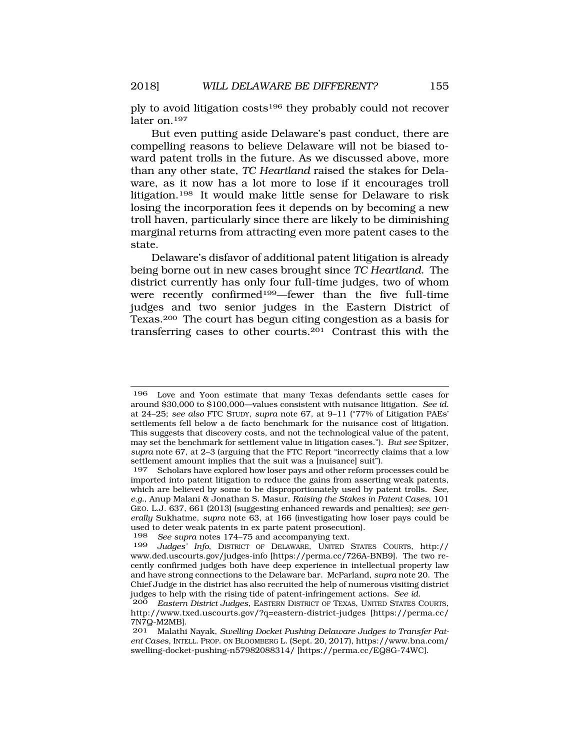ply to avoid litigation costs196 they probably could not recover later on.197

But even putting aside Delaware's past conduct, there are compelling reasons to believe Delaware will not be biased toward patent trolls in the future. As we discussed above, more than any other state, *TC Heartland* raised the stakes for Delaware, as it now has a lot more to lose if it encourages troll litigation.198 It would make little sense for Delaware to risk losing the incorporation fees it depends on by becoming a new troll haven, particularly since there are likely to be diminishing marginal returns from attracting even more patent cases to the state.

Delaware's disfavor of additional patent litigation is already being borne out in new cases brought since *TC Heartland*. The district currently has only four full-time judges, two of whom were recently confirmed199—fewer than the five full-time judges and two senior judges in the Eastern District of Texas.200 The court has begun citing congestion as a basis for transferring cases to other courts.201 Contrast this with the

<sup>196</sup> Love and Yoon estimate that many Texas defendants settle cases for around \$30,000 to \$100,000—values consistent with nuisance litigation. *See id.*  at 24–25; *see also* FTC STUDY, *supra* note 67, at 9–11 ("77% of Litigation PAEs' settlements fell below a de facto benchmark for the nuisance cost of litigation. This suggests that discovery costs, and not the technological value of the patent, may set the benchmark for settlement value in litigation cases."). *But see* Spitzer, *supra* note 67, at 2–3 (arguing that the FTC Report "incorrectly claims that a low settlement amount implies that the suit was a [nuisance] suit").

<sup>197</sup> Scholars have explored how loser pays and other reform processes could be imported into patent litigation to reduce the gains from asserting weak patents, which are believed by some to be disproportionately used by patent trolls. *See, e.g.*, Anup Malani & Jonathan S. Masur, *Raising the Stakes in Patent Cases*, 101 GEO. L.J. 637, 661 (2013) (suggesting enhanced rewards and penalties); *see generally* Sukhatme, *supra* note 63, at 166 (investigating how loser pays could be used to deter weak patents in ex parte patent prosecution).<br>198 See sunra notes 174–75 and accompanying text

See supra notes 174–75 and accompanying text.

<sup>199</sup> *Judges' Info*, DISTRICT OF DELAWARE, UNITED STATES COURTS, http:// <www.ded.uscourts.gov/judges-info> [\[https://perma.cc/726A-BNB9\]](https://perma.cc/726A-BNB9). The two recently confirmed judges both have deep experience in intellectual property law and have strong connections to the Delaware bar. McParland, *supra* note 20. The Chief Judge in the district has also recruited the help of numerous visiting district judges to help with the rising tide of patent-infringement actions. *See id*. 200 *Eastern District Judges*, EASTERN DISTRICT OF TEXAS, UNITED STATES COURTS,

<http://www.txed.uscourts.gov/?q=eastern-district-judges> [[https://perma.cc/](http:https://perma.cc) 7N7Q-M2MB].

<sup>201</sup> Malathi Nayak, *Swelling Docket Pushing Delaware Judges to Transfer Patent Cases*, INTELL. PROP. ON BLOOMBERG L. (Sept. 20, 2017), [https://www.bna.com/](http:https://www.bna.com) swelling-docket-pushing-n57982088314/ [[https://perma.cc/EQ8G-74WC\]](https://perma.cc/EQ8G-74WC).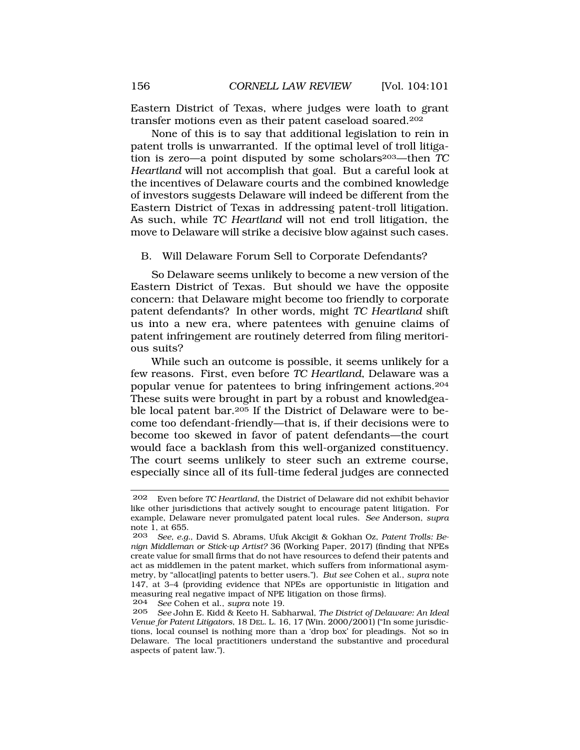<span id="page-55-0"></span>Eastern District of Texas, where judges were loath to grant transfer motions even as their patent caseload soared.202

None of this is to say that additional legislation to rein in patent trolls is unwarranted. If the optimal level of troll litigation is zero—a point disputed by some scholars203—then *TC Heartland* will not accomplish that goal. But a careful look at the incentives of Delaware courts and the combined knowledge of investors suggests Delaware will indeed be different from the Eastern District of Texas in addressing patent-troll litigation. As such, while *TC Heartland* will not end troll litigation, the move to Delaware will strike a decisive blow against such cases.

## B. Will Delaware Forum Sell to Corporate Defendants?

So Delaware seems unlikely to become a new version of the Eastern District of Texas. But should we have the opposite concern: that Delaware might become too friendly to corporate patent defendants? In other words, might *TC Heartland* shift us into a new era, where patentees with genuine claims of patent infringement are routinely deterred from filing meritorious suits?

While such an outcome is possible, it seems unlikely for a few reasons. First, even before *TC Heartland*, Delaware was a popular venue for patentees to bring infringement actions.204 These suits were brought in part by a robust and knowledgeable local patent bar.205 If the District of Delaware were to become too defendant-friendly—that is, if their decisions were to become too skewed in favor of patent defendants—the court would face a backlash from this well-organized constituency. The court seems unlikely to steer such an extreme course, especially since all of its full-time federal judges are connected

204 *See* Cohen et al., *supra* note 19.

<sup>202</sup> Even before *TC Heartland*, the District of Delaware did not exhibit behavior like other jurisdictions that actively sought to encourage patent litigation. For example, Delaware never promulgated patent local rules. *See* Anderson, *supra*  note 1, at 655.<br>203 See e.g.

<sup>203</sup> *See, e.g.*, David S. Abrams, Ufuk Akcigit & Gokhan Oz, *Patent Trolls: Benign Middleman or Stick-up Artist?* 36 (Working Paper, 2017) (finding that NPEs create value for small firms that do not have resources to defend their patents and act as middlemen in the patent market, which suffers from informational asymmetry, by "allocat[ing] patents to better users."). *But see* Cohen et al., *supra* note 147, at 3–4 (providing evidence that NPEs are opportunistic in litigation and measuring real negative impact of NPE litigation on those firms).<br> $204 \text{ }$  See Cohen et al supra note 19

<sup>205</sup> *See* John E. Kidd & Keeto H. Sabharwal, *The District of Delaware: An Ideal Venue for Patent Litigators*, 18 DEL. L. 16, 17 (Win. 2000/2001) ("In some jurisdictions, local counsel is nothing more than a 'drop box' for pleadings. Not so in Delaware. The local practitioners understand the substantive and procedural aspects of patent law.").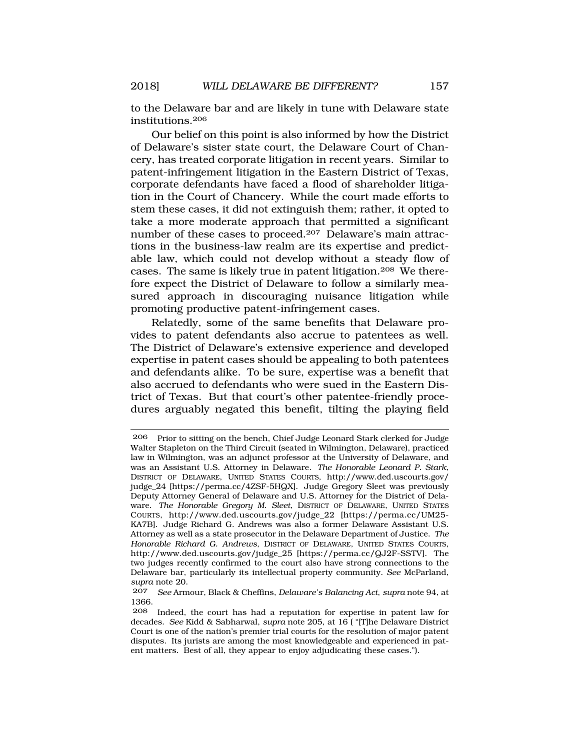to the Delaware bar and are likely in tune with Delaware state institutions.206

Our belief on this point is also informed by how the District of Delaware's sister state court, the Delaware Court of Chancery, has treated corporate litigation in recent years. Similar to patent-infringement litigation in the Eastern District of Texas, corporate defendants have faced a flood of shareholder litigation in the Court of Chancery. While the court made efforts to stem these cases, it did not extinguish them; rather, it opted to take a more moderate approach that permitted a significant number of these cases to proceed.207 Delaware's main attractions in the business-law realm are its expertise and predictable law, which could not develop without a steady flow of cases. The same is likely true in patent litigation.208 We therefore expect the District of Delaware to follow a similarly measured approach in discouraging nuisance litigation while promoting productive patent-infringement cases.

Relatedly, some of the same benefits that Delaware provides to patent defendants also accrue to patentees as well. The District of Delaware's extensive experience and developed expertise in patent cases should be appealing to both patentees and defendants alike. To be sure, expertise was a benefit that also accrued to defendants who were sued in the Eastern District of Texas. But that court's other patentee-friendly procedures arguably negated this benefit, tilting the playing field

<sup>206</sup> Prior to sitting on the bench, Chief Judge Leonard Stark clerked for Judge Walter Stapleton on the Third Circuit (seated in Wilmington, Delaware), practiced law in Wilmington, was an adjunct professor at the University of Delaware, and was an Assistant U.S. Attorney in Delaware. *The Honorable Leonard P. Stark*, DISTRICT OF DELAWARE, UNITED STATES COURTS, [http://www.ded.uscourts.gov/](http:http://www.ded.uscourts.gov) judge\_24 [[https://perma.cc/4ZSF-5HQX\]](https://perma.cc/4ZSF-5HQX). Judge Gregory Sleet was previously Deputy Attorney General of Delaware and U.S. Attorney for the District of Delaware. *The Honorable Gregory M. Sleet*, DISTRICT OF DELAWARE, UNITED STATES COURTS, [http://www.ded.uscourts.gov/judge\\_22](http://www.ded.uscourts.gov/judge_22) [<https://perma.cc/UM25>- KA7B]. Judge Richard G. Andrews was also a former Delaware Assistant U.S. Attorney as well as a state prosecutor in the Delaware Department of Justice. *The Honorable Richard G. Andrews*, DISTRICT OF DELAWARE, UNITED STATES COURTS, [http://www.ded.uscourts.gov/judge\\_25](http://www.ded.uscourts.gov/judge_25) [[https://perma.cc/QJ2F-SSTV\]](https://perma.cc/QJ2F-SSTV). The two judges recently confirmed to the court also have strong connections to the Delaware bar, particularly its intellectual property community. *See* McParland, *supra* note 20.

<sup>207</sup> *See* Armour, Black & Cheffins, *Delaware's Balancing Act*, *supra* note 94, at 1366.

<sup>208</sup> Indeed, the court has had a reputation for expertise in patent law for decades. *See* Kidd & Sabharwal, *supra* note 205, at 16 ( "[T]he Delaware District Court is one of the nation's premier trial courts for the resolution of major patent disputes. Its jurists are among the most knowledgeable and experienced in patent matters. Best of all, they appear to enjoy adjudicating these cases.").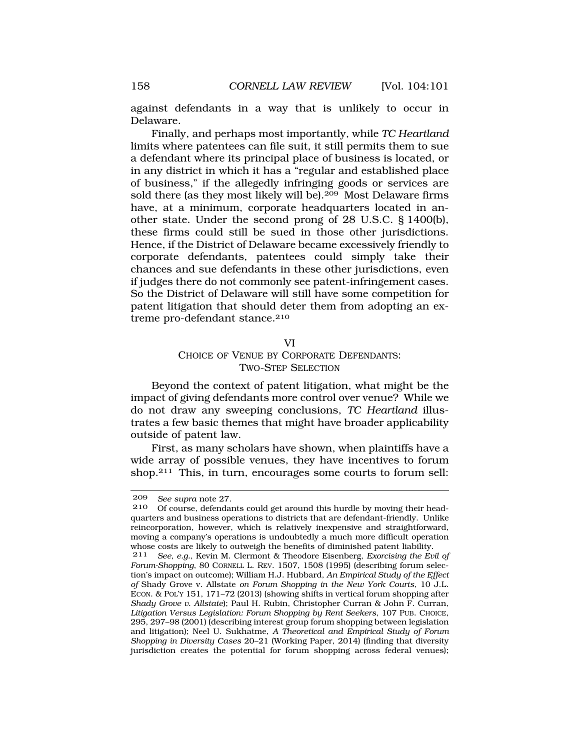<span id="page-57-0"></span>against defendants in a way that is unlikely to occur in Delaware.

Finally, and perhaps most importantly, while *TC Heartland*  limits where patentees can file suit, it still permits them to sue a defendant where its principal place of business is located, or in any district in which it has a "regular and established place of business," if the allegedly infringing goods or services are sold there (as they most likely will be).209 Most Delaware firms have, at a minimum, corporate headquarters located in another state. Under the second prong of 28 U.S.C. § 1400(b), these firms could still be sued in those other jurisdictions. Hence, if the District of Delaware became excessively friendly to corporate defendants, patentees could simply take their chances and sue defendants in these other jurisdictions, even if judges there do not commonly see patent-infringement cases. So the District of Delaware will still have some competition for patent litigation that should deter them from adopting an extreme pro-defendant stance.<sup>210</sup>

#### VI

## CHOICE OF VENUE BY CORPORATE DEFENDANTS: TWO-STEP SELECTION

Beyond the context of patent litigation, what might be the impact of giving defendants more control over venue? While we do not draw any sweeping conclusions, *TC Heartland* illustrates a few basic themes that might have broader applicability outside of patent law.

First, as many scholars have shown, when plaintiffs have a wide array of possible venues, they have incentives to forum shop.211 This, in turn, encourages some courts to forum sell:

<sup>209</sup> *See supra* note 27.

Of course, defendants could get around this hurdle by moving their headquarters and business operations to districts that are defendant-friendly. Unlike reincorporation, however, which is relatively inexpensive and straightforward, moving a company's operations is undoubtedly a much more difficult operation whose costs are likely to outweigh the benefits of diminished patent liability.

<sup>211</sup> *See, e.g.*, Kevin M. Clermont & Theodore Eisenberg, *Exorcising the Evil of Forum-Shopping*, 80 CORNELL L. REV. 1507, 1508 (1995) (describing forum selection's impact on outcome); William H.J. Hubbard, *An Empirical Study of the Effect of* Shady Grove v. Allstate *on Forum Shopping in the New York Courts*, 10 J.L. ECON. & POL'Y 151, 171–72 (2013) (showing shifts in vertical forum shopping after *Shady Grove v. Allstate*); Paul H. Rubin, Christopher Curran & John F. Curran, *Litigation Versus Legislation: Forum Shopping by Rent Seekers*, 107 PUB. CHOICE, 295, 297–98 (2001) (describing interest group forum shopping between legislation and litigation); Neel U. Sukhatme, *A Theoretical and Empirical Study of Forum Shopping in Diversity Cases* 20–21 (Working Paper, 2014) (finding that diversity jurisdiction creates the potential for forum shopping across federal venues);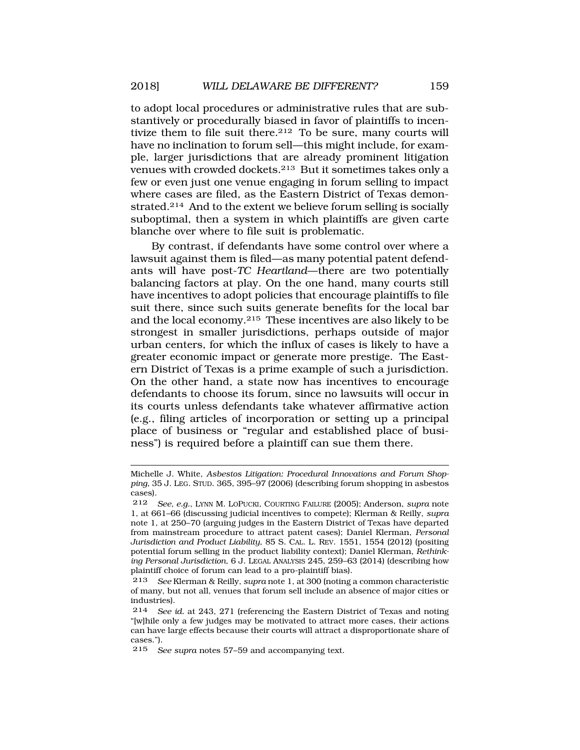to adopt local procedures or administrative rules that are substantively or procedurally biased in favor of plaintiffs to incentivize them to file suit there.<sup>212</sup> To be sure, many courts will have no inclination to forum sell—this might include, for example, larger jurisdictions that are already prominent litigation venues with crowded dockets.213 But it sometimes takes only a few or even just one venue engaging in forum selling to impact where cases are filed, as the Eastern District of Texas demonstrated.214 And to the extent we believe forum selling is socially suboptimal, then a system in which plaintiffs are given carte blanche over where to file suit is problematic.

By contrast, if defendants have some control over where a lawsuit against them is filed—as many potential patent defendants will have post-*TC Heartland*—there are two potentially balancing factors at play. On the one hand, many courts still have incentives to adopt policies that encourage plaintiffs to file suit there, since such suits generate benefits for the local bar and the local economy.215 These incentives are also likely to be strongest in smaller jurisdictions, perhaps outside of major urban centers, for which the influx of cases is likely to have a greater economic impact or generate more prestige. The Eastern District of Texas is a prime example of such a jurisdiction. On the other hand, a state now has incentives to encourage defendants to choose its forum, since no lawsuits will occur in its courts unless defendants take whatever affirmative action (e.g., filing articles of incorporation or setting up a principal place of business or "regular and established place of business") is required before a plaintiff can sue them there.

Michelle J. White, *Asbestos Litigation: Procedural Innovations and Forum Shopping*, 35 J. LEG. STUD. 365, 395–97 (2006) (describing forum shopping in asbestos cases).

<sup>212</sup> *See, e.g.*, LYNN M. LOPUCKI, COURTING FAILURE (2005); Anderson, *supra* note 1, at 661–66 (discussing judicial incentives to compete); Klerman & Reilly, *supra*  note 1, at 250–70 (arguing judges in the Eastern District of Texas have departed from mainstream procedure to attract patent cases); Daniel Klerman, *Personal Jurisdiction and Product Liability*, 85 S. CAL. L. REV. 1551, 1554 (2012) (positing potential forum selling in the product liability context); Daniel Klerman, *Rethinking Personal Jurisdiction*, 6 J. LEGAL ANALYSIS 245, 259–63 (2014) (describing how plaintiff choice of forum can lead to a pro-plaintiff bias).

<sup>213</sup> *See* Klerman & Reilly, *supra* note 1, at 300 (noting a common characteristic of many, but not all, venues that forum sell include an absence of major cities or industries).

See id. at 243, 271 (referencing the Eastern District of Texas and noting "[w]hile only a few judges may be motivated to attract more cases, their actions can have large effects because their courts will attract a disproportionate share of cases.").

<sup>215</sup> *See supra* notes 57–59 and accompanying text.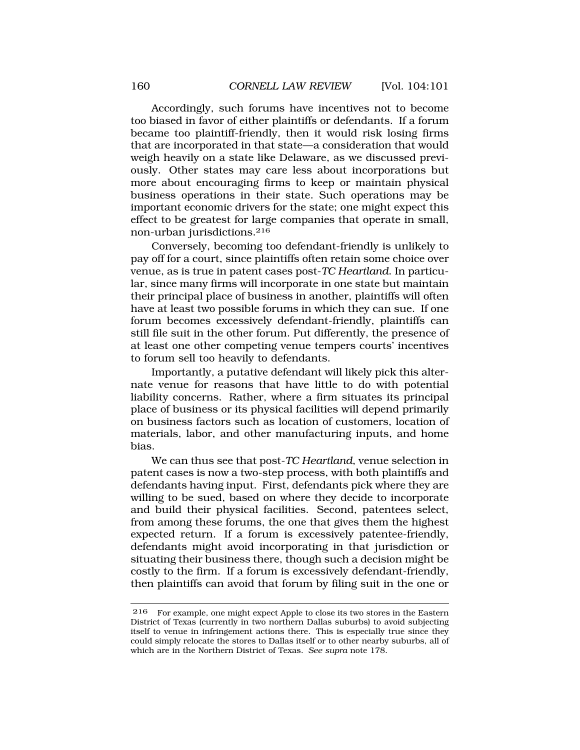Accordingly, such forums have incentives not to become too biased in favor of either plaintiffs or defendants. If a forum became too plaintiff-friendly, then it would risk losing firms that are incorporated in that state—a consideration that would weigh heavily on a state like Delaware, as we discussed previously. Other states may care less about incorporations but more about encouraging firms to keep or maintain physical business operations in their state. Such operations may be important economic drivers for the state; one might expect this effect to be greatest for large companies that operate in small, non-urban jurisdictions.216

Conversely, becoming too defendant-friendly is unlikely to pay off for a court, since plaintiffs often retain some choice over venue, as is true in patent cases post-*TC Heartland*. In particular, since many firms will incorporate in one state but maintain their principal place of business in another, plaintiffs will often have at least two possible forums in which they can sue. If one forum becomes excessively defendant-friendly, plaintiffs can still file suit in the other forum. Put differently, the presence of at least one other competing venue tempers courts' incentives to forum sell too heavily to defendants.

Importantly, a putative defendant will likely pick this alternate venue for reasons that have little to do with potential liability concerns. Rather, where a firm situates its principal place of business or its physical facilities will depend primarily on business factors such as location of customers, location of materials, labor, and other manufacturing inputs, and home bias.

We can thus see that post-*TC Heartland*, venue selection in patent cases is now a two-step process, with both plaintiffs and defendants having input. First, defendants pick where they are willing to be sued, based on where they decide to incorporate and build their physical facilities. Second, patentees select, from among these forums, the one that gives them the highest expected return. If a forum is excessively patentee-friendly, defendants might avoid incorporating in that jurisdiction or situating their business there, though such a decision might be costly to the firm. If a forum is excessively defendant-friendly, then plaintiffs can avoid that forum by filing suit in the one or

<sup>216</sup> For example, one might expect Apple to close its two stores in the Eastern District of Texas (currently in two northern Dallas suburbs) to avoid subjecting itself to venue in infringement actions there. This is especially true since they could simply relocate the stores to Dallas itself or to other nearby suburbs, all of which are in the Northern District of Texas. *See supra* note 178.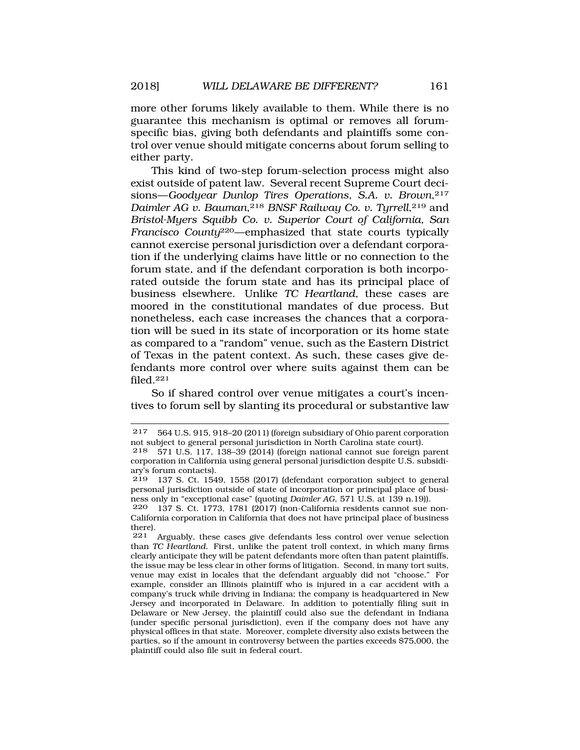more other forums likely available to them. While there is no guarantee this mechanism is optimal or removes all forumspecific bias, giving both defendants and plaintiffs some control over venue should mitigate concerns about forum selling to either party.

This kind of two-step forum-selection process might also exist outside of patent law. Several recent Supreme Court decisions—*Goodyear Dunlop Tires Operations, S.A. v. Brown*,<sup>217</sup> *Daimler AG v. Bauman*,218 *BNSF Railway Co. v. Tyrrell*,219 and *Bristol-Myers Squibb Co. v. Superior Court of California, San Francisco County*220—emphasized that state courts typically cannot exercise personal jurisdiction over a defendant corporation if the underlying claims have little or no connection to the forum state, and if the defendant corporation is both incorporated outside the forum state and has its principal place of business elsewhere. Unlike *TC Heartland*, these cases are moored in the constitutional mandates of due process. But nonetheless, each case increases the chances that a corporation will be sued in its state of incorporation or its home state as compared to a "random" venue, such as the Eastern District of Texas in the patent context. As such, these cases give defendants more control over where suits against them can be filed.221

So if shared control over venue mitigates a court's incentives to forum sell by slanting its procedural or substantive law

<sup>217 564</sup> U.S. 915, 918–20 (2011) (foreign subsidiary of Ohio parent corporation not subject to general personal jurisdiction in North Carolina state court).<br>218 571 U.S. 117, 138–39 (2014) (foreign national cannot sue foreign n

<sup>218 571</sup> U.S. 117, 138–39 (2014) (foreign national cannot sue foreign parent corporation in California using general personal jurisdiction despite U.S. subsidiary's forum contacts).<br> $219 - 137$  S Ct 154

<sup>219 137</sup> S. Ct. 1549, 1558 (2017) (defendant corporation subject to general personal jurisdiction outside of state of incorporation or principal place of business only in "exceptional case" (quoting *Daimler AG*, 571 U.S. at 139 n.19)).

<sup>220 137</sup> S. Ct. 1773, 1781 (2017) (non-California residents cannot sue non-California corporation in California that does not have principal place of business there).<br> $221$ 

Arguably, these cases give defendants less control over venue selection than *TC Heartland*. First, unlike the patent troll context, in which many firms clearly anticipate they will be patent defendants more often than patent plaintiffs, the issue may be less clear in other forms of litigation. Second, in many tort suits, venue may exist in locales that the defendant arguably did not "choose." For example, consider an Illinois plaintiff who is injured in a car accident with a company's truck while driving in Indiana; the company is headquartered in New Jersey and incorporated in Delaware. In addition to potentially filing suit in Delaware or New Jersey, the plaintiff could also sue the defendant in Indiana (under specific personal jurisdiction), even if the company does not have any physical offices in that state. Moreover, complete diversity also exists between the parties, so if the amount in controversy between the parties exceeds \$75,000, the plaintiff could also file suit in federal court.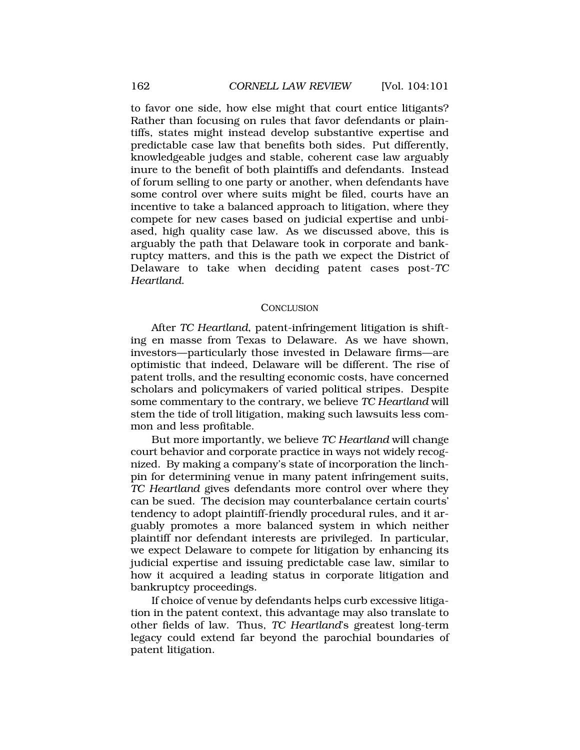<span id="page-61-0"></span>to favor one side, how else might that court entice litigants? Rather than focusing on rules that favor defendants or plaintiffs, states might instead develop substantive expertise and predictable case law that benefits both sides. Put differently, knowledgeable judges and stable, coherent case law arguably inure to the benefit of both plaintiffs and defendants. Instead of forum selling to one party or another, when defendants have some control over where suits might be filed, courts have an incentive to take a balanced approach to litigation, where they compete for new cases based on judicial expertise and unbiased, high quality case law. As we discussed above, this is arguably the path that Delaware took in corporate and bankruptcy matters, and this is the path we expect the District of Delaware to take when deciding patent cases post-*TC Heartland*.

### **CONCLUSION**

After *TC Heartland*, patent-infringement litigation is shifting en masse from Texas to Delaware. As we have shown, investors—particularly those invested in Delaware firms—are optimistic that indeed, Delaware will be different. The rise of patent trolls, and the resulting economic costs, have concerned scholars and policymakers of varied political stripes. Despite some commentary to the contrary, we believe *TC Heartland* will stem the tide of troll litigation, making such lawsuits less common and less profitable.

But more importantly, we believe *TC Heartland* will change court behavior and corporate practice in ways not widely recognized. By making a company's state of incorporation the linchpin for determining venue in many patent infringement suits, *TC Heartland* gives defendants more control over where they can be sued. The decision may counterbalance certain courts' tendency to adopt plaintiff-friendly procedural rules, and it arguably promotes a more balanced system in which neither plaintiff nor defendant interests are privileged. In particular, we expect Delaware to compete for litigation by enhancing its judicial expertise and issuing predictable case law, similar to how it acquired a leading status in corporate litigation and bankruptcy proceedings.

If choice of venue by defendants helps curb excessive litigation in the patent context, this advantage may also translate to other fields of law. Thus, *TC Heartland*'s greatest long-term legacy could extend far beyond the parochial boundaries of patent litigation.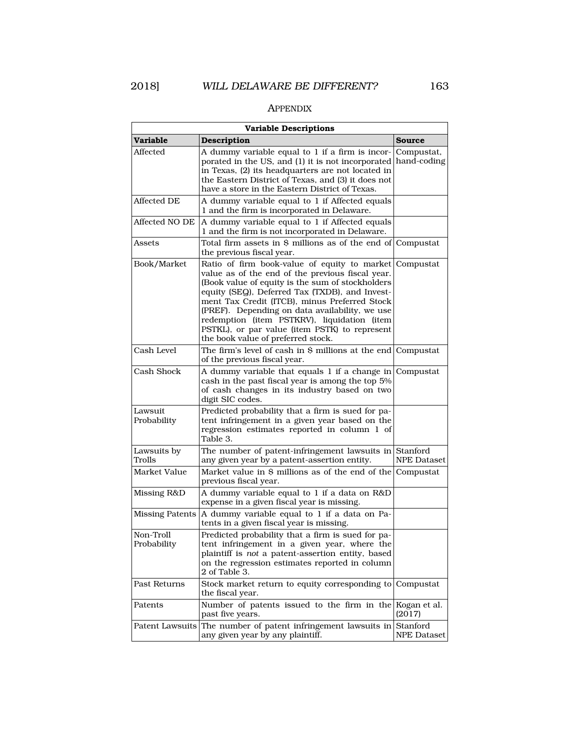### APPENDIX

| <b>Variable Descriptions</b> |                                                                                                                                                                                                                                                                                                                                                                                                                                                 |                           |  |  |  |  |
|------------------------------|-------------------------------------------------------------------------------------------------------------------------------------------------------------------------------------------------------------------------------------------------------------------------------------------------------------------------------------------------------------------------------------------------------------------------------------------------|---------------------------|--|--|--|--|
| Variable                     | <b>Description</b>                                                                                                                                                                                                                                                                                                                                                                                                                              | Source                    |  |  |  |  |
| Affected                     | A dummy variable equal to 1 if a firm is incor-<br>porated in the US, and (1) it is not incorporated<br>in Texas, (2) its headquarters are not located in<br>the Eastern District of Texas, and (3) it does not<br>have a store in the Eastern District of Texas.                                                                                                                                                                               | Compustat,<br>hand-coding |  |  |  |  |
| Affected DE                  | A dummy variable equal to 1 if Affected equals<br>1 and the firm is incorporated in Delaware.                                                                                                                                                                                                                                                                                                                                                   |                           |  |  |  |  |
| Affected NO DE               | A dummy variable equal to 1 if Affected equals<br>1 and the firm is not incorporated in Delaware.                                                                                                                                                                                                                                                                                                                                               |                           |  |  |  |  |
| Assets                       | Total firm assets in \$ millions as of the end of<br>the previous fiscal year.                                                                                                                                                                                                                                                                                                                                                                  | Compustat                 |  |  |  |  |
| Book/Market                  | Ratio of firm book-value of equity to market<br>value as of the end of the previous fiscal year.<br>(Book value of equity is the sum of stockholders<br>equity (SEQ), Deferred Tax (TXDB), and Invest-<br>ment Tax Credit (ITCB), minus Preferred Stock<br>(PREF). Depending on data availability, we use<br>redemption (item PSTKRV), liquidation (item<br>PSTKL), or par value (item PSTK) to represent<br>the book value of preferred stock. | Compustat                 |  |  |  |  |
| Cash Level                   | The firm's level of cash in \$ millions at the end Compustat<br>of the previous fiscal year.                                                                                                                                                                                                                                                                                                                                                    |                           |  |  |  |  |
| Cash Shock                   | A dummy variable that equals 1 if a change in Compustat<br>cash in the past fiscal year is among the top 5%<br>of cash changes in its industry based on two<br>digit SIC codes.                                                                                                                                                                                                                                                                 |                           |  |  |  |  |
| Lawsuit<br>Probability       | Predicted probability that a firm is sued for pa-<br>tent infringement in a given year based on the<br>regression estimates reported in column 1 of<br>Table 3.                                                                                                                                                                                                                                                                                 |                           |  |  |  |  |
| Lawsuits by<br>Trolls        | The number of patent-infringement lawsuits in Stanford<br>any given year by a patent-assertion entity.                                                                                                                                                                                                                                                                                                                                          | <b>NPE Dataset</b>        |  |  |  |  |
| Market Value                 | Market value in \$ millions as of the end of the<br>previous fiscal year.                                                                                                                                                                                                                                                                                                                                                                       | Compustat                 |  |  |  |  |
| Missing R&D                  | A dummy variable equal to 1 if a data on R&D<br>expense in a given fiscal year is missing.                                                                                                                                                                                                                                                                                                                                                      |                           |  |  |  |  |
| <b>Missing Patents</b>       | A dummy variable equal to 1 if a data on Pa-<br>tents in a given fiscal year is missing.                                                                                                                                                                                                                                                                                                                                                        |                           |  |  |  |  |
| Non-Troll<br>Probability     | Predicted probability that a firm is sued for pa-<br>tent infringement in a given year, where the<br>plaintiff is not a patent-assertion entity, based<br>on the regression estimates reported in column<br>2 of Table 3.                                                                                                                                                                                                                       |                           |  |  |  |  |
| Past Returns                 | Stock market return to equity corresponding to Compustat<br>the fiscal year.                                                                                                                                                                                                                                                                                                                                                                    |                           |  |  |  |  |
| Patents                      | Number of patents issued to the firm in the<br>past five years.                                                                                                                                                                                                                                                                                                                                                                                 | Kogan et al.<br>(2017)    |  |  |  |  |
| Patent Lawsuits              | The number of patent infringement lawsuits in Stanford<br>any given year by any plaintiff.                                                                                                                                                                                                                                                                                                                                                      | <b>NPE Dataset</b>        |  |  |  |  |